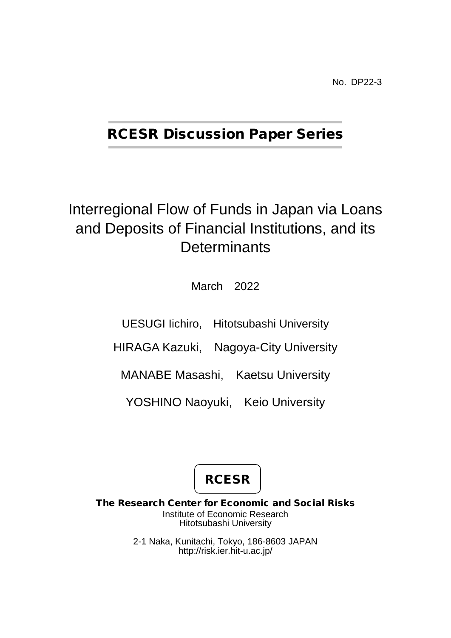No. DP22-3

## RCESR Discussion Paper Series

# Interregional Flow of Funds in Japan via Loans and Deposits of Financial Institutions, and its **Determinants**

March 2022

UESUGI Iichiro, Hitotsubashi University

HIRAGA Kazuki, Nagoya-City University

MANABE Masashi, Kaetsu University

YOSHINO Naoyuki, Keio University

**RCESR** 

The Research Center for Economic and Social Risks Institute of Economic Research Hitotsubashi University

> 2-1 Naka, Kunitachi, Tokyo, 186-8603 JAPAN http://risk.ier.hit-u.ac.jp/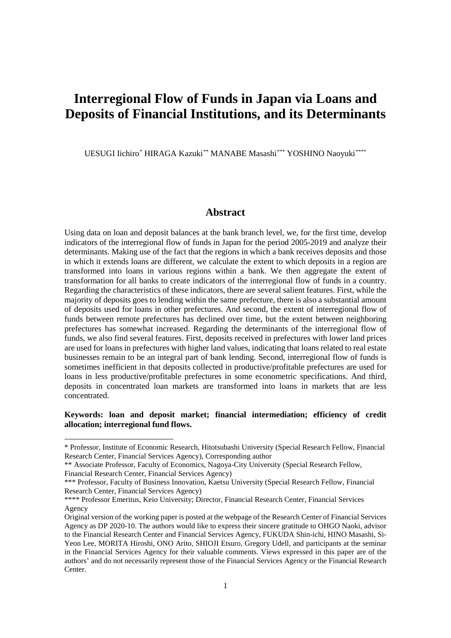## **Interregional Flow of Funds in Japan via Loans and Deposits of Financial Institutions, and its Determinants**

UESUGI Iichiro[\\*](#page-1-0) HIRAGA Kazuki[\\*\\*](#page-1-1) MANABE Masashi[\\*\\*\\*](#page-1-2) YOSHINO Naoyuki[\\*\\*\\*\\*](#page-1-3)

## **Abstract**

Using data on loan and deposit balances at the bank branch level, we, for the first time, develop indicators of the interregional flow of funds in Japan for the period 2005-2019 and analyze their determinants. Making use of the fact that the regions in which a bank receives deposits and those in which it extends loans are different, we calculate the extent to which deposits in a region are transformed into loans in various regions within a bank. We then aggregate the extent of transformation for all banks to create indicators of the interregional flow of funds in a country. Regarding the characteristics of these indicators, there are several salient features. First, while the majority of deposits goes to lending within the same prefecture, there is also a substantial amount of deposits used for loans in other prefectures. And second, the extent of interregional flow of funds between remote prefectures has declined over time, but the extent between neighboring prefectures has somewhat increased. Regarding the determinants of the interregional flow of funds, we also find several features. First, deposits received in prefectures with lower land prices are used for loans in prefectures with higher land values, indicating that loans related to real estate businesses remain to be an integral part of bank lending. Second, interregional flow of funds is sometimes inefficient in that deposits collected in productive/profitable prefectures are used for loans in less productive/profitable prefectures in some econometric specifications. And third, deposits in concentrated loan markets are transformed into loans in markets that are less concentrated.

#### **Keywords: loan and deposit market; financial intermediation; efficiency of credit allocation; interregional fund flows.**

-

<span id="page-1-0"></span><sup>\*</sup> Professor, Institute of Economic Research, Hitotsubashi University (Special Research Fellow, Financial Research Center, Financial Services Agency), Corresponding author

<span id="page-1-1"></span><sup>\*\*</sup> Associate Professor, Faculty of Economics, Nagoya-City University (Special Research Fellow, Financial Research Center, Financial Services Agency)

<span id="page-1-2"></span><sup>\*\*\*</sup> Professor, Faculty of Business Innovation, Kaetsu University (Special Research Fellow, Financial Research Center, Financial Services Agency)

<span id="page-1-3"></span><sup>\*\*\*\*</sup> Professor Emeritus, Keio University; Director, Financial Research Center, Financial Services Agency

Original version of the working paper is posted at the webpage of the Research Center of Financial Services Agency as DP 2020-10. The authors would like to express their sincere gratitude to OHGO Naoki, advisor to the Financial Research Center and Financial Services Agency, FUKUDA Shin-ichi, HINO Masashi, Si-Yeon Lee, MORITA Hiroshi, ONO Arito, SHIOJI Etsuro, Gregory Udell, and participants at the seminar in the Financial Services Agency for their valuable comments. Views expressed in this paper are of the authors' and do not necessarily represent those of the Financial Services Agency or the Financial Research Center.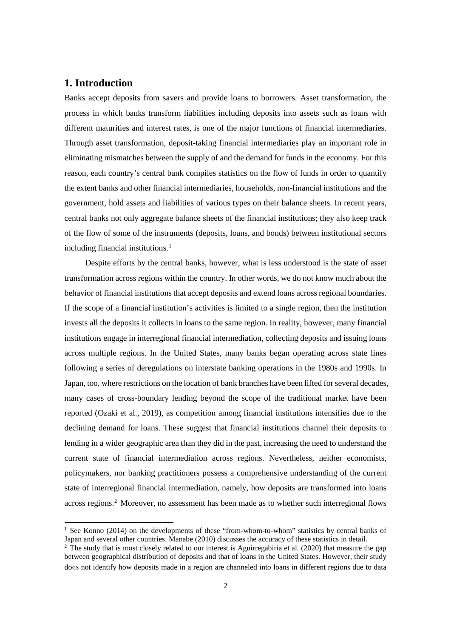## **1. Introduction**

Banks accept deposits from savers and provide loans to borrowers. Asset transformation, the process in which banks transform liabilities including deposits into assets such as loans with different maturities and interest rates, is one of the major functions of financial intermediaries. Through asset transformation, deposit-taking financial intermediaries play an important role in eliminating mismatches between the supply of and the demand for funds in the economy. For this reason, each country's central bank compiles statistics on the flow of funds in order to quantify the extent banks and other financial intermediaries, households, non-financial institutions and the government, hold assets and liabilities of various types on their balance sheets. In recent years, central banks not only aggregate balance sheets of the financial institutions; they also keep track of the flow of some of the instruments (deposits, loans, and bonds) between institutional sectors including financial institutions. [1](#page-2-0)

Despite efforts by the central banks, however, what is less understood is the state of asset transformation across regions within the country. In other words, we do not know much about the behavior of financial institutions that accept deposits and extend loans across regional boundaries. If the scope of a financial institution's activities is limited to a single region, then the institution invests all the deposits it collects in loans to the same region. In reality, however, many financial institutions engage in interregional financial intermediation, collecting deposits and issuing loans across multiple regions. In the United States, many banks began operating across state lines following a series of deregulations on interstate banking operations in the 1980s and 1990s. In Japan, too, where restrictions on the location of bank branches have been lifted for several decades, many cases of cross-boundary lending beyond the scope of the traditional market have been reported (Ozaki et al., 2019), as competition among financial institutions intensifies due to the declining demand for loans. These suggest that financial institutions channel their deposits to lending in a wider geographic area than they did in the past, increasing the need to understand the current state of financial intermediation across regions. Nevertheless, neither economists, policymakers, nor banking practitioners possess a comprehensive understanding of the current state of interregional financial intermediation, namely, how deposits are transformed into loans across regions.<sup>[2](#page-2-1)</sup> Moreover, no assessment has been made as to whether such interregional flows

<span id="page-2-0"></span><sup>&</sup>lt;sup>1</sup> See Konno (2014) on the developments of these "from-whom-to-whom" statistics by central banks of Japan and several other countries. Manabe (2010) discusses the accuracy of these statistics in detail.

<span id="page-2-1"></span> $2\text{ }\hat{ }$  The study that is most closely related to our interest is Aguirregabiria et al. (2020) that measure the gap between geographical distribution of deposits and that of loans in the United States. However, their study does not identify how deposits made in a region are channeled into loans in different regions due to data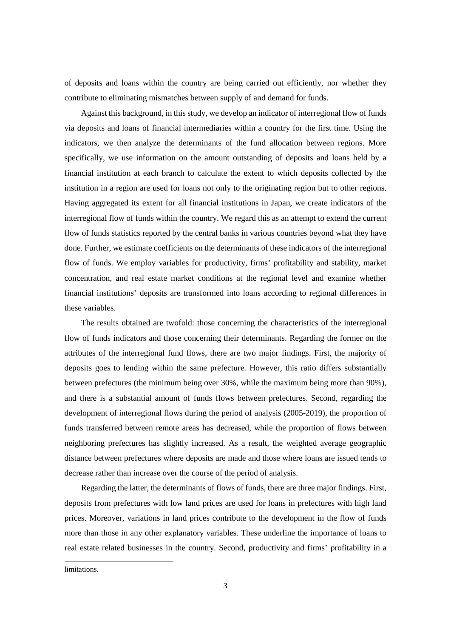of deposits and loans within the country are being carried out efficiently, nor whether they contribute to eliminating mismatches between supply of and demand for funds.

Against this background, in this study, we develop an indicator of interregional flow of funds via deposits and loans of financial intermediaries within a country for the first time. Using the indicators, we then analyze the determinants of the fund allocation between regions. More specifically, we use information on the amount outstanding of deposits and loans held by a financial institution at each branch to calculate the extent to which deposits collected by the institution in a region are used for loans not only to the originating region but to other regions. Having aggregated its extent for all financial institutions in Japan, we create indicators of the interregional flow of funds within the country. We regard this as an attempt to extend the current flow of funds statistics reported by the central banks in various countries beyond what they have done. Further, we estimate coefficients on the determinants of these indicators of the interregional flow of funds. We employ variables for productivity, firms' profitability and stability, market concentration, and real estate market conditions at the regional level and examine whether financial institutions' deposits are transformed into loans according to regional differences in these variables.

The results obtained are twofold: those concerning the characteristics of the interregional flow of funds indicators and those concerning their determinants. Regarding the former on the attributes of the interregional fund flows, there are two major findings. First, the majority of deposits goes to lending within the same prefecture. However, this ratio differs substantially between prefectures (the minimum being over 30%, while the maximum being more than 90%), and there is a substantial amount of funds flows between prefectures. Second, regarding the development of interregional flows during the period of analysis (2005-2019), the proportion of funds transferred between remote areas has decreased, while the proportion of flows between neighboring prefectures has slightly increased. As a result, the weighted average geographic distance between prefectures where deposits are made and those where loans are issued tends to decrease rather than increase over the course of the period of analysis.

Regarding the latter, the determinants of flows of funds, there are three major findings. First, deposits from prefectures with low land prices are used for loans in prefectures with high land prices. Moreover, variations in land prices contribute to the development in the flow of funds more than those in any other explanatory variables. These underline the importance of loans to real estate related businesses in the country. Second, productivity and firms' profitability in a

limitations.

-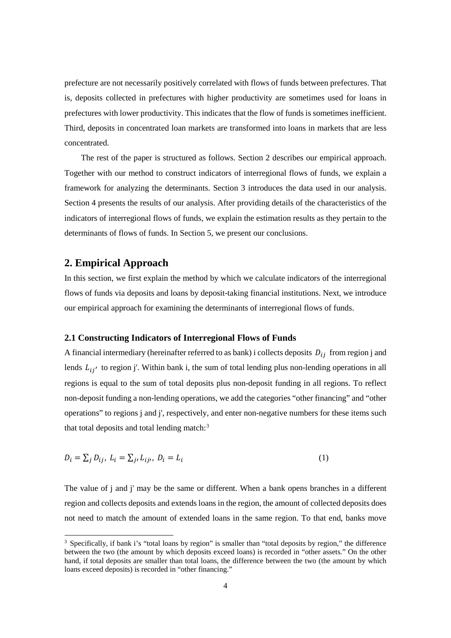prefecture are not necessarily positively correlated with flows of funds between prefectures. That is, deposits collected in prefectures with higher productivity are sometimes used for loans in prefectures with lower productivity. This indicates that the flow of funds is sometimes inefficient. Third, deposits in concentrated loan markets are transformed into loans in markets that are less concentrated.

The rest of the paper is structured as follows. Section 2 describes our empirical approach. Together with our method to construct indicators of interregional flows of funds, we explain a framework for analyzing the determinants. Section 3 introduces the data used in our analysis. Section 4 presents the results of our analysis. After providing details of the characteristics of the indicators of interregional flows of funds, we explain the estimation results as they pertain to the determinants of flows of funds. In Section 5, we present our conclusions.

### **2. Empirical Approach**

In this section, we first explain the method by which we calculate indicators of the interregional flows of funds via deposits and loans by deposit-taking financial institutions. Next, we introduce our empirical approach for examining the determinants of interregional flows of funds.

#### **2.1 Constructing Indicators of Interregional Flows of Funds**

A financial intermediary (hereinafter referred to as bank) i collects deposits  $D_{ij}$  from region j and lends  $L_{ij'}$  to region j'. Within bank i, the sum of total lending plus non-lending operations in all regions is equal to the sum of total deposits plus non-deposit funding in all regions. To reflect non-deposit funding a non-lending operations, we add the categories "other financing" and "other operations" to regions j and j', respectively, and enter non-negative numbers for these items such that total deposits and total lending match: $3$ 

$$
D_i = \sum_j D_{ij}, L_i = \sum_{j} L_{ij}, D_i = L_i
$$
\n<sup>(1)</sup>

The value of j and j' may be the same or different. When a bank opens branches in a different region and collects deposits and extends loans in the region, the amount of collected deposits does not need to match the amount of extended loans in the same region. To that end, banks move

<span id="page-4-0"></span><sup>&</sup>lt;sup>3</sup> Specifically, if bank i's "total loans by region" is smaller than "total deposits by region," the difference between the two (the amount by which deposits exceed loans) is recorded in "other assets." On the other hand, if total deposits are smaller than total loans, the difference between the two (the amount by which loans exceed deposits) is recorded in "other financing."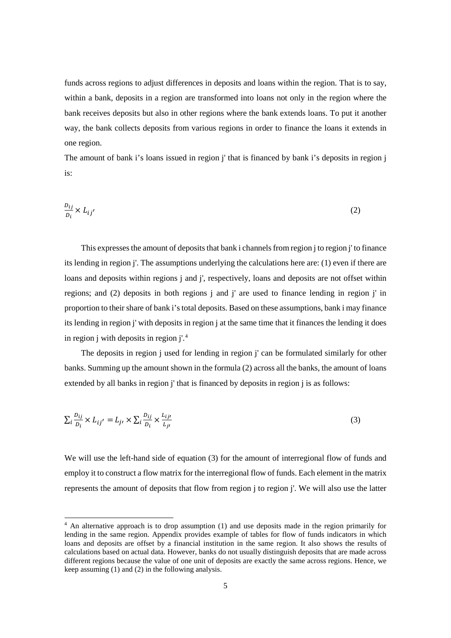funds across regions to adjust differences in deposits and loans within the region. That is to say, within a bank, deposits in a region are transformed into loans not only in the region where the bank receives deposits but also in other regions where the bank extends loans. To put it another way, the bank collects deposits from various regions in order to finance the loans it extends in one region.

The amount of bank i's loans issued in region j' that is financed by bank i's deposits in region j is:

$$
\frac{D_{ij}}{D_i} \times L_{ij'}
$$
 (2)

This expresses the amount of deposits that bank i channels from region j to region j' to finance its lending in region j'. The assumptions underlying the calculations here are: (1) even if there are loans and deposits within regions *i* and *i'*, respectively, loans and deposits are not offset within regions; and (2) deposits in both regions j and j' are used to finance lending in region j' in proportion to their share of bank i's total deposits. Based on these assumptions, bank i may finance its lending in region j' with deposits in region j at the same time that it finances the lending it does in region j with deposits in region j'.[4](#page-5-0)

The deposits in region i used for lending in region i' can be formulated similarly for other banks. Summing up the amount shown in the formula (2) across all the banks, the amount of loans extended by all banks in region j' that is financed by deposits in region j is as follows:

$$
\sum_{i} \frac{b_{ij}}{D_i} \times L_{ij'} = L_{j'} \times \sum_{i} \frac{b_{ij}}{D_i} \times \frac{L_{ij'}}{L_{ji}} \tag{3}
$$

We will use the left-hand side of equation (3) for the amount of interregional flow of funds and employ it to construct a flow matrix for the interregional flow of funds. Each element in the matrix represents the amount of deposits that flow from region j to region j'. We will also use the latter

<span id="page-5-0"></span><sup>&</sup>lt;sup>4</sup> An alternative approach is to drop assumption (1) and use deposits made in the region primarily for lending in the same region. Appendix provides example of tables for flow of funds indicators in which loans and deposits are offset by a financial institution in the same region. It also shows the results of calculations based on actual data. However, banks do not usually distinguish deposits that are made across different regions because the value of one unit of deposits are exactly the same across regions. Hence, we keep assuming (1) and (2) in the following analysis.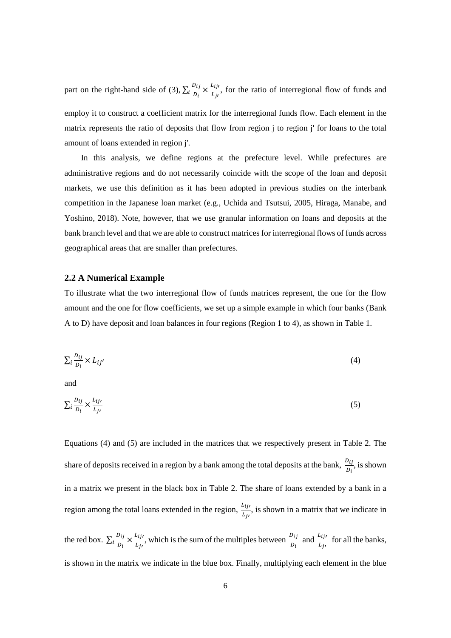part on the right-hand side of (3),  $\sum_i \frac{D_{ij}}{D_i} \times \frac{L_{ij}}{L_{ji}}$ , for the ratio of interregional flow of funds and employ it to construct a coefficient matrix for the interregional funds flow. Each element in the matrix represents the ratio of deposits that flow from region j to region j' for loans to the total amount of loans extended in region j'.

In this analysis, we define regions at the prefecture level. While prefectures are administrative regions and do not necessarily coincide with the scope of the loan and deposit markets, we use this definition as it has been adopted in previous studies on the interbank competition in the Japanese loan market (e.g., Uchida and Tsutsui, 2005, Hiraga, Manabe, and Yoshino, 2018). Note, however, that we use granular information on loans and deposits at the bank branch level and that we are able to construct matrices for interregional flows of funds across geographical areas that are smaller than prefectures.

#### **2.2 A Numerical Example**

To illustrate what the two interregional flow of funds matrices represent, the one for the flow amount and the one for flow coefficients, we set up a simple example in which four banks (Bank A to D) have deposit and loan balances in four regions (Region 1 to 4), as shown in Table 1.

$$
\sum_{i} \frac{b_{ij}}{D_i} \times L_{ij'}
$$
 (4)

and

$$
\sum_{i} \frac{D_{ij}}{D_i} \times \frac{L_{ij}}{L_{ji}} \tag{5}
$$

Equations (4) and (5) are included in the matrices that we respectively present in Table 2. The share of deposits received in a region by a bank among the total deposits at the bank,  $\frac{D_{ij}}{D_i}$ , is shown in a matrix we present in the black box in Table 2. The share of loans extended by a bank in a region among the total loans extended in the region,  $\frac{L_{ij}}{I}$  $\frac{\partial u_j}{\partial x_j}$ , is shown in a matrix that we indicate in

the red box.  $\sum_i \frac{b_{ij}}{D_i} \times \frac{L_{ij}}{L_{ji}}$ , which is the sum of the multiples between  $\frac{D_{ij}}{D_i}$  and  $\frac{L_{ij}}{L_{ji}}$  for all the banks, is shown in the matrix we indicate in the blue box. Finally, multiplying each element in the blue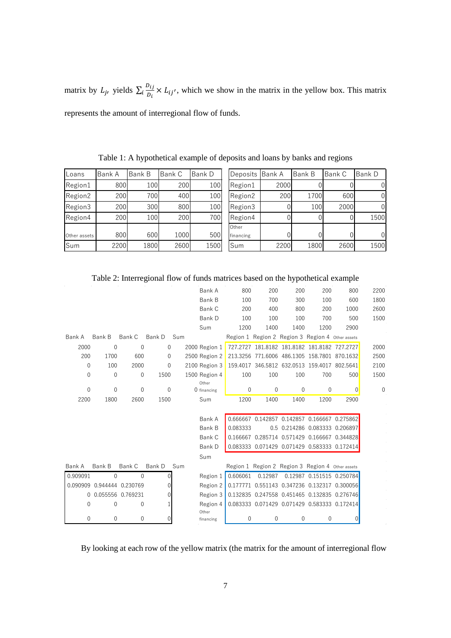matrix by  $L_j$ , yields  $\sum_i \frac{D_{ij}}{D_i} \times L_{ij'}$ , which we show in the matrix in the yellow box. This matrix represents the amount of interregional flow of funds.

| Loans        | Bank A | <b>Bank B</b> | Bank C | Bank D | Deposits Bank A |      | <b>Bank B</b> | Bank C | Bank D |
|--------------|--------|---------------|--------|--------|-----------------|------|---------------|--------|--------|
| Region1      | 800    | 100           | 200    | 100    | Region1         | 2000 |               |        | 01     |
| Region2      | 200    | 700           | 400    | 100    | Region2         | 200  | 1700          | 600    | 01     |
| Region3      | 200    | 300           | 800    | 100    | Region3         |      | 100           | 2000   | 01     |
| Region4      | 200    | 100           | 200    | 700    | Region4         |      |               |        | 1500   |
|              |        |               |        |        | Other           |      |               |        |        |
| Other assets | 800    | 600           | 1000   | 500    | financing       |      |               |        | 01     |
| Sum          | 2200   | 1800          | 2600   | 1500   | Sum             | 2200 | 1800          | 2600   | 1500   |

Table 1: A hypothetical example of deposits and loans by banks and regions

|             |                            |                   | Table 2: Interregional flow of funds matrices based on the hypothetical example |     |                        |                                              |                                                  |              |      |                                                  |          |
|-------------|----------------------------|-------------------|---------------------------------------------------------------------------------|-----|------------------------|----------------------------------------------|--------------------------------------------------|--------------|------|--------------------------------------------------|----------|
|             |                            |                   |                                                                                 |     | Bank A                 | 800                                          | 200                                              | 200          | 200  | 800                                              | 2200     |
|             |                            |                   |                                                                                 |     | Bank B                 | 100                                          | 700                                              | 300          | 100  | 600                                              | 1800     |
|             |                            |                   |                                                                                 |     | Bank C                 | 200                                          | 400                                              | 800          | 200  | 1000                                             | 2600     |
|             |                            |                   |                                                                                 |     | Bank D                 | 100                                          | 100                                              | 100          | 700  | 500                                              | 1500     |
|             |                            |                   |                                                                                 |     | Sum                    | 1200                                         | 1400                                             | 1400         | 1200 | 2900                                             |          |
| Bank A      | Bank B                     | Bank C            | Bank D                                                                          | Sum |                        |                                              | Region 1 Region 2 Region 3 Region 4 Other assets |              |      |                                                  |          |
| 2000        | $\mathbf{0}$               | 0                 | 0                                                                               |     | 2000 Region 1          |                                              |                                                  |              |      | 727.2727 181.8182 181.8182 181.8182 727.2727     | 2000     |
| 200         | 1700                       | 600               | 0                                                                               |     | 2500 Region 2          | 213.3256 771.6006 486.1305 158.7801 870.1632 |                                                  |              |      |                                                  | 2500     |
| $\mathbf 0$ | 100                        | 2000              | $\mathbf 0$                                                                     |     | 2100 Region 3          |                                              |                                                  |              |      | 159.4017 346.5812 632.0513 159.4017 802.5641     | 2100     |
| $\mathbf 0$ | $\mathbf{0}$               | 0                 | 1500                                                                            |     | 1500 Region 4<br>Other | 100                                          | 100                                              | 100          | 700  | 500                                              | 1500     |
| $\Omega$    | $\theta$                   | 0                 | $\mathbf{0}$                                                                    |     | 0 financing            | 0                                            | $\mathbf 0$                                      | $\mathbf{0}$ | 0    | $\overline{0}$                                   | $\theta$ |
| 2200        | 1800                       | 2600              | 1500                                                                            |     | Sum                    | 1200                                         | 1400                                             | 1400         | 1200 | 2900                                             |          |
|             |                            |                   |                                                                                 |     |                        |                                              |                                                  |              |      |                                                  |          |
|             |                            |                   |                                                                                 |     | Bank A                 |                                              |                                                  |              |      | 0.666667 0.142857 0.142857 0.166667 0.275862     |          |
|             |                            |                   |                                                                                 |     | Bank B                 | 0.083333                                     |                                                  |              |      | 0.5 0.214286 0.083333 0.206897                   |          |
|             |                            |                   |                                                                                 |     | Bank C                 |                                              |                                                  |              |      | 0.166667 0.285714 0.571429 0.166667 0.344828     |          |
|             |                            |                   |                                                                                 |     | Bank D                 |                                              |                                                  |              |      | 0.083333 0.071429 0.071429 0.583333 0.172414     |          |
|             |                            |                   |                                                                                 |     | Sum                    |                                              |                                                  |              |      |                                                  |          |
| Bank A      | Bank B                     | Bank C            | Bank D                                                                          | Sum |                        |                                              | Region 1 Region 2 Region 3 Region 4 Other assets |              |      |                                                  |          |
| 0.909091    | $\Omega$                   | $\Omega$          |                                                                                 |     | Region 1               | 0.606061                                     | 0.12987                                          |              |      | 0.12987 0.151515 0.250784                        |          |
|             | 0.090909 0.944444 0.230769 |                   |                                                                                 |     | Region 2               |                                              |                                                  |              |      | 0.177771 0.551143 0.347236 0.132317 0.300056     |          |
| 0           |                            | 0.055556 0.769231 | 0                                                                               |     | Region 3               |                                              |                                                  |              |      | 0.132835 0.247558 0.451465 0.132835 0.276746     |          |
| $\theta$    | $\Omega$                   | 0                 |                                                                                 |     | Region 4<br>Other      |                                              |                                                  |              |      | 0.083333  0.071429  0.071429  0.583333  0.172414 |          |
| 0           | 0                          | 0                 |                                                                                 |     | financing              | 0                                            | $\mathbf{0}$                                     | $\mathbf{0}$ | 0    | 0                                                |          |

Table 2: Interregional flow of funds matrices based on the hypothetical example

By looking at each row of the yellow matrix (the matrix for the amount of interregional flow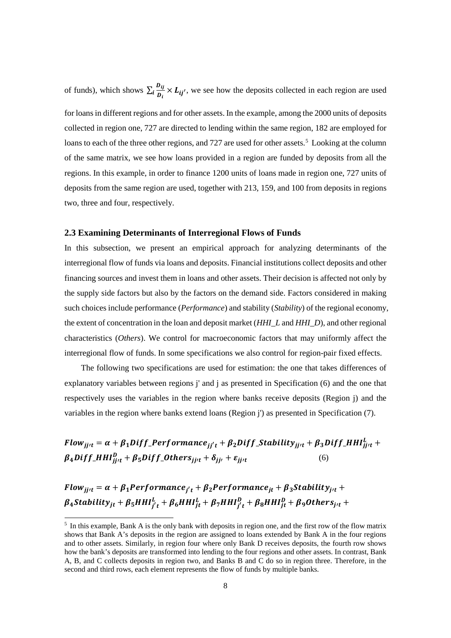of funds), which shows  $\sum_i \frac{b_{ij}}{b_i} \times L_{ij'}$ , we see how the deposits collected in each region are used

for loans in different regions and for other assets. In the example, among the 2000 units of deposits collected in region one, 727 are directed to lending within the same region, 182 are employed for loans to each of the three other regions, and 727 are used for other assets.<sup>[5](#page-8-0)</sup> Looking at the column of the same matrix, we see how loans provided in a region are funded by deposits from all the regions. In this example, in order to finance 1200 units of loans made in region one, 727 units of deposits from the same region are used, together with 213, 159, and 100 from deposits in regions two, three and four, respectively.

#### **2.3 Examining Determinants of Interregional Flows of Funds**

In this subsection, we present an empirical approach for analyzing determinants of the interregional flow of funds via loans and deposits. Financial institutions collect deposits and other financing sources and invest them in loans and other assets. Their decision is affected not only by the supply side factors but also by the factors on the demand side. Factors considered in making such choices include performance (*Performance*) and stability (*Stability*) of the regional economy, the extent of concentration in the loan and deposit market (*HHI\_L* and *HHI\_D*), and other regional characteristics (*Others*). We control for macroeconomic factors that may uniformly affect the interregional flow of funds. In some specifications we also control for region-pair fixed effects.

The following two specifications are used for estimation: the one that takes differences of explanatory variables between regions j' and j as presented in Specification (6) and the one that respectively uses the variables in the region where banks receive deposits (Region j) and the variables in the region where banks extend loans (Region j') as presented in Specification (7).

Flow<sub>jjt</sub> =  $\alpha + \beta_1$ Diff\_Performance<sub>jj't</sub> +  $\beta_2$ Diff\_Stability<sub>jjt</sub> +  $\beta_3$ Diff\_HHI $_{jjt}^L$  +  $\beta_4 Diff\_HHI_{jjrt}^D + \beta_5 Diff\_Others_{jjrt} + \delta_{jj'} + \varepsilon_{jjrt}$  (6)

 $Flow_{i} = \alpha + \beta_1 Performance_{i'}$  +  $\beta_2 Perform$  *performance*<sub>it</sub> +  $\beta_3$  *Stability*<sub>it</sub> + $\beta_4$ Stability ${}_{jt}+ \beta_5 H H I^L_{j't}+ \beta_6 H H I^L_{jt}+ \beta_7 H H I^D_{j't}+ \beta_8 H H I^D_{jt}+ \beta_9 O the r s_{j't}+ \beta_9 O h$ 

<span id="page-8-0"></span> <sup>5</sup> In this example, Bank A is the only bank with deposits in region one, and the first row of the flow matrix shows that Bank A's deposits in the region are assigned to loans extended by Bank A in the four regions and to other assets. Similarly, in region four where only Bank D receives deposits, the fourth row shows how the bank's deposits are transformed into lending to the four regions and other assets. In contrast, Bank A, B, and C collects deposits in region two, and Banks B and C do so in region three. Therefore, in the second and third rows, each element represents the flow of funds by multiple banks.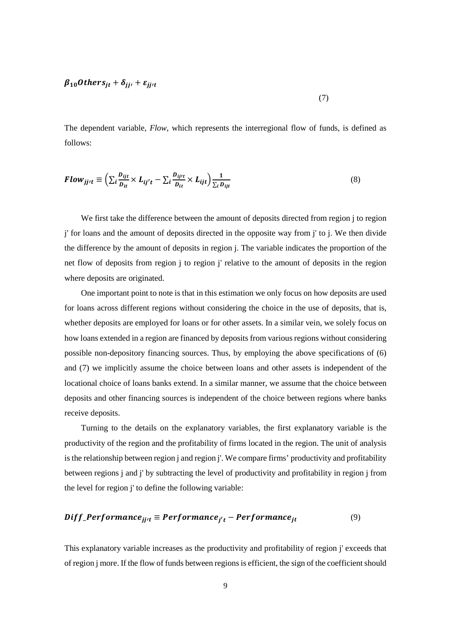### $\beta_{10} Others_{it} + \delta_{ij} t + \varepsilon_{ij} t$

The dependent variable, *Flow*, which represents the interregional flow of funds, is defined as follows:

(7)

$$
Flow_{jjt} \equiv \left(\sum_{i} \frac{b_{ijt}}{D_{it}} \times L_{ij't} - \sum_{i} \frac{b_{ijtt}}{D_{it}} \times L_{ijt}\right) \frac{1}{\sum_{i} D_{ijt}}
$$
(8)

We first take the difference between the amount of deposits directed from region j to region j' for loans and the amount of deposits directed in the opposite way from j' to j. We then divide the difference by the amount of deposits in region j. The variable indicates the proportion of the net flow of deposits from region j to region j' relative to the amount of deposits in the region where deposits are originated.

One important point to note is that in this estimation we only focus on how deposits are used for loans across different regions without considering the choice in the use of deposits, that is, whether deposits are employed for loans or for other assets. In a similar vein, we solely focus on how loans extended in a region are financed by deposits from various regions without considering possible non-depository financing sources. Thus, by employing the above specifications of (6) and (7) we implicitly assume the choice between loans and other assets is independent of the locational choice of loans banks extend. In a similar manner, we assume that the choice between deposits and other financing sources is independent of the choice between regions where banks receive deposits.

Turning to the details on the explanatory variables, the first explanatory variable is the productivity of the region and the profitability of firms located in the region. The unit of analysis is the relationship between region j and region j'. We compare firms' productivity and profitability between regions j and j' by subtracting the level of productivity and profitability in region j from the level for region j' to define the following variable:

$$
Diff\_Performance_{jjt} \equiv Performance_{j't} - Performance_{jt}
$$
 (9)

This explanatory variable increases as the productivity and profitability of region j' exceeds that of region j more. If the flow of funds between regions is efficient, the sign of the coefficient should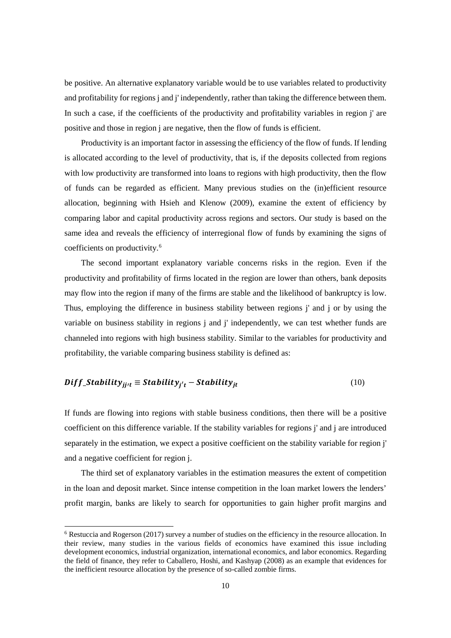be positive. An alternative explanatory variable would be to use variables related to productivity and profitability for regions j and j' independently, rather than taking the difference between them. In such a case, if the coefficients of the productivity and profitability variables in region j' are positive and those in region j are negative, then the flow of funds is efficient.

Productivity is an important factor in assessing the efficiency of the flow of funds. If lending is allocated according to the level of productivity, that is, if the deposits collected from regions with low productivity are transformed into loans to regions with high productivity, then the flow of funds can be regarded as efficient. Many previous studies on the (in)efficient resource allocation, beginning with Hsieh and Klenow (2009), examine the extent of efficiency by comparing labor and capital productivity across regions and sectors. Our study is based on the same idea and reveals the efficiency of interregional flow of funds by examining the signs of coefficients on productivity.[6](#page-10-0)

The second important explanatory variable concerns risks in the region. Even if the productivity and profitability of firms located in the region are lower than others, bank deposits may flow into the region if many of the firms are stable and the likelihood of bankruptcy is low. Thus, employing the difference in business stability between regions j' and j or by using the variable on business stability in regions j and j' independently, we can test whether funds are channeled into regions with high business stability. Similar to the variables for productivity and profitability, the variable comparing business stability is defined as:

#### $\text{Diff\_Stability}_{i\mu} \equiv \text{Stability}_{i'\tau} - \text{Stability}_{it}$  (10)

If funds are flowing into regions with stable business conditions, then there will be a positive coefficient on this difference variable. If the stability variables for regions j' and j are introduced separately in the estimation, we expect a positive coefficient on the stability variable for region j' and a negative coefficient for region j.

The third set of explanatory variables in the estimation measures the extent of competition in the loan and deposit market. Since intense competition in the loan market lowers the lenders' profit margin, banks are likely to search for opportunities to gain higher profit margins and

<span id="page-10-0"></span><sup>&</sup>lt;sup>6</sup> Restuccia and Rogerson (2017) survey a number of studies on the efficiency in the resource allocation. In their review, many studies in the various fields of economics have examined this issue including development economics, industrial organization, international economics, and labor economics. Regarding the field of finance, they refer to Caballero, Hoshi, and Kashyap (2008) as an example that evidences for the inefficient resource allocation by the presence of so-called zombie firms.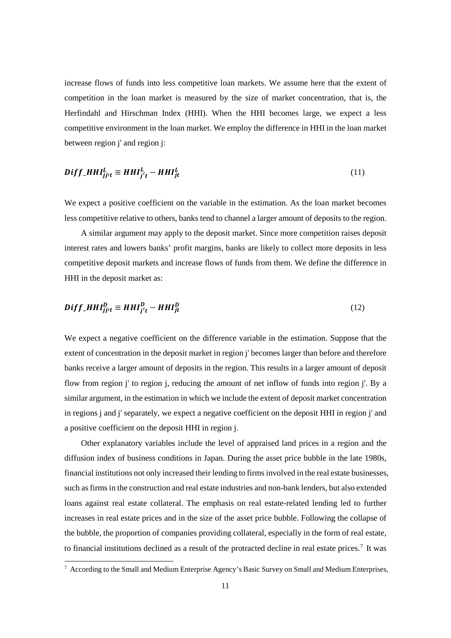increase flows of funds into less competitive loan markets. We assume here that the extent of competition in the loan market is measured by the size of market concentration, that is, the Herfindahl and Hirschman Index (HHI). When the HHI becomes large, we expect a less competitive environment in the loan market. We employ the difference in HHI in the loan market between region j' and region j:

$$
Diff\_HHI_{jjt}^{L} \equiv HHI_{j't}^{L} - HHI_{jt}^{L}
$$
\n(11)

We expect a positive coefficient on the variable in the estimation. As the loan market becomes less competitive relative to others, banks tend to channel a larger amount of deposits to the region.

A similar argument may apply to the deposit market. Since more competition raises deposit interest rates and lowers banks' profit margins, banks are likely to collect more deposits in less competitive deposit markets and increase flows of funds from them. We define the difference in HHI in the deposit market as:

$$
Diff\_HHI_{jj't}^D \equiv HHI_{j't}^D - HHI_{jt}^D \tag{12}
$$

We expect a negative coefficient on the difference variable in the estimation. Suppose that the extent of concentration in the deposit market in region j' becomes larger than before and therefore banks receive a larger amount of deposits in the region. This results in a larger amount of deposit flow from region j' to region j, reducing the amount of net inflow of funds into region j'. By a similar argument, in the estimation in which we include the extent of deposit market concentration in regions j and j' separately, we expect a negative coefficient on the deposit HHI in region j' and a positive coefficient on the deposit HHI in region j.

Other explanatory variables include the level of appraised land prices in a region and the diffusion index of business conditions in Japan. During the asset price bubble in the late 1980s, financial institutions not only increased their lending to firms involved in the real estate businesses, such as firms in the construction and real estate industries and non-bank lenders, but also extended loans against real estate collateral. The emphasis on real estate-related lending led to further increases in real estate prices and in the size of the asset price bubble. Following the collapse of the bubble, the proportion of companies providing collateral, especially in the form of real estate, to financial institutions declined as a result of the protracted decline in real estate prices.[7](#page-11-0) It was

<span id="page-11-0"></span> <sup>7</sup> According to the Small and Medium Enterprise Agency's Basic Survey on Small and Medium Enterprises,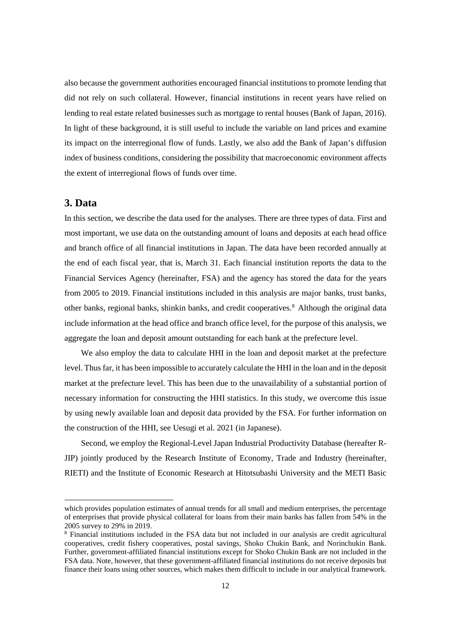also because the government authorities encouraged financial institutions to promote lending that did not rely on such collateral. However, financial institutions in recent years have relied on lending to real estate related businesses such as mortgage to rental houses (Bank of Japan, 2016). In light of these background, it is still useful to include the variable on land prices and examine its impact on the interregional flow of funds. Lastly, we also add the Bank of Japan's diffusion index of business conditions, considering the possibility that macroeconomic environment affects the extent of interregional flows of funds over time.

## **3. Data**

-

In this section, we describe the data used for the analyses. There are three types of data. First and most important, we use data on the outstanding amount of loans and deposits at each head office and branch office of all financial institutions in Japan. The data have been recorded annually at the end of each fiscal year, that is, March 31. Each financial institution reports the data to the Financial Services Agency (hereinafter, FSA) and the agency has stored the data for the years from 2005 to 2019. Financial institutions included in this analysis are major banks, trust banks, other banks, regional banks, shinkin banks, and credit cooperatives.[8](#page-12-0) Although the original data include information at the head office and branch office level, for the purpose of this analysis, we aggregate the loan and deposit amount outstanding for each bank at the prefecture level.

We also employ the data to calculate HHI in the loan and deposit market at the prefecture level. Thus far, it has been impossible to accurately calculate the HHI in the loan and in the deposit market at the prefecture level. This has been due to the unavailability of a substantial portion of necessary information for constructing the HHI statistics. In this study, we overcome this issue by using newly available loan and deposit data provided by the FSA. For further information on the construction of the HHI, see Uesugi et al. 2021 (in Japanese).

Second, we employ the Regional-Level Japan Industrial Productivity Database (hereafter R-JIP) jointly produced by the Research Institute of Economy, Trade and Industry (hereinafter, RIETI) and the Institute of Economic Research at Hitotsubashi University and the METI Basic

which provides population estimates of annual trends for all small and medium enterprises, the percentage of enterprises that provide physical collateral for loans from their main banks has fallen from 54% in the 2005 survey to 29% in 2019.

<span id="page-12-0"></span><sup>8</sup> Financial institutions included in the FSA data but not included in our analysis are credit agricultural cooperatives, credit fishery cooperatives, postal savings, Shoko Chukin Bank, and Norinchukin Bank. Further, government-affiliated financial institutions except for Shoko Chukin Bank are not included in the FSA data. Note, however, that these government-affiliated financial institutions do not receive deposits but finance their loans using other sources, which makes them difficult to include in our analytical framework.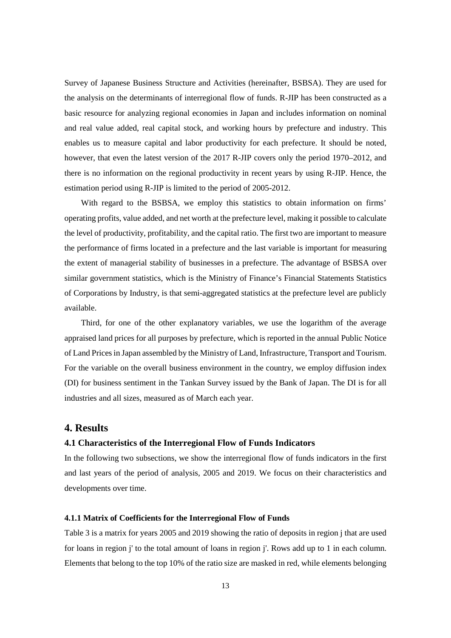Survey of Japanese Business Structure and Activities (hereinafter, BSBSA). They are used for the analysis on the determinants of interregional flow of funds. R-JIP has been constructed as a basic resource for analyzing regional economies in Japan and includes information on nominal and real value added, real capital stock, and working hours by prefecture and industry. This enables us to measure capital and labor productivity for each prefecture. It should be noted, however, that even the latest version of the 2017 R-JIP covers only the period 1970–2012, and there is no information on the regional productivity in recent years by using R-JIP. Hence, the estimation period using R-JIP is limited to the period of 2005-2012.

With regard to the BSBSA, we employ this statistics to obtain information on firms' operating profits, value added, and net worth at the prefecture level, making it possible to calculate the level of productivity, profitability, and the capital ratio. The first two are important to measure the performance of firms located in a prefecture and the last variable is important for measuring the extent of managerial stability of businesses in a prefecture. The advantage of BSBSA over similar government statistics, which is the Ministry of Finance's Financial Statements Statistics of Corporations by Industry, is that semi-aggregated statistics at the prefecture level are publicly available.

Third, for one of the other explanatory variables, we use the logarithm of the average appraised land prices for all purposes by prefecture, which is reported in the annual Public Notice of Land Prices in Japan assembled by the Ministry of Land, Infrastructure, Transport and Tourism. For the variable on the overall business environment in the country, we employ diffusion index (DI) for business sentiment in the Tankan Survey issued by the Bank of Japan. The DI is for all industries and all sizes, measured as of March each year.

#### **4. Results**

#### **4.1 Characteristics of the Interregional Flow of Funds Indicators**

In the following two subsections, we show the interregional flow of funds indicators in the first and last years of the period of analysis, 2005 and 2019. We focus on their characteristics and developments over time.

#### **4.1.1 Matrix of Coefficients for the Interregional Flow of Funds**

Table 3 is a matrix for years 2005 and 2019 showing the ratio of deposits in region j that are used for loans in region j' to the total amount of loans in region j'. Rows add up to 1 in each column. Elements that belong to the top 10% of the ratio size are masked in red, while elements belonging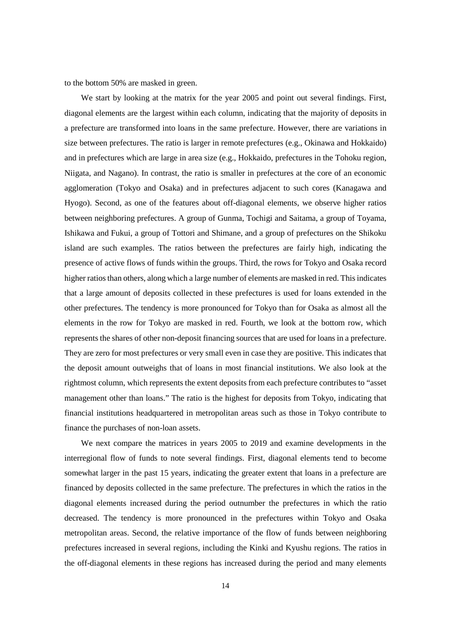to the bottom 50% are masked in green.

We start by looking at the matrix for the year 2005 and point out several findings. First, diagonal elements are the largest within each column, indicating that the majority of deposits in a prefecture are transformed into loans in the same prefecture. However, there are variations in size between prefectures. The ratio is larger in remote prefectures (e.g., Okinawa and Hokkaido) and in prefectures which are large in area size (e.g., Hokkaido, prefectures in the Tohoku region, Niigata, and Nagano). In contrast, the ratio is smaller in prefectures at the core of an economic agglomeration (Tokyo and Osaka) and in prefectures adjacent to such cores (Kanagawa and Hyogo). Second, as one of the features about off-diagonal elements, we observe higher ratios between neighboring prefectures. A group of Gunma, Tochigi and Saitama, a group of Toyama, Ishikawa and Fukui, a group of Tottori and Shimane, and a group of prefectures on the Shikoku island are such examples. The ratios between the prefectures are fairly high, indicating the presence of active flows of funds within the groups. Third, the rows for Tokyo and Osaka record higher ratios than others, along which a large number of elements are masked in red. This indicates that a large amount of deposits collected in these prefectures is used for loans extended in the other prefectures. The tendency is more pronounced for Tokyo than for Osaka as almost all the elements in the row for Tokyo are masked in red. Fourth, we look at the bottom row, which represents the shares of other non-deposit financing sources that are used for loans in a prefecture. They are zero for most prefectures or very small even in case they are positive. This indicates that the deposit amount outweighs that of loans in most financial institutions. We also look at the rightmost column, which represents the extent deposits from each prefecture contributes to "asset management other than loans." The ratio is the highest for deposits from Tokyo, indicating that financial institutions headquartered in metropolitan areas such as those in Tokyo contribute to finance the purchases of non-loan assets.

We next compare the matrices in years 2005 to 2019 and examine developments in the interregional flow of funds to note several findings. First, diagonal elements tend to become somewhat larger in the past 15 years, indicating the greater extent that loans in a prefecture are financed by deposits collected in the same prefecture. The prefectures in which the ratios in the diagonal elements increased during the period outnumber the prefectures in which the ratio decreased. The tendency is more pronounced in the prefectures within Tokyo and Osaka metropolitan areas. Second, the relative importance of the flow of funds between neighboring prefectures increased in several regions, including the Kinki and Kyushu regions. The ratios in the off-diagonal elements in these regions has increased during the period and many elements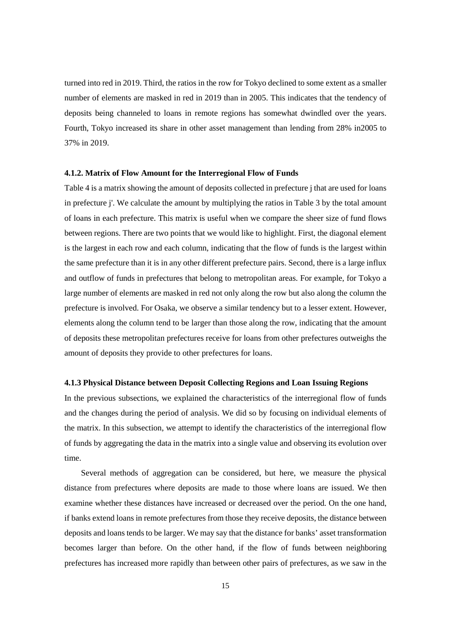turned into red in 2019. Third, the ratios in the row for Tokyo declined to some extent as a smaller number of elements are masked in red in 2019 than in 2005. This indicates that the tendency of deposits being channeled to loans in remote regions has somewhat dwindled over the years. Fourth, Tokyo increased its share in other asset management than lending from 28% in2005 to 37% in 2019.

#### **4.1.2. Matrix of Flow Amount for the Interregional Flow of Funds**

Table 4 is a matrix showing the amount of deposits collected in prefecture j that are used for loans in prefecture j'. We calculate the amount by multiplying the ratios in Table 3 by the total amount of loans in each prefecture. This matrix is useful when we compare the sheer size of fund flows between regions. There are two points that we would like to highlight. First, the diagonal element is the largest in each row and each column, indicating that the flow of funds is the largest within the same prefecture than it is in any other different prefecture pairs. Second, there is a large influx and outflow of funds in prefectures that belong to metropolitan areas. For example, for Tokyo a large number of elements are masked in red not only along the row but also along the column the prefecture is involved. For Osaka, we observe a similar tendency but to a lesser extent. However, elements along the column tend to be larger than those along the row, indicating that the amount of deposits these metropolitan prefectures receive for loans from other prefectures outweighs the amount of deposits they provide to other prefectures for loans.

#### **4.1.3 Physical Distance between Deposit Collecting Regions and Loan Issuing Regions**

In the previous subsections, we explained the characteristics of the interregional flow of funds and the changes during the period of analysis. We did so by focusing on individual elements of the matrix. In this subsection, we attempt to identify the characteristics of the interregional flow of funds by aggregating the data in the matrix into a single value and observing its evolution over time.

Several methods of aggregation can be considered, but here, we measure the physical distance from prefectures where deposits are made to those where loans are issued. We then examine whether these distances have increased or decreased over the period. On the one hand, if banks extend loans in remote prefectures from those they receive deposits, the distance between deposits and loans tends to be larger. We may say that the distance for banks' asset transformation becomes larger than before. On the other hand, if the flow of funds between neighboring prefectures has increased more rapidly than between other pairs of prefectures, as we saw in the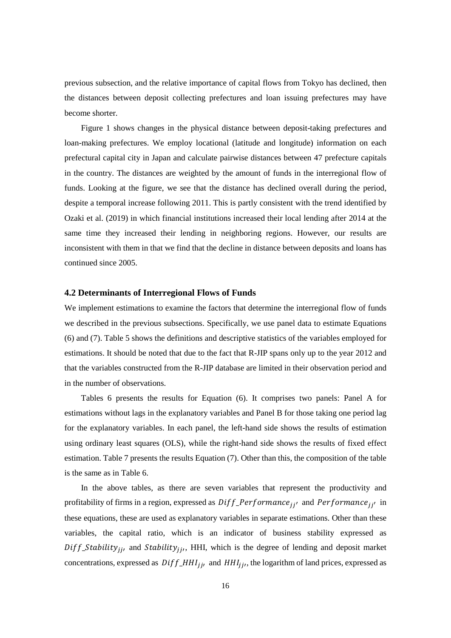previous subsection, and the relative importance of capital flows from Tokyo has declined, then the distances between deposit collecting prefectures and loan issuing prefectures may have become shorter.

Figure 1 shows changes in the physical distance between deposit-taking prefectures and loan-making prefectures. We employ locational (latitude and longitude) information on each prefectural capital city in Japan and calculate pairwise distances between 47 prefecture capitals in the country. The distances are weighted by the amount of funds in the interregional flow of funds. Looking at the figure, we see that the distance has declined overall during the period, despite a temporal increase following 2011. This is partly consistent with the trend identified by Ozaki et al. (2019) in which financial institutions increased their local lending after 2014 at the same time they increased their lending in neighboring regions. However, our results are inconsistent with them in that we find that the decline in distance between deposits and loans has continued since 2005.

#### **4.2 Determinants of Interregional Flows of Funds**

We implement estimations to examine the factors that determine the interregional flow of funds we described in the previous subsections. Specifically, we use panel data to estimate Equations (6) and (7). Table 5 shows the definitions and descriptive statistics of the variables employed for estimations. It should be noted that due to the fact that R-JIP spans only up to the year 2012 and that the variables constructed from the R-JIP database are limited in their observation period and in the number of observations.

Tables 6 presents the results for Equation (6). It comprises two panels: Panel A for estimations without lags in the explanatory variables and Panel B for those taking one period lag for the explanatory variables. In each panel, the left-hand side shows the results of estimation using ordinary least squares (OLS), while the right-hand side shows the results of fixed effect estimation. Table 7 presents the results Equation (7). Other than this, the composition of the table is the same as in Table 6.

In the above tables, as there are seven variables that represent the productivity and profitability of firms in a region, expressed as  $Diff\_Performance_{ii'}$  and  $Performance_{ii'}$  in these equations, these are used as explanatory variables in separate estimations. Other than these variables, the capital ratio, which is an indicator of business stability expressed as  $Diff\_Stability_{ij}$ , and  $Stability_{ij}$ , HHI, which is the degree of lending and deposit market concentrations, expressed as  $Diff_HHI_{ij}$ , and  $HH_{ij}$ , the logarithm of land prices, expressed as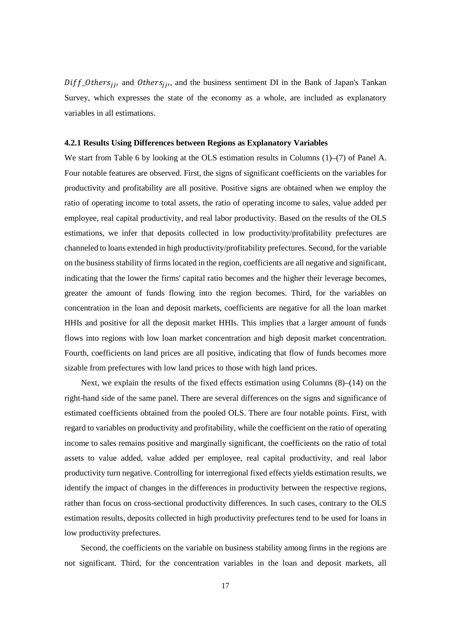$Diff\_Others_{ij}$ , and  $Others_{ij}$ , and the business sentiment DI in the Bank of Japan's Tankan Survey, which expresses the state of the economy as a whole, are included as explanatory variables in all estimations.

#### **4.2.1 Results Using Differences between Regions as Explanatory Variables**

We start from Table 6 by looking at the OLS estimation results in Columns (1)–(7) of Panel A. Four notable features are observed. First, the signs of significant coefficients on the variables for productivity and profitability are all positive. Positive signs are obtained when we employ the ratio of operating income to total assets, the ratio of operating income to sales, value added per employee, real capital productivity, and real labor productivity. Based on the results of the OLS estimations, we infer that deposits collected in low productivity/profitability prefectures are channeled to loans extended in high productivity/profitability prefectures. Second, for the variable on the business stability of firms located in the region, coefficients are all negative and significant, indicating that the lower the firms' capital ratio becomes and the higher their leverage becomes, greater the amount of funds flowing into the region becomes. Third, for the variables on concentration in the loan and deposit markets, coefficients are negative for all the loan market HHIs and positive for all the deposit market HHIs. This implies that a larger amount of funds flows into regions with low loan market concentration and high deposit market concentration. Fourth, coefficients on land prices are all positive, indicating that flow of funds becomes more sizable from prefectures with low land prices to those with high land prices.

Next, we explain the results of the fixed effects estimation using Columns  $(8)$ – $(14)$  on the right-hand side of the same panel. There are several differences on the signs and significance of estimated coefficients obtained from the pooled OLS. There are four notable points. First, with regard to variables on productivity and profitability, while the coefficient on the ratio of operating income to sales remains positive and marginally significant, the coefficients on the ratio of total assets to value added, value added per employee, real capital productivity, and real labor productivity turn negative. Controlling for interregional fixed effects yields estimation results, we identify the impact of changes in the differences in productivity between the respective regions, rather than focus on cross-sectional productivity differences. In such cases, contrary to the OLS estimation results, deposits collected in high productivity prefectures tend to be used for loans in low productivity prefectures.

Second, the coefficients on the variable on business stability among firms in the regions are not significant. Third, for the concentration variables in the loan and deposit markets, all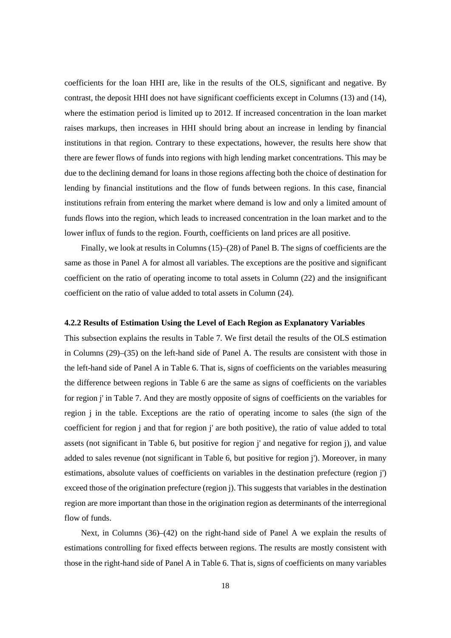coefficients for the loan HHI are, like in the results of the OLS, significant and negative. By contrast, the deposit HHI does not have significant coefficients except in Columns (13) and (14), where the estimation period is limited up to 2012. If increased concentration in the loan market raises markups, then increases in HHI should bring about an increase in lending by financial institutions in that region. Contrary to these expectations, however, the results here show that there are fewer flows of funds into regions with high lending market concentrations. This may be due to the declining demand for loans in those regions affecting both the choice of destination for lending by financial institutions and the flow of funds between regions. In this case, financial institutions refrain from entering the market where demand is low and only a limited amount of funds flows into the region, which leads to increased concentration in the loan market and to the lower influx of funds to the region. Fourth, coefficients on land prices are all positive.

Finally, we look at results in Columns (15)–(28) of Panel B. The signs of coefficients are the same as those in Panel A for almost all variables. The exceptions are the positive and significant coefficient on the ratio of operating income to total assets in Column (22) and the insignificant coefficient on the ratio of value added to total assets in Column (24).

#### **4.2.2 Results of Estimation Using the Level of Each Region as Explanatory Variables**

This subsection explains the results in Table 7. We first detail the results of the OLS estimation in Columns (29)–(35) on the left-hand side of Panel A. The results are consistent with those in the left-hand side of Panel A in Table 6. That is, signs of coefficients on the variables measuring the difference between regions in Table 6 are the same as signs of coefficients on the variables for region j' in Table 7. And they are mostly opposite of signs of coefficients on the variables for region j in the table. Exceptions are the ratio of operating income to sales (the sign of the coefficient for region j and that for region j' are both positive), the ratio of value added to total assets (not significant in Table 6, but positive for region j' and negative for region j), and value added to sales revenue (not significant in Table 6, but positive for region j'). Moreover, in many estimations, absolute values of coefficients on variables in the destination prefecture (region j') exceed those of the origination prefecture (region j). This suggests that variables in the destination region are more important than those in the origination region as determinants of the interregional flow of funds.

Next, in Columns (36)–(42) on the right-hand side of Panel A we explain the results of estimations controlling for fixed effects between regions. The results are mostly consistent with those in the right-hand side of Panel A in Table 6. That is, signs of coefficients on many variables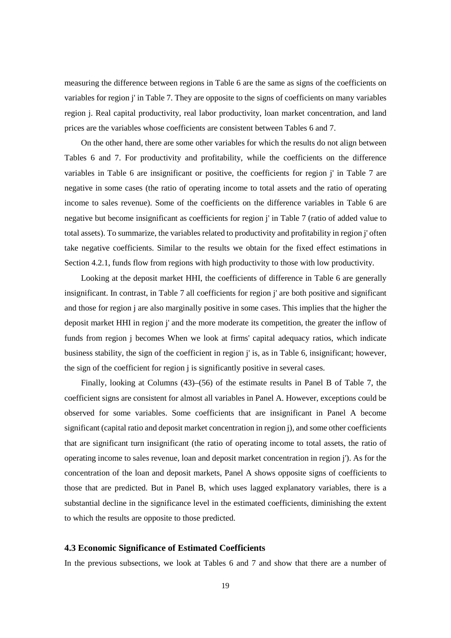measuring the difference between regions in Table 6 are the same as signs of the coefficients on variables for region j' in Table 7. They are opposite to the signs of coefficients on many variables region j. Real capital productivity, real labor productivity, loan market concentration, and land prices are the variables whose coefficients are consistent between Tables 6 and 7.

On the other hand, there are some other variables for which the results do not align between Tables 6 and 7. For productivity and profitability, while the coefficients on the difference variables in Table 6 are insignificant or positive, the coefficients for region j' in Table 7 are negative in some cases (the ratio of operating income to total assets and the ratio of operating income to sales revenue). Some of the coefficients on the difference variables in Table 6 are negative but become insignificant as coefficients for region j' in Table 7 (ratio of added value to total assets). To summarize, the variables related to productivity and profitability in region j' often take negative coefficients. Similar to the results we obtain for the fixed effect estimations in Section 4.2.1, funds flow from regions with high productivity to those with low productivity.

Looking at the deposit market HHI, the coefficients of difference in Table 6 are generally insignificant. In contrast, in Table 7 all coefficients for region j' are both positive and significant and those for region j are also marginally positive in some cases. This implies that the higher the deposit market HHI in region j' and the more moderate its competition, the greater the inflow of funds from region j becomes When we look at firms' capital adequacy ratios, which indicate business stability, the sign of the coefficient in region j' is, as in Table 6, insignificant; however, the sign of the coefficient for region j is significantly positive in several cases.

Finally, looking at Columns (43)–(56) of the estimate results in Panel B of Table 7, the coefficient signs are consistent for almost all variables in Panel A. However, exceptions could be observed for some variables. Some coefficients that are insignificant in Panel A become significant (capital ratio and deposit market concentration in region j), and some other coefficients that are significant turn insignificant (the ratio of operating income to total assets, the ratio of operating income to sales revenue, loan and deposit market concentration in region j'). As for the concentration of the loan and deposit markets, Panel A shows opposite signs of coefficients to those that are predicted. But in Panel B, which uses lagged explanatory variables, there is a substantial decline in the significance level in the estimated coefficients, diminishing the extent to which the results are opposite to those predicted.

#### **4.3 Economic Significance of Estimated Coefficients**

In the previous subsections, we look at Tables 6 and 7 and show that there are a number of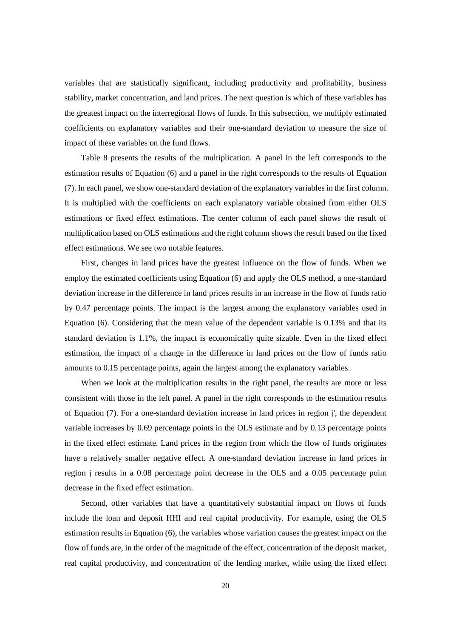variables that are statistically significant, including productivity and profitability, business stability, market concentration, and land prices. The next question is which of these variables has the greatest impact on the interregional flows of funds. In this subsection, we multiply estimated coefficients on explanatory variables and their one-standard deviation to measure the size of impact of these variables on the fund flows.

Table 8 presents the results of the multiplication. A panel in the left corresponds to the estimation results of Equation (6) and a panel in the right corresponds to the results of Equation (7). In each panel, we show one-standard deviation of the explanatory variables in the first column. It is multiplied with the coefficients on each explanatory variable obtained from either OLS estimations or fixed effect estimations. The center column of each panel shows the result of multiplication based on OLS estimations and the right column shows the result based on the fixed effect estimations. We see two notable features.

First, changes in land prices have the greatest influence on the flow of funds. When we employ the estimated coefficients using Equation (6) and apply the OLS method, a one-standard deviation increase in the difference in land prices results in an increase in the flow of funds ratio by 0.47 percentage points. The impact is the largest among the explanatory variables used in Equation (6). Considering that the mean value of the dependent variable is 0.13% and that its standard deviation is 1.1%, the impact is economically quite sizable. Even in the fixed effect estimation, the impact of a change in the difference in land prices on the flow of funds ratio amounts to 0.15 percentage points, again the largest among the explanatory variables.

When we look at the multiplication results in the right panel, the results are more or less consistent with those in the left panel. A panel in the right corresponds to the estimation results of Equation (7). For a one-standard deviation increase in land prices in region j', the dependent variable increases by 0.69 percentage points in the OLS estimate and by 0.13 percentage points in the fixed effect estimate. Land prices in the region from which the flow of funds originates have a relatively smaller negative effect. A one-standard deviation increase in land prices in region j results in a 0.08 percentage point decrease in the OLS and a 0.05 percentage point decrease in the fixed effect estimation.

Second, other variables that have a quantitatively substantial impact on flows of funds include the loan and deposit HHI and real capital productivity. For example, using the OLS estimation results in Equation (6), the variables whose variation causes the greatest impact on the flow of funds are, in the order of the magnitude of the effect, concentration of the deposit market, real capital productivity, and concentration of the lending market, while using the fixed effect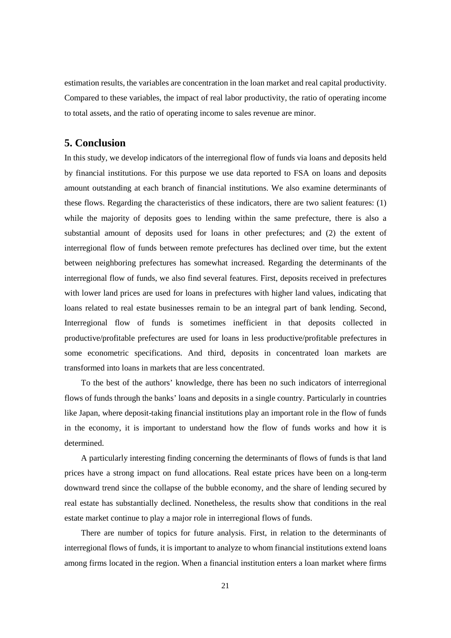estimation results, the variables are concentration in the loan market and real capital productivity. Compared to these variables, the impact of real labor productivity, the ratio of operating income to total assets, and the ratio of operating income to sales revenue are minor.

#### **5. Conclusion**

In this study, we develop indicators of the interregional flow of funds via loans and deposits held by financial institutions. For this purpose we use data reported to FSA on loans and deposits amount outstanding at each branch of financial institutions. We also examine determinants of these flows. Regarding the characteristics of these indicators, there are two salient features: (1) while the majority of deposits goes to lending within the same prefecture, there is also a substantial amount of deposits used for loans in other prefectures; and (2) the extent of interregional flow of funds between remote prefectures has declined over time, but the extent between neighboring prefectures has somewhat increased. Regarding the determinants of the interregional flow of funds, we also find several features. First, deposits received in prefectures with lower land prices are used for loans in prefectures with higher land values, indicating that loans related to real estate businesses remain to be an integral part of bank lending. Second, Interregional flow of funds is sometimes inefficient in that deposits collected in productive/profitable prefectures are used for loans in less productive/profitable prefectures in some econometric specifications. And third, deposits in concentrated loan markets are transformed into loans in markets that are less concentrated.

To the best of the authors' knowledge, there has been no such indicators of interregional flows of funds through the banks' loans and deposits in a single country. Particularly in countries like Japan, where deposit-taking financial institutions play an important role in the flow of funds in the economy, it is important to understand how the flow of funds works and how it is determined.

A particularly interesting finding concerning the determinants of flows of funds is that land prices have a strong impact on fund allocations. Real estate prices have been on a long-term downward trend since the collapse of the bubble economy, and the share of lending secured by real estate has substantially declined. Nonetheless, the results show that conditions in the real estate market continue to play a major role in interregional flows of funds.

There are number of topics for future analysis. First, in relation to the determinants of interregional flows of funds, it is important to analyze to whom financial institutions extend loans among firms located in the region. When a financial institution enters a loan market where firms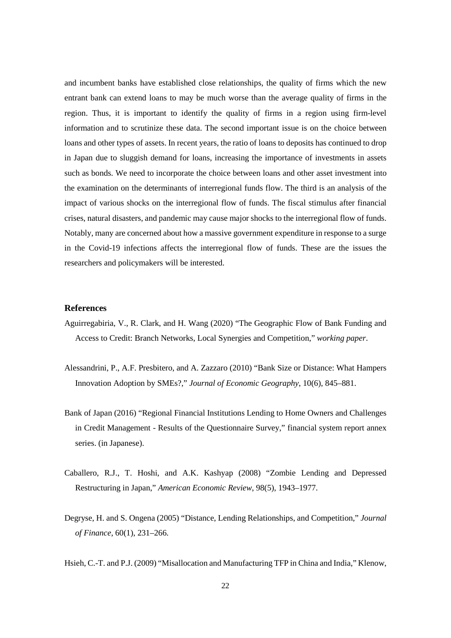and incumbent banks have established close relationships, the quality of firms which the new entrant bank can extend loans to may be much worse than the average quality of firms in the region. Thus, it is important to identify the quality of firms in a region using firm-level information and to scrutinize these data. The second important issue is on the choice between loans and other types of assets. In recent years, the ratio of loans to deposits has continued to drop in Japan due to sluggish demand for loans, increasing the importance of investments in assets such as bonds. We need to incorporate the choice between loans and other asset investment into the examination on the determinants of interregional funds flow. The third is an analysis of the impact of various shocks on the interregional flow of funds. The fiscal stimulus after financial crises, natural disasters, and pandemic may cause major shocks to the interregional flow of funds. Notably, many are concerned about how a massive government expenditure in response to a surge in the Covid-19 infections affects the interregional flow of funds. These are the issues the researchers and policymakers will be interested.

#### **References**

- Aguirregabiria, V., R. Clark, and H. Wang (2020) "The Geographic Flow of Bank Funding and Access to Credit: Branch Networks, Local Synergies and Competition," *working paper*.
- Alessandrini, P., A.F. Presbitero, and A. Zazzaro (2010) "Bank Size or Distance: What Hampers Innovation Adoption by SMEs?," *Journal of Economic Geography*, 10(6), 845–881.
- Bank of Japan (2016) "Regional Financial Institutions Lending to Home Owners and Challenges in Credit Management - Results of the Questionnaire Survey," financial system report annex series. (in Japanese).
- Caballero, R.J., T. Hoshi, and A.K. Kashyap (2008) "Zombie Lending and Depressed Restructuring in Japan," *American Economic Review*, 98(5), 1943–1977.
- Degryse, H. and S. Ongena (2005) "Distance, Lending Relationships, and Competition," *Journal of Finance*, 60(1), 231–266.
- Hsieh, C.-T. and P.J. (2009) "Misallocation and Manufacturing TFP in China and India," Klenow,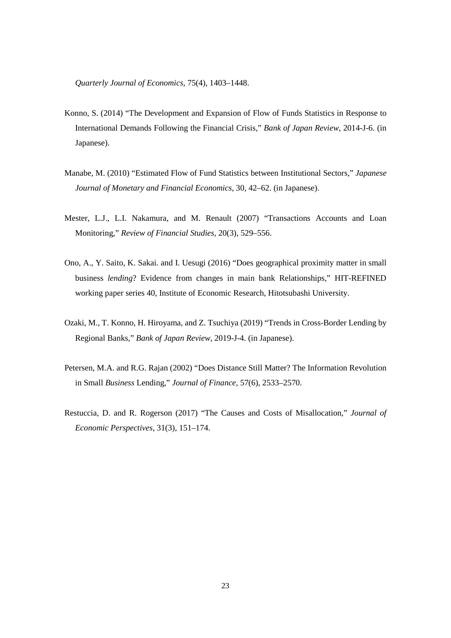*Quarterly Journal of Economics*, 75(4), 1403–1448.

- Konno, S. (2014) "The Development and Expansion of Flow of Funds Statistics in Response to International Demands Following the Financial Crisis," *Bank of Japan Review*, 2014-J-6. (in Japanese).
- Manabe, M. (2010) "Estimated Flow of Fund Statistics between Institutional Sectors," *Japanese Journal of Monetary and Financial Economics*, 30, 42–62. (in Japanese).
- Mester, L.J., L.I. Nakamura, and M. Renault (2007) "Transactions Accounts and Loan Monitoring," *Review of Financial Studies*, 20(3), 529–556.
- Ono, A., Y. Saito, K. Sakai. and I. Uesugi (2016) "Does geographical proximity matter in small business *lending*? Evidence from changes in main bank Relationships," HIT-REFINED working paper series 40, Institute of Economic Research, Hitotsubashi University.
- Ozaki, M., T. Konno, H. Hiroyama, and Z. Tsuchiya (2019) "Trends in Cross-Border Lending by Regional Banks," *Bank of Japan Review*, 2019-J-4. (in Japanese).
- Petersen, M.A. and R.G. Rajan (2002) "Does Distance Still Matter? The Information Revolution in Small *Business* Lending," *Journal of Finance*, 57(6), 2533–2570.
- Restuccia, D. and R. Rogerson (2017) "The Causes and Costs of Misallocation," *Journal of Economic Perspectives*, 31(3), 151–174.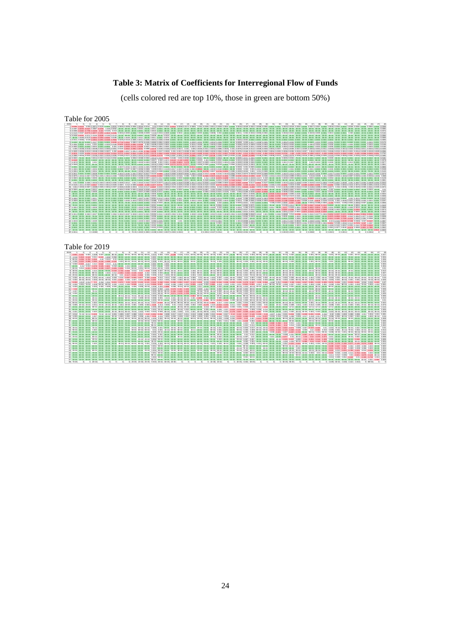## **Table 3: Matrix of Coefficients for Interregional Flow of Funds**

(cells colored red are top 10%, those in green are bottom 50%)

Table for 2005

| 2005<br>$\overline{2}$<br>$\sim$<br>10 <sup>1</sup><br>$\sim$ 4<br>- 51<br>- 61<br>$\mathcal{L}$<br>$\sim$<br>Q                                                                                                                | 12<br>$14 - 15$<br>$-16$<br>17 18<br>19<br>11<br>13.               | 20<br>21<br>22<br>23 24<br>25<br>26<br>27          | 28<br>29<br>30<br>32<br>33<br>36<br>$-91$<br>34 | 37<br>48<br>$-98$<br>58<br>$-90$<br>40<br>43.<br>44<br>461<br>47<br>$-41$<br>42<br>45.                                                                                                                                          |
|--------------------------------------------------------------------------------------------------------------------------------------------------------------------------------------------------------------------------------|--------------------------------------------------------------------|----------------------------------------------------|-------------------------------------------------|---------------------------------------------------------------------------------------------------------------------------------------------------------------------------------------------------------------------------------|
|                                                                                                                                                                                                                                |                                                                    |                                                    |                                                 | 1 0.8354 0.0422 0.003 0.0071 0.0125 0.0002 0.0031 0.0005 0.0004 0.0015 0.0014 0.01 0.0029 0.0023 0.0514 0.023 0.0514 0.023 0.001 0.0023 0.001 0.0025 0.0011 0.0028 0.0001 0.0003 0.0001 0.0003 0.0001 0.0003 0.0003 0.0003 0.00 |
| 2 0.0097 0.8255 0.0447 0.0087 0.0236 0.006 0.006 2E-05 4E-05 3E-05 0.0004 7E-05 0.0001 6E-05 2E-05 1E-05 4E-05 1E-05 4E-05 3E-05 3E-05 3E-05 1E-05 6E-05 7E-05 7E-05 2E-05 7E-05 1E-05 5E-05 3E-05 2E-05 3E-05 3E-05 3E-05 2E- |                                                                    |                                                    |                                                 | 2E-05<br>2E-05 3E-05 3E-05 0.0085                                                                                                                                                                                               |
|                                                                                                                                                                                                                                |                                                                    |                                                    |                                                 |                                                                                                                                                                                                                                 |
|                                                                                                                                                                                                                                |                                                                    |                                                    |                                                 | 4 0.0026 0.0157 0.0773 0.0077 0.0272 0.0603 0.0036 0.0036 0.0030 0.0000 0.0000 0.0000 0.0000 0.0000 0.0000 0.0000 0.0000 0.0000 0.0000 0.0000 0.0000 0.0000 0.0000 0.0000 0.0000 0.0000 0.0000 0.0000 0.0000 0.0000 0.0000 0.00 |
|                                                                                                                                                                                                                                |                                                                    |                                                    |                                                 | 5 0,0028 0,0231 0,0211 0,0146 0,8198 0,0155 0,0143 1E-05 4E-05 2E-05 0,0001 9E-05 0,000 9E-05 0600 1E-05 9E-06 1E-05 9E-05 2E-05 3E-05 3E-05 5E-05 9E-05 9E-05 2E-05 2E-05 2E-05 2E-05 3E-05 2E-05 3E-05 2E-05 3E-05 3E-05 9E-  |
|                                                                                                                                                                                                                                |                                                                    |                                                    |                                                 | A 45-05 0 0065 0 0064 0 0054 0 0054 0 0065 0 0005 45-05 0 0009 85-05 0000 0000 0000 0005 05-05 55-05 55-05 55-05 55-05 55-05 55-05 55-05 55-05 55-05 55-05 55-05 55-05 55-05 55-05 55-05 55-05 55-05 55-05 55-05 55-05 55-05 5  |
|                                                                                                                                                                                                                                |                                                                    |                                                    |                                                 | 7 0.0011 0.0084 0.019 0.0354 0.0291 0.0248 0.7883 0.0226 0.0118 0.0005 0.0011 0.0006 0.0021 0.0006 0.0021 0.0006 0.003 0.0001 0.003 0.0001 2E-05 0.0001 0.0003 0.0001 0.0003 0.0001 0.000 0.0001 2E-05 0.0001 0.0003 0.0001 0.0 |
|                                                                                                                                                                                                                                |                                                                    |                                                    |                                                 | 8 0.0003 9E-05 0.0002 0.0127 0.0001 0.0001 0.0005 0.7718 0.0552 0.0053 0.0075 0.0155 0.0005 0.0001 0.0001 0.000 0.0001 0.0001 0.0000 0.0003 0.0000 0.0001 0.0006 0.0000 0.0001 0.0000 0.000 0.000 0.0000 0.0000 0.0000 0.0000 0 |
|                                                                                                                                                                                                                                |                                                                    |                                                    |                                                 | along a man a man a man a man a man a man a man a man a man a man a man a man a man a man a man a man a man a man a man a man a man a man a man a man a man a man a man a man a man a man a man a man a man a man a man a man   |
| 10 0.0003 0.0001 0.0002 0.0004 0.0001 0.0001 0.0009 0.0030 0.0274 0.0439 0.0021 0.0054 0.0061 0.0045 0.0002 0.0001 0.0007 0.0023 0.0003 0.0005 0.0005 0.0005 0.0007 0.0007 0.0007 0.0003 0.0010 0.0003 0.0010 0.0003 0.0003 0. |                                                                    |                                                    |                                                 | 0.0002.0.0002.0.0003.0.0002.0.0146                                                                                                                                                                                              |
|                                                                                                                                                                                                                                |                                                                    |                                                    |                                                 | 11 0.003 0.0028 0.0018 0.0018 0.0015 0.005 0.0051 0.015 0.0042 0.0042 0.003 0.003 0.0028 0.0028 0.0015 0.0156 0.018 0.0017 0.001 0.003 0.0028 0.0031 0.003 0.003 0.003 0.003 0.003 0.003 0.003 0.003 0.003 0.003 0.003 0.004 0. |
|                                                                                                                                                                                                                                |                                                                    |                                                    |                                                 | 1210 00031 0.00061 0.00051 0.00061 0.00061 0.00061 0.00061 0.00661 0.00661 0.00066 0.00061 0.00061 0.00061 0.00061 0.00061 0.00061 0.00061 0.00061 0.00061 0.00061 0.00061 0.00061 0.00061 0.00061 0.00061 0.00061 0.00061 0.0  |
|                                                                                                                                                                                                                                |                                                                    |                                                    |                                                 | 13 0.0575 0.0200 0.0234 0.1144 0.0240 0.0255 0.0324 0.0711 0.0687 0.0641 0.1852 0.1527 0.5179 0.2644 0.0490 0.0616 0.0472 0.0250 0.1149 0.0480 0.0242 0.0786 0.0727 0.0230 0.1354 0.312 0.2254 0.11112 0.064 0.0344 0.0431 0.06 |
|                                                                                                                                                                                                                                |                                                                    |                                                    |                                                 | 14 0.00060 0.00160 0.00260 0.00260 0.00260 0.00160 0.00260 0.00260 0.0274 0.02275 0.0066 0.00667 0.0066 0.0067 0.0026 0.0067 0.0026 0.0026 0.0026 0.0026 0.0026 0.0026 0.0026 0.0026 0.0026 0.0026 0.0026 0.0026 0.0026 0.0026  |
|                                                                                                                                                                                                                                |                                                                    |                                                    |                                                 |                                                                                                                                                                                                                                 |
|                                                                                                                                                                                                                                |                                                                    |                                                    |                                                 | 16 0.0249 3E-05 6E-05 0.0002 4E-05 8E-05 8E-05 5E-05 9E-05 0.0003 0.0002 0.0027 0.002 0.0027 0.002 0.003 0.000 0.000 0.000 0.000 0.000 0.0001 0.000 0.0001 0.000 0.000 0.0001 0.000 0.000 0.000 0.000 0.000 0.000 0.000 0.000   |
|                                                                                                                                                                                                                                |                                                                    |                                                    |                                                 | 17 0.0078 3E-05 6E-05 0.001 4E-05 3E-05 6E-05 6E-05 0.0001 8E-05 0.0003 0.0003 0.003 0.0001 0.0011 0.1325 0.6604 0.000 9 9E-05 0.0001 0.0003 0.000 0.0004 0.0003 0.000 0.0003 0.0000 0.0003 0.0000 0.0003 0.0000 0.0000 0.0000  |
| 18 0.0048 2E-05 4E-05 3E-05 2E-05 2E-05 4E-05 3E-05 7E-05 6E-05 0.0002 0.0002 0.0010 0.0006 0.0006 0.0001 0.0277 7E-05 0.0005 0.0000 0.0000 0.0000 0.0000 0.0000 0.0000 0.0000 0.0000 0.0000 0.0000 0.0000 0.0000 0.0000 0.000 |                                                                    |                                                    |                                                 | 8E-05 -3E-05 -8E-05 -3E-05 0.0051                                                                                                                                                                                               |
|                                                                                                                                                                                                                                |                                                                    |                                                    |                                                 | 19 0.0001 5E-05 1E-04 0.0002 7E-05 6E-05 0.0001 0.0006 0.0006 0.0005 0.0006 0.0006 0.0021 0.0001 7E-05 0.0001 7E-05 0.0001 5E-05 0.001 2E-05 0.0001 0.0001 0.0001 0.000 0.000 2E-05 0.0001 2E-05 0.0001 0.000 0.000 0.000 0.00  |
|                                                                                                                                                                                                                                |                                                                    |                                                    |                                                 | 20 0.0005 8E-05 0.0002 0.0005 0.0001 1E-04 0.0002 0.0002 0.0007 0.006 0.0006 0.0006 0.0006 0.0007 0.0007 0.0000 0.0000 0.0000 0.0000 0.0000 0.0000 0.0000 0.0000 0.0000 0.0000 0.0000 0.0000 0.0000 0.0000 0.0000 0.0000 0.000  |
|                                                                                                                                                                                                                                |                                                                    |                                                    |                                                 | 21.0001.1E46 SEAR 0.0004 2E46 2E46 SEAR 5E46 AE46 2E46 0.0006 0.0006 0.0005 0.0006 0.000 0.0006 6E46 2E46 0.000 0.000 0.000 0.000 0.000 0.000 0.000 0.000 0.000 0.000 0.000 0.000 0.000 0.000 0.000 0.000 0.000 0.000 0.000 0.  |
|                                                                                                                                                                                                                                |                                                                    |                                                    |                                                 | 22 0.0011 0.0021 0.0023 0.0023 0.0022 0.0001 0.0003 0.0004 0.0005 0.0004 0.0017 0.0017 0.0123 0.0285 0.0005 0.0003 0.0005 0.0006 0.0005 0.0005 0.0005 0.0003 0.0003 0.0003 0.0003 0.0003 0.0003 0.0003 0.0003 0.0003 0.0003 0.0 |
|                                                                                                                                                                                                                                |                                                                    |                                                    |                                                 | 23 0.0075 0.0004 0.0007 0.0075 0.0005 0.0005 0.0005 0.0005 0.0016 0.0016 0.0016 0.0160 0.0160 0.0026 0.0026 0.0026 0.0036 0.0026 0.0036 0.0036 0.0036 0.0036 0.0036 0.0036 0.0036 0.0036 0.0036 0.0036 0.0036 0.0036 0.0036 0.0 |
|                                                                                                                                                                                                                                |                                                                    |                                                    |                                                 | 24 0.0003 6E-05 0.0001 0.0005 8E-05 7E-05 0.0001 0.0001 0.0002 0.0001 0.0002 0.0007 0.0003 0.0002 0.0003 0.0003 0.0003 0.0003 0.0003 0.0007 0.0003 0.0003 0.0003 0.000 0.012 0.0003 0.0000 0.0007 0.000 0.000 0.000 0.000 0.00  |
|                                                                                                                                                                                                                                |                                                                    |                                                    |                                                 | 25 0,0001 2E-05 4E-05 0,0002 2E-05 4E-05 4E-05 4E-05 0,0001 6E-05 0,0002 0,0003 0,0001 0,0003 0,0003 0,0001 8E-05 4E-05 0,0049 0,0001 0,0021 0,0001 0,0021 0,0003 0,0001 0,0021 0,0003 0,0001 0,0021 0,0003 0,0001 0,0021 0,00  |
|                                                                                                                                                                                                                                |                                                                    |                                                    |                                                 | 26 0.002 0.0005 0.0005 0.0005 0.0005 0.0003 0.0006 0.0006 0.0006 0.0007 0.0007 0.0042 0.0147 0.0007 0.0007 0.0005 0.0026 0.003 0.0005 0.0005 0.0005 0.0005 0.0023 0.0006 0.0006 0.0005 0.0007 0.0005 0.0006 0.0006 0.0006 0.00  |
|                                                                                                                                                                                                                                |                                                                    |                                                    |                                                 | 27 0.0146 0.0011 0.0023 0.0317 0.0016 0.0014 0.0026 0.0037 0.012 0.0036 0.0339 0.0339 0.00741 0.0034 0.01781 0.0235 0.01781 0.0255 0.01151 0.0125 0.0012 0.0222 0.0773 0.0032 0.0028 0.0012 0.0239 0.0012 0.0488 0.008 0.008 0. |
|                                                                                                                                                                                                                                |                                                                    |                                                    |                                                 | 28 0.004 0.0003 0.0007 0.008 0.0005 0.0006 0.0007 0.0006 0.0006 0.0006 0.0006 0.000 0.0006 0.0006 0.0006 0.0006 0.0006 0.0006 0.0006 0.0006 0.0006 0.0006 0.0006 0.0006 0.0000 0.0006 0.0006 0.0006 0.0006 0.0006 0.0006 0.0006 |
|                                                                                                                                                                                                                                |                                                                    |                                                    |                                                 | 29 0.0005 5E-05 0E-05 0.0012 6E-05 5E-05 1E-04 0.0004 0.0005 0.0004 0.0016 0.0018 0.005 0.0004 0.0031 0.0004 0.0001 0.0001 0.0001 0.0001 0.0001 0.0001 0.0001 0.0004 0.0001 0.0001 0.0001 0.0001 0.0001 0.0001 0.0004 0.0000 0  |
|                                                                                                                                                                                                                                |                                                                    |                                                    |                                                 | 30 0.0003 3E-05 6E-05 0.0005 4E-05 4E-05 7E-05 0.0007 0.0007 0.0007 0.0006 0.0005 0.0005 0.0007 7E-05 0.0007 6E-05 0.0007 0.0000 0.0007 0.0007 0.0007 0.0007 0.0007 0.000 0.000 0.000 0.000 0.0007 0.000 0.000 0.000 0.000 0.0  |
|                                                                                                                                                                                                                                |                                                                    |                                                    |                                                 | 31 6E-05 1E-05 2E-05 1E-05 1E-05 1E-05 1E-05 3E-05 3E-05 1E-04 9E-05 00000 0.0002 3E-05 3E-05 3E-05 3E-05 3E-05 4E-05 4E-05 4E-05 4E-05 4E-05 4E-05 1E-05 3E-05 3E-05 10003 3E-03 3E-05 4E-05 4E-05 4E-05 4E-05 4E-05 4E-05 4E- |
|                                                                                                                                                                                                                                |                                                                    |                                                    |                                                 |                                                                                                                                                                                                                                 |
|                                                                                                                                                                                                                                |                                                                    |                                                    |                                                 | 33 0.0005 6E-05 0.0001 0.0011 8E-05 7E-05 0.0001 0.0002 0.0002 0.0007 0.0001 0.0001 0.0003 0.0001 0.0007 8E-05 0.0002 0.0003 0.0003 0.0003 0.0003 0.0001 0.0003 0.0003 0.0003 0.0003 0.0003 0.000 0.0003 0.0003 0.0003 0.0003 0 |
|                                                                                                                                                                                                                                |                                                                    |                                                    |                                                 | 34 0.0000 8E-05 0.0002 0.0021 0.0001 1E-04 0.0002 0.0003 0.0003 0.0003 0.0012 0.0011 0.0086 0.002 0.0005 0.0000 0.0000 0.0004 0.0004 0.0000 0.0003 0.0006 0.0003 0.0006 0.0001 0.0006 0.000 0.000 0.0004 0.0001 0.0000 0.0003 0 |
|                                                                                                                                                                                                                                |                                                                    |                                                    |                                                 | 35 1E-04 3E-05 6E-05 0.0001 4E-05 4E-05 7E-05 7E-05 7E-05 7E-05 0.0002 0.0002 0.0002 0.0004 3E-05 0.0001 3E-05 0.0001 3E-05 0.0001 0.002 0.0001 3E-05 0.00001 0.002 0.0001 0.000 0.0001 0.000 0.0000 0.0000 0.0000 0.000 0.000  |
|                                                                                                                                                                                                                                |                                                                    |                                                    |                                                 | 36. 75-06. 25-06. 45-05. 00001. 25-05. 45-06. 45-06. 45-06. 45-06. 45-06. 00000. 00000. 00000. 25-06. 25-06. 25-06. 25-06. 45-06. 45-06. 00000. 00000. 00000. 00000. 00000. 00000. 00000. 00000. 00000. 00000. 00000. 00000. 0  |
|                                                                                                                                                                                                                                |                                                                    |                                                    |                                                 | 37 0.0004 35-05 75-05 0.0000 45-05 45-05 75-05 75-05 0.0001 15-04 0.0004 0.0004 0.0004 0.0007 0.0001 75-05 0.0008 55-05 0.0001 0.0001 0.0000 0.000 0.000 0.0004 0.0004 0.000 0.000 0.000 0.000 0.0000 0.0004 35-05 0.000 0.000  |
|                                                                                                                                                                                                                                |                                                                    |                                                    |                                                 |                                                                                                                                                                                                                                 |
|                                                                                                                                                                                                                                |                                                                    |                                                    |                                                 | 39 5E-05 2E-05 4E-05 7E-05 2E-05 4E-05 5E-05 4E-05 4E-05 4E-05 0000 0.0002 4E-05 2E-05 1E-05 1E-05 4E-05 4E-06 4E-05 5E-08 5E-05 00001 0.0012 0.0031 8E-05 7E-06 5E-05 0.0041 0.0037 0.0048 0.0049 0.0031 0.0031 0.0031 0.0037  |
|                                                                                                                                                                                                                                |                                                                    |                                                    |                                                 | 40 0.0014 0.0023 0.0023 0.0023 0.0022 0.0032 0.0034 0.0031 0.0026 0.0021 0.0021 0.0131 0.0041 0.0043 0.0045 0.0035 0.0036 0.0036 0.0036 0.0036 0.0036 0.0036 0.0035 0.0036 0.0036 0.0036 0.0036 0.0036 0.0036 0.0036 0.0042 0.0 |
|                                                                                                                                                                                                                                |                                                                    |                                                    |                                                 | 41 AF-OR 1E-OR 2E-OR 2E-OR 2E-OR 3E-OR 3E-OR 5E-OR 5E-OR 3E-OR 30001 0.0003 0.0002 5E-OR 3E-OR 3E-OR 5E-OR 5E-OR 5E-OR 0.0000 0.000 2E-OR 0.0000 0.000 0.000 0.000 0.000 0.000 0.000 0.000 0.000 0.000 0.000 0.000 0.000 0.000  |
|                                                                                                                                                                                                                                |                                                                    |                                                    |                                                 | 42 9E-05 2E-05 9E-05 00002 3E-05 5E-05 4E-05 5E-05 4E-05 0.0002 0.0001 0.0013 0.0003 7E-05 3E-05 4E-05 2E-05 6E-05 9E-05 4E-06 2E-05 0.0001 4E-05 2E-05 0.0002 0.0001 1E-04 4E-05 2E-05 0.0001 0.0003 0.0000 0.0003 0.0000 0.0  |
|                                                                                                                                                                                                                                |                                                                    |                                                    |                                                 | 43 0.0003 45-05 85-05 0.0000 55-05 45-05 85-05 75-05 0.0001 15-04 0.0003 0.000 0.000 0.0001 0.0004 0.0000 55-05 0.0001 85-05 0.0001 0.0004 75-05 0.0004 75-05 0.0004 0.0006 0.0000 0.0000 0.0000 0.0000 0.0000 0.0000 0.0000 0. |
|                                                                                                                                                                                                                                |                                                                    |                                                    |                                                 | 44.0.0001.1E-05.2E-05.0001.2E-05.1E-05.3E-05.3E-05.8E-05.9E-05.9E-05.0002.0002.0001.00004.8E-05.3E-05.8E-05.8E-05.8E-05.3E-05.0.0003.00001.00001.00001.00001.00001.00001.00001.00001.00001.00001.00001.00001.00001.00001.00001  |
|                                                                                                                                                                                                                                |                                                                    |                                                    |                                                 | 45 35-05 15-05 35-05 45-05 25-05 25-05 25-05 25-05 35-05 35-05 55-05 55-05 25-05 35-06 35-05 35-05 25-05 35-06 25-05 25-05 25-05 25-05 25-05 35-05 25-05 35-05 26-06 25-05 25-05 25-05 35-05 25-05 35-05 26-05 25-05 26-05 26-0 |
|                                                                                                                                                                                                                                |                                                                    |                                                    |                                                 | 46.0.0001 2E-05 4E-05 0.0002 3E-05 5E-05 4E-05 6E-05 7E-05 0.0002 0.0002 0.0003 0.0001 5E-05 6E-05 3E-05 7E-05 2E-05 7E-05 0.0002 3E-05 0.0002 0.0011 0.0004 0.0001 0.0001 0.0001 0.0001 0.0002 0.0002 0.0002 0.0002 0.0002 0.0 |
|                                                                                                                                                                                                                                |                                                                    |                                                    |                                                 | 47 26-05 16-05 26-05 16-05 16-05 26-05 26-05 26-05 26-05 46-05 0.0001 86-05 26-05 76-06 76-06 36-05 16-05 26-05 26-05 16-05 26-05 26-05 26-05 26-05 26-06 26-06 26-06 26-06 26-06 26-05 26-05 26-05 26-05 26-05 26-05 26-05 26- |
| 0.0 mes.<br>48 0.0011<br>$\sim$                                                                                                                                                                                                | 0 7E-05 0.0002 0.0003 0.0198 0.0002 0.0007 0.0003 0.0024<br>$\sim$ | 0 0.0034 0.0107 0.0014<br>$0$ 0.0006 0.0034 0.0002 | 0.0019.00023<br>$\alpha$                        | 0.0021<br>0.0008<br>$\alpha$<br>0.0011<br>$\sim$<br>0.0004                                                                                                                                                                      |
|                                                                                                                                                                                                                                |                                                                    |                                                    |                                                 |                                                                                                                                                                                                                                 |
|                                                                                                                                                                                                                                |                                                                    |                                                    |                                                 |                                                                                                                                                                                                                                 |
|                                                                                                                                                                                                                                |                                                                    |                                                    |                                                 |                                                                                                                                                                                                                                 |
|                                                                                                                                                                                                                                |                                                                    |                                                    |                                                 |                                                                                                                                                                                                                                 |

Table for 2019

| $1 \quad 2$          | $\sim$ $\sim$ $\sim$ | $-6$ | 7 8 9 10 11 12 13 14 15 16 17 18 19 20 21 22 23 24 25 28 27 28 29 30 31 32 33 34 35 36 |  |  |  |  |  |  |  |  |  |  |  |  | 37 38 |  |  | 43                                                                                                                                                                                                                              |         |             |  |
|----------------------|----------------------|------|----------------------------------------------------------------------------------------|--|--|--|--|--|--|--|--|--|--|--|--|-------|--|--|---------------------------------------------------------------------------------------------------------------------------------------------------------------------------------------------------------------------------------|---------|-------------|--|
|                      |                      |      |                                                                                        |  |  |  |  |  |  |  |  |  |  |  |  |       |  |  |                                                                                                                                                                                                                                 |         |             |  |
|                      |                      |      |                                                                                        |  |  |  |  |  |  |  |  |  |  |  |  |       |  |  | 2 0.016 0.818 0.043 0.011 0.022 0.006 0.004 0E-06 1E-05 2E-05 4E-05 3E-05 3E-05 3E-05 3E-05 3E-06 3E-06 3E-06 5E-05 2E-05 5E-05 3E-05 4E-05 3E-05 4E-06 1E-05 5E-05 1E-05 5E-05 1E-05 5E-05 1E-05 5E-05 7E-06 7E-06 7E-08 7E-08 |         |             |  |
|                      |                      |      |                                                                                        |  |  |  |  |  |  |  |  |  |  |  |  |       |  |  | 3 6E-04 0.056 0.792 0.053 0.02 0.012 0.01 1E-05 2E-05 2E-05 4E-05 4E-05 2E-05 1E-05 1E-05 1E-05 3E-06 4E-05 2E-05 5E-05 1E-05 5E-05 5E-05 5E-06 3E-06 2E-05 2E-05 5E-05 5E-05 3E-05 3E-05 5E-05 5E-05 5E-05 3E-05 3E-05 3E-05   |         |             |  |
|                      |                      |      |                                                                                        |  |  |  |  |  |  |  |  |  |  |  |  |       |  |  | 4 0.006 0.022 0.036 0.594 0.034 0.034 0.003 6E-04 2E-04 6E-04 6E-04 6E-04 000 0.001 9E-04 7E-04 6E-04 5E-04 5E-05 7E-04 0.005 0.001 4E-04 0.005 0.001 4E-04 3E-04 0.005 6E-04 0.005 6E-04 0.005 6E-04 0.005 6E-04 0.001 2E-04 0 |         |             |  |
|                      |                      |      |                                                                                        |  |  |  |  |  |  |  |  |  |  |  |  |       |  |  |                                                                                                                                                                                                                                 |         |             |  |
|                      |                      |      |                                                                                        |  |  |  |  |  |  |  |  |  |  |  |  |       |  |  | 5 0.002 0.022 0.017 0.012 0.842 0.012 0.01 8E-06 2E-05 2E-05 5E-05 5E-05 5E-05 0.002 8E-05 8E-06 5E-06 5E-06 5E-06 7E-06 3E-05 2E-05 1E-05 5E-06 1E-05 5E-06 1E-05 1E-05 1E-05 1E-05 4E-05 1E-05 2E-05 8E-06 8E-08 8E-08 8E-08  |         |             |  |
|                      |                      |      |                                                                                        |  |  |  |  |  |  |  |  |  |  |  |  |       |  |  | 6 45-05 0.01 0.012 0.078 0.025 0.821 0.018 15-05 0.003 25-05 0.001 35-05 0.002 75-05 35-06 25-06 25-06 25-05 35-06 35-06 35-06 45-06 45-06 45-06 45-06 45-06 45-06 45-06 45-06 45-06 45-06 45-06 45-06 45-06 45-06 45-06 45-06  |         |             |  |
|                      |                      |      |                                                                                        |  |  |  |  |  |  |  |  |  |  |  |  |       |  |  | 7 8E-04 0.014 0.021 0.054 0.028 0.027 0.825 0.028 0.018 5E-04 0.001 6E-04 0.004 4E-04 0.005 2E-04 5E-05 5E-04 4E-05 2E-05 5E-05 5E-05 5E-05 5E-04 2E-05 7E-05 7E-05 7E-05 7E-05 8E-05 8E-05 8E-05 8E-05 5E-04 FE-04 5E-04 5E-0  |         |             |  |
|                      |                      |      |                                                                                        |  |  |  |  |  |  |  |  |  |  |  |  |       |  |  | 8 35-04 75-05 55-05 0013 65-05 75-05 0.043 0.748 0.064 0.012 0.01 0.02 0.000 0.007 25-04 25-04 25-04 25-04 15-04 55-04 15-04 55-04 55-04 0.001 0.001 0.001 0.001 0.001 0.001 0.001 0.5-04 45-04 55-05 25-04 15-04 55-05 25-04 4 |         |             |  |
|                      |                      |      |                                                                                        |  |  |  |  |  |  |  |  |  |  |  |  |       |  |  | 9 26-04 76-05 56-06 56-04 86-05 0.002 0.012 0.053 0.634 0.105 0.047 0.002 0.005 0.003 26-04 16-04 16-04 0.002 96-04 36-05 26-04 46-04 86-05 56-04 26-04 36-04 26-04 26-04 26-04 26-04 26-04 26-04 56-04 26-04 26-04 26-04 26-0  |         |             |  |
|                      |                      |      |                                                                                        |  |  |  |  |  |  |  |  |  |  |  |  |       |  |  | 10 2E-04 5E-05 4E-05 3E-04 5E-05 6E-05 6E-04 0.01 0.117 0.641 0.008 0.006 0.006 0.003 3E-04 1E-04 1E-04 0.004 0.015 5E-05 2E-04 4E-04 6E-05 3E-04 000 7E-04 3E-04 2E-04 2E-04 2E-04 2E-04 2E-04 2E-04 4E-04 2E-04 4E-04 7E-05   |         |             |  |
|                      |                      |      |                                                                                        |  |  |  |  |  |  |  |  |  |  |  |  |       |  |  | 11 0.002 5E-04 4E-04 0.004 6E-04 0.004 0.003 0.003 0.003 0.007 0.008 0.006 0.006 0.002 0.002 0.002 0.003 0.001 8E-04 0.002 0.001 0.001 0.001 0.001 0.002 0.002 0.002 0.003 8E-04 0.00 0.003 6E-04 0.00 0.001 4E-04 0.00 0.001   |         |             |  |
|                      |                      |      |                                                                                        |  |  |  |  |  |  |  |  |  |  |  |  |       |  |  | 12 0.002 4E-04 3E-04 0.004 4E-04 3E-04 0.001 0.047 0.005 0.007 0.015 0.788 0.032 0.001 0.001 0.002 0.002 0.000 0.001 8E-04 0.007 0.001 0.001 0.001 0.001 0.003 0.003 2E-04 3E-04 0.003 8E-04 0.003 0.003 0.003 0.003 0.003 0.0  |         |             |  |
|                      |                      |      |                                                                                        |  |  |  |  |  |  |  |  |  |  |  |  |       |  |  |                                                                                                                                                                                                                                 |         |             |  |
|                      |                      |      |                                                                                        |  |  |  |  |  |  |  |  |  |  |  |  |       |  |  |                                                                                                                                                                                                                                 |         |             |  |
|                      |                      |      |                                                                                        |  |  |  |  |  |  |  |  |  |  |  |  |       |  |  | 15 0.003 5E-05 3E-05 0.002 0.002 0.004 7E-05 1E-04 0.006 0.009 2E-04 0.006 0.003 0.886 0.008 7E-04 1E-04 1E-04 1E-04 1E-04 0.002 7E-05 3E-04 0.003 4E-04 1E-04 1E-05 1E-04 1E-05 1E-05 1E-05 1E-05 1E-05 1E-05 5E-05 5E-04 0.0  |         |             |  |
|                      |                      |      |                                                                                        |  |  |  |  |  |  |  |  |  |  |  |  |       |  |  |                                                                                                                                                                                                                                 |         |             |  |
|                      |                      |      |                                                                                        |  |  |  |  |  |  |  |  |  |  |  |  |       |  |  | 16 0.02 2E-05 2E-05 2E-05 2E-05 5E-05 4E-05 9E-05 9E-05 1E-04 1E-04 10:03 0.02 0.003 0.078 0.578 0.151 0.105 1E-04 0.002 0.002 1E-04 1E-04 1E-03 1E-03 1E-05 2E-05 1E-04 1E-04 5E-05 2E-04 5E-05 2E-04 1E-04 1E-04 5E-05 2E-04  |         |             |  |
|                      |                      |      |                                                                                        |  |  |  |  |  |  |  |  |  |  |  |  |       |  |  | 17 0.007 2E-05 1E-05 1E-05 1E-05 1E-05 4E-05 6E-05 8E-05 8E-05 1E-04 2E-04 0.029 9E-04 0.184 0.640 0.108 7E-04 7E-04 2E-04 0E-04 0.002 3E-04 4E-04 6E-04 6E-04 6E-04 6E-04 6E-04 6E-04 6E-04 6E-04 6E-04 6E-04 5E-04 5E-04 5E-  |         |             |  |
|                      |                      |      |                                                                                        |  |  |  |  |  |  |  |  |  |  |  |  |       |  |  | 18 0.004 1E-05 7E-08 2E-08 2E-08 2E-08 2E-05 3E-05 7E-05 2E-05 1E-04 10:02 8E-04 3E-04 0.071 0.078 0.709 5E-04 1E-04 1E-04 1E-04 1E-04 1E-04 10:00 0.003 2E-04 7E-06 8E-05 5E-05 2E-05 2E-05 2E-05 1E-05 1E-04 1E-04 1E-04 1E-  |         |             |  |
|                      |                      |      |                                                                                        |  |  |  |  |  |  |  |  |  |  |  |  |       |  |  | 19 16-04 26-05 26-05 16-04 26-05 26-05 46-05 86-04 46-04 76-04 36-04 46-04 26-04 16-00 1002 86-05 36-04 86-05 26-06 26-05 26-06 26-06 26-04 36-06 16-06 26-04 36-06 26-06 26-04 26-04 26-04 26-04 26-04 26-04 26-04 26-04 26-0  |         |             |  |
|                      |                      |      |                                                                                        |  |  |  |  |  |  |  |  |  |  |  |  |       |  |  | 20 25-04 45-05 35-05 25-04 45-05 35-05 85-05 15-04 35-04 0.012 0.001 45-04 0.000 0.001 0.001 85-04 0.001 0.008 0.001 25-04 0.000 25-04 0.003 75-04 0.003 75-04 35-04 25-04 25-04 25-04 25-04 25-04 25-04 55-05 25-05 25-05 25-  |         |             |  |
|                      |                      |      |                                                                                        |  |  |  |  |  |  |  |  |  |  |  |  |       |  |  | 21 25-04 95-06 85-06 25-04 85-06 75-06 15-05 55-05 55-05 55-05 15-04 15-04 10:00 35-04 15-04 0.000 95-04 65-04 45-05 55-04 0.000 95-04 85-04 0.000 0.000 95-04 0.000 95-04 0.000 95-04 25-04 55-04 55-04 55-04 55-04 55-06 65-  |         |             |  |
|                      |                      |      |                                                                                        |  |  |  |  |  |  |  |  |  |  |  |  |       |  |  | 22 6E-04 7E-05 5E-05 1E-05 1E-05 1E-04 2E-04 2E-04 3E-04 5E-04 7E-04 2E-04 7E-04 3E-04 4E-04 9E-04 3E-04 4E-04 2E-04 0.821 0.07 0.002 1E-04 0.001 0.000 0.000 0.000 0.000 0.000 0.000 0.000 0.000 0.000 0.000 0.000 0.000 0.00  |         |             |  |
|                      |                      |      |                                                                                        |  |  |  |  |  |  |  |  |  |  |  |  |       |  |  | 23 0.005 2E-04 0.011 2E-04 2E-04 4E-04 0.002 1E-03 0.001 0.005 0.001 0.005 0.004 0.05 0.003 0.001 0.003 0.002 0.002 0.002 0.003 0.001 0.019 0.05 0.011 0.017 0.032 0.013 0.013 0.013 0.001 0.006 0.000 0.004 0.003 0.001 1E-04  |         |             |  |
|                      |                      |      |                                                                                        |  |  |  |  |  |  |  |  |  |  |  |  |       |  |  | 24 1E-04 3E-05 2E-05 2E-05 2E-05 4E-05 6E-05 6E-05 6E-05 2E-04 2E-04 1E-04 1E-04 1E-04 1E-04 1E-04 1E-04 2E-04 1E-04 1E-04 1E-04 1E-04 1E-04 1E-04 0001 4D-08 0.001 4D-08 0.001 4D-08 4E-04 0.001 4D-08 4E-04 0.001 4D-08 2E-0  |         |             |  |
|                      |                      |      |                                                                                        |  |  |  |  |  |  |  |  |  |  |  |  |       |  |  | 25 6E-06 7E-06 7E-06 7E-06 7E-06 7E-06 7E-05 2E-05 4E-05 3E-05 6E-05 6E-05 6E-05 4E-05 1E-04 2E-04 0.002 6E-05 1E-06 1E-05 0.005 0.007 0.008 0.007 0.819 0.008 0.008 0.008 0.008 0.008 0.008 5E-06 5E-05 5E-05 2E-05 2E-05 8E-  |         |             |  |
|                      |                      |      |                                                                                        |  |  |  |  |  |  |  |  |  |  |  |  |       |  |  | 26 0.001 1E-04 1E-04 0.002 1E-04 1E-04 2E-04 5E-04 5E-04 2E-04 0.002 0.002 0.002 0.003 0.002 0.002 0.002 0.001 0.001 4E-04 0.001 0.002 0.003 0.002 0.003 0.02 0.003 0.003 0.003 0.002 4E-04 0.002 0.003 0.003 0.003 0.003 0.00  |         |             |  |
|                      |                      |      |                                                                                        |  |  |  |  |  |  |  |  |  |  |  |  |       |  |  |                                                                                                                                                                                                                                 |         |             |  |
|                      |                      |      |                                                                                        |  |  |  |  |  |  |  |  |  |  |  |  |       |  |  | 27 0.012 7E-04 5E-04 0.023 7E-04 6E-04 0.001 0.005 0.007 0.008 0.013 0.02 0.094 0.056 0.006 0.077 0.017 0.017 0.017 0.006 0.005 0.006 0.007 0.007 0.04 0.08 0.077 0.148 0.108 0.037 0.046 0.007 0.004 0.006 0.03 0.038 0.016 0  |         |             |  |
|                      |                      |      |                                                                                        |  |  |  |  |  |  |  |  |  |  |  |  |       |  |  | 28 0.003 25-04 15-04 0.007 15-04 15-04 25-04 0.002 0.002 0.003 0.006 0.006 0.006 0.002 0.003 0.002 0.003 0.002 0.003 0.002 0.003 0.003 0.003 0.003 0.003 0.003 0.003 0.003 0.00 0.003 0.003 0.003 0.003 0.003 0.003 0.003 0.00  |         |             |  |
|                      |                      |      |                                                                                        |  |  |  |  |  |  |  |  |  |  |  |  |       |  |  | 29 4E-04 3E-05 2E-05 2E-05 2E-05 4E-05 2E-04 4E-04 3E-04 5E-04 9E-04 9E-04 4E-04 4E-04 4E-04 1E-04 5E-04 2E-04 5E-04 5E-04 0.003 0.008 0.008 0.008 0.008 0.008 0.008 0.008 0.008 1E-05 2E-04 5E-04 5E-04 1E-04 5E-04 5E-04 5E-  |         |             |  |
|                      |                      |      |                                                                                        |  |  |  |  |  |  |  |  |  |  |  |  |       |  |  | 30 1E-04 1E-06 3E-04 1E-05 3E-06 2E-05 8E-05 7E-05 1E-04 2E-04 2E-04 1E-04 1E-04 1E-04 1E-04 1E-04 2E-04 2E-04 2E-04 2E-04 2E-04 0.001 0.001 0.001 0.004 0.004 0.004 0.004 0.004 0.004 0.544 8E-06 7E-06 2E-04 2E-04 3E-05 4E-  |         |             |  |
|                      |                      |      |                                                                                        |  |  |  |  |  |  |  |  |  |  |  |  |       |  |  | 31 25-05 55-06 35-05 45-06 45-06 75-06 55-06 15-05 15-05 25-05 25-05 25-06 15-05 25-06 25-06 25-06 25-06 25-06 25-05 25-05 25-06 25-06 25-06 25-06 25-06 1002 0.01 65-06 65-06 0.022 0.01 0.003 75-06 25-06 25-06 25-06 25-06 5 |         |             |  |
|                      |                      |      |                                                                                        |  |  |  |  |  |  |  |  |  |  |  |  |       |  |  | 32 15-05 55-06 45-06 25-05 55-06 45-06 35-06 75-06 15-05 25-05 25-05 25-06 75-06 55-06 25-06 25-06 25-06 25-06 25-06 35-06 45-06 25-06 15-06 25-06 15-06 2020 0.014 75-06 65-06 0.020 0.014 0.000 85-06 35-06 25-06 25-06 25-06 |         |             |  |
|                      |                      |      |                                                                                        |  |  |  |  |  |  |  |  |  |  |  |  |       |  |  | 33 3E-04 4E-05 3E-05 3E-05 3E-05 3E-05 3E-05 1E-04 2E-04 2E-04 4E-04 4D05 0.001 2E-04 4E-04 2E-04 4E-04 2E-04 2E-04 2E-04 5E-04 0.001 1E-04 3E-04 0.001 0.007 0.003 0.007 0.003 0.007 0.003 0.007 0.003 0.007 0.003 0.007 0.00  |         |             |  |
|                      |                      |      |                                                                                        |  |  |  |  |  |  |  |  |  |  |  |  |       |  |  | 34 9E-04 6E-05 4E-05 4E-05 9E-05 9E-05 9E-04 2E-04 3E-04 6E-04 6E-04 6E-04 1001 4E-04 3E-04 6E-04 1E-04 5E-04 5E-04 5E-04 5E-04 5E-04 5E-04 0.009 0.009 6E-04 5E-04 0.004 0.004 0.004 0.004 0.003 0.003 0.003 0.009 0.009 0.00  |         |             |  |
|                      |                      |      |                                                                                        |  |  |  |  |  |  |  |  |  |  |  |  |       |  |  | 35 7E-05 1E-05 1E-05 1E-05 1E-05 2E-05 3E-05 3E-05 5E-05 5E-06 1E-04 10:05 2E-04 5E-05 3E-05 3E-05 3E-05 3E-05 3E-05 7E-05 0.003 5E-06 1E-04 0.003 0.003 0.003 0.007 0.007 0.007 0.057 0.743 9E-05 5E-04 0.008 0.504 1E-04 3E-  |         |             |  |
|                      |                      |      |                                                                                        |  |  |  |  |  |  |  |  |  |  |  |  |       |  |  | 36 4E-05 1E-05 8E-06 8E-06 2E-05 2E-05 2E-05 2E-05 2E-05 4E-05 4E-05 0.002 0.001 3E-05 4E-05 7E-06 3E-05 2E-05 4E-05 2E-05 4E-05 7E-06 8E-05 0.001 0.012 2E-05 4E-05 4E-05 7E-06 0.008 0.001 8E-05 0.008 0.001 8E-05 0.004 0.14 |         |             |  |
|                      |                      |      |                                                                                        |  |  |  |  |  |  |  |  |  |  |  |  |       |  |  | 37 2E-04 2E-05 2E-05 2E-05 2E-05 3E-05 4E-05 7E-05 2E-04 2E-04 2E-04 7E-05 3E-05 3E-05 3E-05 3E-05 3E-05 2E-05 2E-04 0.002 7E-05 2E-04 0.007 0.01 3E-04 0.007 0.01 1E-04 0.00 0.032 0.007 0.01 1E-04 2E-05 3E-05 0.008 0.008 0  |         |             |  |
|                      |                      |      |                                                                                        |  |  |  |  |  |  |  |  |  |  |  |  |       |  |  | 38 1E-04 3E-05 2E-05 2E-05 3E-05 5E-05 5E-05 7E-05 1E-04 2E-04 2E-04 2E-04 1E-04 1E-04 1E-04 4E-05 1E-04 4E-05 2E-05 1E-04 4E-05 2E-05 1E-04 0007 0.007 1E-04 4E-04 0.023 0.027 0.029 0.027 0.009 0.024 0.544 0.000 0.005 1E-0  |         |             |  |
|                      |                      |      |                                                                                        |  |  |  |  |  |  |  |  |  |  |  |  |       |  |  |                                                                                                                                                                                                                                 |         |             |  |
|                      |                      |      |                                                                                        |  |  |  |  |  |  |  |  |  |  |  |  |       |  |  | 39 25-05 85-06 85-06 85-06 85-06 15-05 85-06 15-05 25-05 35-05 35-05 35-05 15-05 85-06 85-06 35-06 35-06 35-06 15-05 25-06 25-06 25-06 15-05 35-06 15-05 35-06 0.004 0.005 35-04 0.009 0.04 0.002 25-06 35-06 55-06 55-06 95-06 |         |             |  |
|                      |                      |      |                                                                                        |  |  |  |  |  |  |  |  |  |  |  |  |       |  |  | 40 9E-04 1E-04 8E-05 0.002 1E-04 8E-05 2E-04 4E-04 5E-04 6E-04 8E-04 0001 0.016 0.004 8E-04 8E-04 8E-04 8E-04 8E-04 2E-04 0.001 0.003 3E-04 0.001 0.005 0.001 0.003 0.001 8E-04 5E-04 5E-04 5E-04 5E-04 5E-04 5E-04 0.001 0.00  |         |             |  |
|                      |                      |      |                                                                                        |  |  |  |  |  |  |  |  |  |  |  |  |       |  |  | 41 35-05 65-06 45-06 55-06 55-06 35-06 35-05 65-05 65-05 95-05 95-05 95-04 45-05 65-05 65-05 65-05 45-05 55-06 55-06 55-06 75-06 55-06 45-06 55-06 45-06 55-04 65-06 55-04 65-04 65-04 65-04 65-04 65-04 65-04 65-04 65-04 65-0 |         |             |  |
|                      |                      |      |                                                                                        |  |  |  |  |  |  |  |  |  |  |  |  |       |  |  | 42 35-05 95-06 75-06 65-05 95-06 75-06 15-05 15-05 25-05 25-05 45-05 0002 95-05 25-05 45-05 55-05 55-05 55-05 55-04 45-05 25-04 25-04 25-04 45-06 55-04 45-06 55-05 55-05 55-05 55-05 55-05 55-05 55-05 55-05 2021 0.079 0.079  |         |             |  |
|                      |                      |      |                                                                                        |  |  |  |  |  |  |  |  |  |  |  |  |       |  |  | 43 25-04 25-05 25-05 25-05 25-05 25-05 25-05 25-04 15-04 25-04 25-04 25-04 15-04 25-04 35-04 25-04 25-04 25-04 25-04 55-04 55-04 55-04 55-04 55-04 25-04 15-04 25-04 25-04 25-04 25-04 25-04 25-04 25-04 25-04 25-04 25-04 25-  |         |             |  |
|                      |                      |      |                                                                                        |  |  |  |  |  |  |  |  |  |  |  |  |       |  |  | 44 45-05 75-06 55-06 75-05 65-06 55-06 55-05 35-05 65-05 65-05 76-05 2001 35-04 45-05 75-05 75-05 75-05 45-05 65-05 45-06 65-05 25-04 75-06 45-06 65-05 65-05 45-06 45-06 45-06 45-06 45-06 45-06 45-06 45-06 45-06 45-06 45-0  |         |             |  |
|                      |                      |      |                                                                                        |  |  |  |  |  |  |  |  |  |  |  |  |       |  |  | 45 25-05 85-08 85-08 85-06 85-08 15-05 15-05 25-05 35-05 35-05 95-06 95-06 15-05 85-08 35-06 35-06 35-06 35-06 35-06 15-06 35-06 15-06 15-05 35-06 15-05 35-06 35-06 45-05 25-04 15-05 15-05 15-05 15-05 15-05 16-05 16-05 16-0 |         | 8E-04 0.002 |  |
|                      |                      |      |                                                                                        |  |  |  |  |  |  |  |  |  |  |  |  |       |  |  | 46 7E-05 1E-05 1E-05 1E-05 1E-05 1E-05 2E-05 3E-05 4E-05 6E-05 1E-04 1E-04 6E-05 2E-05 7E-05 2E-05 1E-05 6E-05 1E-04 1E-05 6E-08 1E-04 8E-05 1E-05 6E-05 8E-06 1E-05 6E-05 8E-06 1E-05 6E-05 2E-04 2E-05 7E-04 2E-05 2E-04 2E-  |         |             |  |
|                      |                      |      |                                                                                        |  |  |  |  |  |  |  |  |  |  |  |  |       |  |  | 47 36-05 16-05 36-06 36-06 16-05 26-05 16-05 26-05 26-05 46-05 46-05 46-05 26-06 36-06 16-06 36-06 46-06 26-06 36-06 36-06 36-06 36-06 36-06 26-06 26-06 26-06 26-06 26-05 26-05 26-05 36-06 36-06 36-06 36-06 36-06 36-06 36-0 |         |             |  |
| 48 7E-05 0 0 2E-04 0 |                      |      | 0 0 0 0 2E-06 1E-05 2E-05 0.013 2E-04 6E-05 4E-06                                      |  |  |  |  |  |  |  |  |  |  |  |  |       |  |  | 0 0 0 0 0 15-06 15-04 0 0 45-05 0.004 55-05 0 0 0 0 0 55-05 95-05 0 0 0 0 0 0 0 0 000 55-04 0.003 0.022 0.002                                                                                                                   | 0 8F-04 | $\sim$      |  |
|                      |                      |      |                                                                                        |  |  |  |  |  |  |  |  |  |  |  |  |       |  |  |                                                                                                                                                                                                                                 |         |             |  |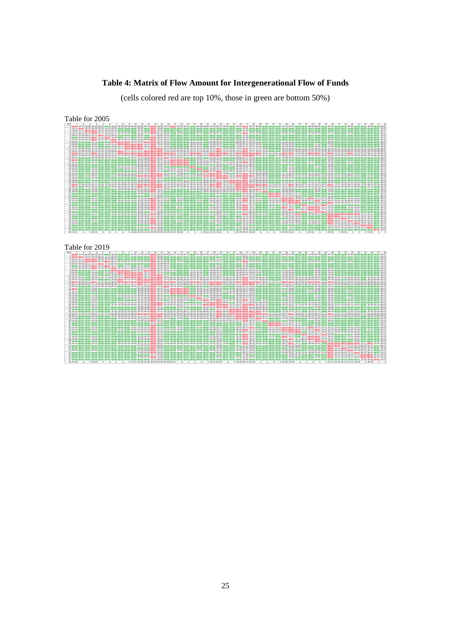#### **Table 4: Matrix of Flow Amount for Intergenerational Flow of Funds**

(cells colored red are top 10%, those in green are bottom 50%)

Table for 2005 2005 1 2 3 4 5 6 7 8 9 10 11 12 13 14 15 16 17 18 19 20 21 22 23 24 25 26 27 28 29 30 31 32 33 34 35 36 37 38 39 40 41 42 43 44 45 46 47 48 1 1E+13 1E+11 7E+09 4E+10 3E+10 5E+08 1E+10 2E+09 2E+09 2E+09 2E+10 2E+10 2E+12 7E+10 1E+10 2E+11 8E+10 4E+10 1E+09 5E+09 3E+09 1E+10 6E+10 2E+09 9E+08 2E+10 2E+11 3E+10 3E+09 1E+09 2E+08 2E+08 1E+10 2E+10 9E+08 4E+08 8E+09 3E+09 5E+08 3E+10 5E+08 8E+08 9E+09 1E+09 4E+08 1E+09 6E+08 7E+12 2 1E+11 3E+12 1E+11 5E+10 5E+10 2E+10 2E+10 1E+08 2E+08 2E+08 6E+09 9E+08 2E+11 3E+09 4E+08 7E+07 4E+07 3E+07 1E+08 1E+08 2E+07 3E+08 7E+08 9E+07 4E+07 6E+08 3E+09 7E+08 9E+07 5E+07 1E+07 2E+07 2E+08 2E+08 7E+07 3E+07 7E+07 2E+08 5E+07 5E+08 1E+07 5E+07 1E+08 3E+07 5E+07 1E+08 7E+07 1E+12 3 7E+09 1E+11 2E+12 2E+11 5E+10 3E+10 5E+10 2E+08 2E+08 2E+08 2E+09 1E+09 3E+11 4E+09 3E+08 9E+07 5E+07 4E+07 1E+08 2E+08 2E+07 4E+08 1E+09 1E+08 5E+07 7E+08 4E+09 9E+08 1E+08 6E+07 1E+07 2E+07 2E+08 3E+08 8E+07 4E+07 9E+07 3E+08 6E+07 6E+08 2E+07 7E+07 1E+08 4E+07 6E+07 1E+08 8E+07 2E+12 4 3E+10 5E+10 2E+11 3E+12 6E+10 2E+11 2E+11 2E+10 3E+09 1E+09 1E+10 1E+10 2E+12 4E+10 5E+09 7E+08 6E+09 2E+08 6E+08 2E+09 8E+08 9E+09 9E+10 1E+09 5E+08 1E+10 2E+11 2E+10 2E+09 8E+08 1E+08 8E+07 9E+09 1E+10 5E+08 2E+08 5E+09 2E+09 2E+08 2E+10 3E+08 5E+08 7E+09 8E+08 2E+08 8E+08 2E+08 3E+12 5 4E+10 7E+10 5E+10 8E+10 2E+12 4E+10 6E+10 1E+08 2E+08 1E+08 2E+09 7E+08 1E+11 2E+09 1E+10 5E+07 3E+07 2E+07 7E+07 9E+07 1E+07 2E+08 7E+08 7E+07 3E+07 4E+08 3E+09 5E+08 6E+07 4E+07 7E+06 1E+07 1E+08 2E+08 5E+07 2E+07 5E+07 2E+08 3E+07 4E+08 1E+07 4E+07 7E+07 2E+07 3E+07 7E+07 5E+07 1E+12 6 5E+08 2E+10 3E+10 3E+11 5E+10 2E+12 7E+10 2E+08 1E+10 2E+08 2E+10 1E+09 2E+11 3E+09 4E+10 8E+07 5E+07 4E+07 1E+08 1E+08 2E+07 4E+08 1E+09 1E+08 4E+07 7E+08 4E+09 8E+08 1E+08 6E+07 1E+07 2E+07 2E+08 3E+08 8E+07 4E+07 8E+07 2E+08 5E+07 6E+08 2E+07 6E+07 1E+08 4E+07 5E+07 1E+08 8E+07 1E+12 7 1E+10 3E+10 4E+10 2E+11 6E+10 6E+10 3E+12 2E+11 6E+10 3E+09 2E+10 8E+09 4E+11 1E+10 2E+10 4E+08 2E+08 2E+08 5E+08 6E+08 1E+08 2E+09 6E+09 5E+08 2E+08 3E+09 2E+10 4E+09 4E+08 3E+08 5E+07 1E+08 8E+08 1E+09 3E+08 2E+08 4E+08 1E+09 2E+08 3E+09 7E+07 3E+08 5E+08 2E+08 2E+08 5E+08 3E+08 2E+12 8 3E+09 3E+08 4E+08 7E+10 3E+08 3E+08 2E+11 5E+12 3E+11 4E+10 1E+11 2E+11 1E+12 1E+11 2E+09 5E+08 5E+08 3E+08 9E+09 2E+09 7E+08 4E+09 2E+10 1E+09 3E+08 8E+09 1E+11 2E+10 2E+09 1E+09 5E+07 1E+08 2E+09 3E+09 6E+08 2E+08 7E+08 1E+09 3E+08 6E+09 3E+08 4E+08 8E+08 4E+08 2E+08 9E+08 3E+08 4E+12 9 5E+09 5E+08 7E+08 6E+09 5E+08 6E+09 7E+10 3E+11 3E+12 5E+11 5E+11 3E+10 7E+11 7E+10 2E+09 7E+08 6E+08 3E+08 4E+09 4E+09 3E+08 4E+09 1E+10 1E+09 6E+08 7E+09 7E+10 1E+10 2E+09 7E+08 1E+08 2E+08 2E+09 3E+09 6E+08 3E+08 9E+08 2E+09 5E+08 7E+09 3E+08 5E+08 1E+09 7E+08 4E+08 1E+09 6E+08 3E+12 10 4E+09 3E+08 5E+08 2E+09 3E+08 3E+08 4E+09 5E+10 4E+11 4E+12 7E+11 3E+10 1E+12 1E+11 2E+10 6E+08 4E+08 3E+08 5E+09 2E+10 3E+08 3E+09 1E+10 6E+08 4E+08 7E+09 1E+11 2E+10 1E+09 7E+08 8E+07 1E+08 2E+09 3E+09 5E+08 2E+08 7E+08 1E+09 3E+08 7E+09 3E+08 3E+08 9E+08 5E+08 3E+08 1E+09 4E+08 3E+12 11 4E+10 9E+09 4E+09 3E+10 3E+09 1E+10 2E+10 1E+11 4E+11 5E+11 9E+12 1E+11 5E+12 4E+11 8E+10 5E+09 6E+09 2E+09 1E+10 1E+10 6E+09 4E+10 2E+11 1E+10 3E+09 7E+10 7E+11 2E+11 2E+10 7E+09 6E+08 9E+08 2E+10 3E+10 5E+09 2E+09 9E+09 1E+10 2E+09 6E+10 2E+09 4E+09 8E+09 4E+09 2E+09 7E+09 3E+09 9E+12 12 4E+10 2E+09 3E+09 3E+10 2E+09 2E+09 8E+09 2E+11 3E+10 3E+10 2E+11 9E+12 5E+12 4E+11 1E+10 4E+09 6E+09 2E+09 1E+10 1E+10 6E+09 4E+10 2E+11 1E+10 3E+09 7E+10 8E+11 2E+11 2E+10 7E+09 5E+08 7E+08 2E+10 3E+10 5E+09 2E+09 1E+10 1E+10 2E+09 6E+10 2E+09 4E+09 8E+09 4E+09 2E+09 6E+09 2E+09 6E+12 13 7E+11 6E+10 7E+10 6E+11 5E+10 6E+10 1E+11 5E+11 3E+11 3E+11 3E+12 2E+12 9E+13 6E+12 3E+11 2E+11 2E+11 6E+10 3E+11 2E+11 1E+11 9E+11 4E+12 2E+11 8E+10 1E+12 2E+13 3E+12 3E+11 1E+11 5E+10 6E+10 4E+11 7E+11 1E+11 6E+10 3E+11 3E+11 5E+10 1E+12 4E+10 1E+11 2E+11 7E+10 7E+10 2E+11 7E+10 6E+13 14 9E+10 5E+09 8E+09 6E+10 5E+09 5E+09 1E+10 1E+11 6E+10 1E+11 3E+11 3E+11 1E+13 1E+13 4E+10 2E+10 2E+10 8E+09 6E+10 3E+10 1E+10 9E+11 5E+11 2E+10 8E+09 2E+11 2E+12 4E+11 5E+10 2E+10 1E+09 2E+09 4E+10 7E+10 1E+10 4E+09 2E+10 3E+10 6E+09 1E+11 5E+09 9E+09 2E+10 9E+09 4E+09 2E+10 6E+09 1E+13 15 3E+10 2E+08 2E+08 8E+09 5E+09 4E+10 1E+10 7E+08 1E+09 3E+10 1E+11 5E+09 8E+11 4E+10 5E+12 4E+10 4E+09 1E+09 3E+08 7E+10 5E+08 2E+09 4E+10 3E+08 2E+08 5E+09 1E+11 9E+09 8E+08 3E+08 3E+07 4E+07 2E+09 4E+09 2E+08 6E+07 4E+08 1E+09 1E+08 7E+09 1E+08 2E+08 4E+08 3E+08 9E+07 6E+08 1E+08 4E+12 16 3E+11 9E+07 1E+08 1E+09 9E+07 9E+07 3E+08 3E+08 4E+08 5E+08 4E+09 3E+09 5E+11 5E+10 4E+10 2E+12 5E+11 2E+11 2E+08 1E+10 2E+10 1E+09 7E+10 6E+08 5E+08 1E+10 1E+11 6E+09 4E+08 2E+08 4E+07 4E+07 9E+08 1E+09 2E+08 6E+07 4E+08 4E+08 8E+07 3E+09 1E+08 9E+07 3E+08 3E+08 8E+07 4E+08 1E+08 2E+12 17 1E+11 9E+07 1E+08 6E+09 8E+07 9E+07 3E+08 4E+08 5E+08 4E+08 5E+09 4E+09 7E+11 2E+10 6E+09 5E+11 2E+12 2E+11 2E+08 3E+09 5E+09 5E+09 5E+10 1E+09 2E+09 8E+09 2E+11 8E+09 5E+08 2E+08 5E+07 3E+07 5E+09 6E+09 2E+08 7E+07 3E+09 1E+09 7E+07 7E+09 1E+08 2E+08 5E+09 4E+08 7E+07 2E+08 1E+08 2E+12 18 6E+10 6E+07 9E+07 5E+08 6E+07 6E+07 2E+08 2E+08 3E+08 3E+08 3E+09 2E+09 3E+11 1E+10 3E+09 3E+11 3E+11 2E+12 2E+08 2E+09 3E+09 1E+09 4E+10 8E+08 2E+10 4E+10 1E+11 5E+09 3E+08 1E+08 3E+07 2E+07 4E+08 7E+08 1E+08 4E+07 2E+08 3E+08 5E+07 1E+09 1E+08 6E+07 2E+08 2E+08 5E+07 2E+08 7E+07 1E+12 19 2E+09 1E+08 2E+08 9E+08 1E+08 1E+08 4E+08 5E+09 2E+09 3E+09 8E+09 7E+09 5E+11 5E+10 7E+08 2E+08 4E+08 1E+08 2E+12 6E+08 1E+08 2E+09 5E+09 3E+08 1E+08 3E+09 5E+10 7E+09 8E+08 3E+08 3E+07 6E+07 1E+09 1E+09 2E+08 9E+07 2E+08 1E+09 2E+08 3E+09 9E+07 1E+08 3E+08 1E+08 1E+08 4E+08 2E+08 1E+12 20 6E+09 2E+08 4E+08 3E+09 2E+08 2E+08 7E+08 1E+09 3E+09 4E+10 1E+10 7E+09 5E+11 3E+10 7E+10 6E+09 2E+09 1E+09 7E+08 4E+12 3E+08 4E+09 1E+11 5E+08 2E+08 6E+09 1E+11 1E+10 1E+09 6E+08 4E+07 9E+07 1E+09 3E+09 4E+08 1E+08 1E+09 1E+09 2E+08 7E+09 2E+08 3E+08 6E+08 3E+08 2E+08 7E+08 3E+08 3E+12 21 5E+09 4E+07 7E+07 2E+09 4E+07 4E+07 1E+08 6E+08 4E+08 4E+08 9E+09 7E+09 4E+11 2E+10 8E+08 2E+10 4E+09 2E+09 1E+08 3E+08 4E+12 8E+09 2E+12 1E+11 3E+10 9E+09 1E+11 2E+10 3E+09 2E+09 4E+07 2E+07 1E+09 2E+09 3E+08 3E+08 6E+08 2E+08 9E+07 4E+09 1E+08 4E+07 3E+08 4E+08 5E+07 2E+08 5E+07 3E+12 22 1E+10 4E+08 6E+08 2E+10 4E+08 4E+08 1E+09 2E+09 3E+09 2E+09 3E+10 2E+10 2E+12 6E+11 3E+09 1E+09 7E+09 8E+08 1E+09 3E+09 8E+09 9E+12 4E+11 7E+09 1E+09 2E+10 3E+11 4E+10 6E+09 2E+09 1E+08 1E+08 1E+10 1E+10 1E+09 5E+08 5E+09 3E+09 5E+08 2E+10 5E+08 6E+08 9E+09 1E+09 3E+08 1E+09 5E+08 6E+12 23 1E+11 1E+09 2E+09 1E+11 1E+09 1E+09 3E+09 2E+10 9E+09 8E+09 3E+11 2E+11 8E+12 6E+11 2E+10 4E+10 5E+10 1E+10 4E+09 2E+10 1E+12 4E+11 1E+13 7E+11 3E+10 2E+11 3E+12 4E+11 1E+11 4E+10 6E+08 5E+08 6E+10 9E+10 2E+10 7E+09 4E+10 2E+10 2E+09 1E+11 3E+09 3E+09 2E+10 6E+09 1E+09 5E+09 1E+09 1E+13 24 4E+09 2E+08 3E+08 3E+09 2E+08 2E+08 5E+08 1E+09 9E+08 8E+08 1E+10 9E+09 7E+11 3E+10 9E+08 4E+08 1E+09 6E+08 4E+08 5E+08 8E+10 9E+09 9E+11 3E+12 1E+10 1E+10 3E+11 1E+10 5E+10 4E+10 7E+07 7E+07 2E+09 3E+09 5E+08 3E+08 9E+08 7E+08 2E+08 5E+09 1E+08 3E+08 6E+08 4E+08 2E+08 4E+08 2E+08 3E+12 25 2E+09 5E+07 9E+07 1E+09 5E+07 5E+07 2E+08 3E+08 5E+08 3E+08 4E+09 3E+09 3E+11 1E+10 3E+08 6E+08 1E+09 5E+09 2E+08 2E+08 3E+10 2E+09 5E+10 1E+10 2E+12 5E+11 3E+11 2E+10 5E+09 8E+09 5E+07 2E+07 5E+08 8E+08 1E+08 6E+07 4E+08 2E+08 8E+07 2E+09 1E+08 5E+07 3E+08 3E+08 5E+07 1E+08 7E+07 2E+12 26 3E+10 8E+08 1E+09 2E+10 7E+08 8E+08 2E+09 6E+09 6E+09 5E+09 6E+10 5E+10 3E+12 2E+11 7E+09 9E+09 1E+10 4E+10 3E+09 6E+09 9E+09 3E+10 2E+11 1E+10 5E+11 6E+12 1E+12 2E+11 2E+11 3E+10 2E+08 3E+08 1E+10 2E+10 3E+09 1E+09 7E+09 7E+09 1E+09 4E+10 1E+09 2E+09 4E+09 2E+09 7E+08 3E+09 9E+08 5E+12 27 2E+11 3E+09 5E+09 2E+11 3E+09 3E+09 1E+10 6E+10 6E+10 5E+10 5E+11 5E+11 2E+13 2E+12 5E+10 7E+10 8E+10 4E+10 4E+10 6E+10 7E+10 3E+11 2E+12 1E+11 1E+11 9E+11 2E+13 2E+12 3E+11 4E+11 1E+10 8E+09 1E+11 2E+11 3E+10 8E+10 1E+11 1E+11 4E+10 4E+11 1E+10 2E+10 5E+10 2E+10 7E+09 3E+10 4E+09 2E+13 28 5E+10 1E+09 2E+09 5E+10 1E+09 1E+09 3E+09 2E+10 1E+10 2E+10 2E+11 2E+11 6E+12 5E+11 2E+10 6E+09 1E+10 3E+09 1E+10 2E+10 1E+10 6E+10 4E+11 1E+10 2E+10 2E+11 3E+12 7E+12 6E+10 4E+10 3E+10 2E+10 1E+11 9E+10 1E+10 4E+10 5E+10 4E+10 2E+10 1E+11 6E+09 2E+09 2E+10 8E+09 9E+08 1E+10 1E+09 8E+12 29 7E+09 1E+08 2E+08 7E+09 1E+08 1E+08 4E+08 3E+09 2E+09 2E+09 2E+10 2E+10 1E+12 7E+10 2E+09 5E+08 1E+09 3E+08 2E+09 2E+09 4E+09 1E+10 1E+11 5E+10 5E+09 2E+11 8E+11 8E+10 2E+12 9E+10 2E+07 5E+07 5E+09 6E+09 9E+08 5E+08 1E+09 3E+09 5E+08 1E+10 4E+08 2E+08 1E+09 5E+08 1E+08 1E+09 2E+08 2E+12 30 3E+09 9E+07 1E+08 3E+09 9E+07 9E+07 3E+08 9E+08 6E+08 8E+08 1E+10 8E+09 5E+11 3E+10 8E+08 3E+08 8E+08 1E+08 5E+08 9E+08 2E+09 4E+09 5E+10 5E+10 1E+10 4E+10 9E+11 5E+10 1E+11 1E+12 2E+07 4E+07 3E+09 3E+09 4E+08 3E+08 5E+08 2E+09 2E+08 7E+09 2E+08 9E+07 4E+08 2E+08 1E+08 6E+08 1E+08 1E+12 31 7E+08 3E+07 5E+07 3E+08 3E+07 3E+07 1E+08 8E+07 2E+08 2E+08 1E+09 1E+09 1E+11 4E+09 2E+08 6E+07 1E+08 3E+07 6E+07 8E+07 5E+07 5E+08 3E+09 8E+07 1E+08 6E+08 6E+10 5E+10 6E+07 3E+07 8E+11 4E+11 1E+11 8E+10 1E+10 2E+07 5E+08 2E+08 3E+07 9E+08 7E+07 3E+07 2E+08 2E+08 3E+07 6E+07 4E+07 7E+11 32 2E+08 3E+07 5E+07 9E+07 3E+07 3E+07 9E+07 8E+07 1E+08 1E+08 8E+08 5E+08 1E+11 2E+09 1E+08 4E+07 2E+07 2E+07 6E+07 7E+07 1E+07 2E+08 6E+08 5E+07 2E+07 3E+08 4E+10 6E+10 5E+07 3E+07 4E+11 8E+11 1E+11 1E+11 3E+10 2E+07 4E+07 7E+08 7E+07 2E+09 8E+06 7E+07 1E+08 7E+07 3E+07 6E+07 4E+07 8E+11 33 6E+09 2E+08 3E+08 6E+09 2E+08 2E+08 5E+08 9E+08 9E+08 1E+09 1E+10 9E+09 9E+11 3E+10 2E+09 4E+08 3E+09 2E+08 5E+08 1E+09 7E+08 6E+09 3E+10 1E+09 4E+08 8E+09 2E+11 1E+11 1E+09 7E+08 8E+10 4E+10 3E+12 7E+11 4E+10 2E+10 3E+11 1E+11 2E+10 3E+10 1E+09 6E+08 3E+09 4E+09 4E+08 8E+08 2E+08 3E+12 34 1E+10 2E+08 4E+08 1E+10 2E+08 2E+08 7E+08 2E+09 1E+09 2E+09 2E+10 1E+10 2E+12 5E+10 3E+09 8E+08 5E+09 3E+08 8E+08 2E+09 8E+08 9E+09 6E+10 1E+09 5E+08 1E+10 3E+11 9E+10 2E+09 1E+09 4E+10 6E+10 6E+11 6E+12 4E+11 6E+09 5E+10 3E+11 2E+10 2E+11 2E+09 2E+09 8E+09 7E+09 6E+08 1E+09 3E+08 4E+12 35 1E+09 9E+07 1E+08 8E+08 9E+07 9E+07 3E+08 4E+08 3E+08 4E+08 4E+09 3E+09 6E+11 9E+09 5E+08 1E+08 4E+08 7E+07 2E+08 3E+08 3E+08 1E+09 5E+10 5E+08 1E+08 3E+09 1E+11 3E+10 6E+08 3E+08 1E+10 3E+10 4E+10 5E+11 2E+12 2E+08 1E+09 4E+10 1E+09 5E+11 2E+09 3E+10 2E+10 2E+10 1E+09 8E+08 1E+08 1E+12 36 9E+08 5E+07 8E+07 7E+08 5E+07 5E+07 2E+08 2E+08 2E+08 2E+08 2E+09 2E+09 2E+11 5E+09 2E+08 7E+07 9E+07 3E+07 1E+08 1E+08 4E+08 9E+08 1E+10 5E+08 8E+07 2E+09 3E+11 1E+11 4E+08 2E+08 1E+07 2E+07 5E+10 1E+10 2E+08 2E+12 2E+11 2E+11 3E+11 2E+09 1E+07 5E+07 1E+08 1E+09 6E+07 2E+08 6E+07 1E+12 37 5E+09 1E+08 2E+08 5E+09 1E+08 1E+08 3E+08 5E+08 6E+08 5E+08 6E+09 5E+09 8E+11 2E+10 7E+08 2E+08 3E+09 1E+08 2E+08 7E+08 3E+08 4E+09 5E+10 5E+08 3E+08 4E+09 2E+11 1E+11 6E+08 3E+08 2E+09 4E+07 4E+11 1E+11 1E+09 1E+11 1E+12 4E+11 1E+11 2E+10 4E+08 2E+08 3E+09 5E+09 9E+07 3E+08 1E+08 1E+12 38 2E+09 1E+08 2E+08 9E+08 1E+08 1E+08 4E+08 5E+08 5E+08 6E+08 5E+09 3E+09 5E+11 1E+10 7E+08 2E+08 6E+08 1E+08 3E+08 5E+08 1E+08 2E+09 3E+10 2E+08 1E+08 3E+09 2E+11 7E+10 5E+08 3E+08 1E+08 5E+08 1E+11 3E+11 3E+10 8E+10 2E+11 3E+12 2E+11 7E+10 4E+08 4E+08 5E+08 1E+11 3E+08 4E+08 2E+08 2E+12 39 6E+08 5E+07 9E+07 4E+08 5E+07 6E+07 2E+08 2E+08 2E+08 2E+08 2E+09 1E+09 2E+11 4E+09 2E+08 8E+07 4E+07 3E+07 1E+08 2E+08 5E+07 5E+08 2E+09 1E+08 6E+07 1E+09 6E+10 5E+10 2E+08 1E+08 1E+07 6E+07 3E+10 3E+10 1E+09 2E+11 1E+11 2E+11 1E+12 2E+09 2E+07 5E+07 1E+08 2E+09 6E+07 1E+08 7E+07 9E+11 40 2E+10 5E+08 8E+08 2E+10 5E+08 5E+08 1E+09 3E+09 3E+09 3E+09 3E+10 3E+10 2E+12 9E+10 5E+09 1E+09 5E+09 6E+08 2E+09 4E+09 2E+09 1E+10 1E+11 3E+09 1E+09 2E+10 4E+11 6E+10 5E+09 2E+09 2E+08 8E+08 3E+10 1E+11 2E+11 8E+08 1E+10 3E+10 1E+09 9E+12 3E+11 4E+11 2E+11 3E+11 2E+11 2E+11 6E+08 5E+12 41 7E+08 4E+07 6E+07 4E+08 4E+07 4E+07 1E+08 2E+08 2E+08 2E+08 2E+09 2E+09 1E+11 6E+09 3E+08 9E+07 1E+08 5E+07 1E+08 2E+08 7E+07 6E+08 3E+09 8E+07 9E+07 1E+09 2E+10 4E+09 3E+08 1E+08 2E+07 1E+07 2E+09 2E+09 3E+09 2E+07 4E+08 7E+08 3E+07 5E+11 9E+11 1E+11 1E+10 2E+10 1E+10 2E+10 5E+07 8E+11 42 1E+09 7E+07 1E+08 9E+08 7E+07 7E+07 2E+08 3E+08 2E+08 2E+08 2E+09 2E+09 2E+11 6E+09 4E+08 9E+07 1E+08 4E+07 1E+08 4E+08 2E+07 1E+09 3E+09 2E+08 5E+07 2E+09 3E+10 1E+09 1E+08 6E+07 1E+07 4E+07 5E+08 2E+09 3E+10 4E+07 5E+08 5E+08 6E+07 6E+11 7E+10 2E+12 8E+10 2E+10 2E+10 2E+10 8E+07 1E+12 43 4E+09 1E+08 2E+08 5E+09 1E+08 1E+08 3E+08 5E+08 6E+08 5E+08 5E+09 4E+09 7E+11 1E+10 7E+08 2E+08 4E+09 1E+08 3E+08 4E+08 1E+08 4E+09 1E+10 3E+08 2E+08 3E+09 1E+11 9E+09 5E+08 2E+08 4E+07 6E+07 6E+09 6E+09 6E+09 7E+07 2E+09 2E+09 1E+08 3E+11 2E+10 7E+10 3E+12 5E+10 3E+10 1E+11 1E+08 2E+12 44 1E+09 4E+07 6E+07 7E+08 3E+07 4E+07 1E+08 2E+08 4E+08 3E+08 3E+09 2E+09 2E+11 8E+09 3E+08 1E+08 2E+08 7E+07 1E+08 2E+08 1E+08 1E+09 7E+09 1E+08 2E+08 1E+09 4E+10 6E+09 2E+08 1E+08 5E+07 3E+07 6E+09 7E+09 7E+09 8E+08 3E+09 5E+10 1E+09 4E+11 2E+10 3E+10 5E+10 2E+12 5E+10 3E+10 4E+07 1E+12 45 4E+08 4E+07 6E+07 2E+08 4E+07 4E+07 1E+08 1E+08 1E+08 1E+08 1E+09 7E+08 9E+10 2E+09 2E+08 6E+07 3E+07 3E+07 8E+07 9E+07 3E+07 3E+08 8E+08 8E+07 3E+07 6E+08 2E+10 8E+08 7E+07 5E+07 7E+06 2E+07 4E+08 1E+09 1E+09 5E+07 5E+07 4E+08 6E+07 1E+11 1E+10 2E+10 3E+10 5E+10 1E+12 2E+11 5E+07 9E+11 46 1E+09 7E+07 1E+08 8E+08 6E+07 7E+07 2E+08 3E+08 3E+08 4E+08 3E+09 2E+09 4E+11 7E+09 6E+08 2E+08 2E+08 7E+07 2E+08 3E+08 9E+07 9E+08 4E+09 1E+08 5E+07 2E+09 5E+10 6E+09 4E+08 2E+08 1E+07 2E+07 1E+09 1E+09 5E+08 7E+07 1E+08 9E+08 8E+07 1E+11 1E+10 1E+10 1E+11 2E+10 2E+11 2E+12 8E+07 1E+12 47 2E+08 3E+07 5E+07 9E+07 3E+07 3E+07 9E+07 8E+07 1E+08 1E+08 8E+08 5E+08 2E+10 2E+09 1E+08 4E+07 3E+07 2E+07 6E+07 7E+07 1E+07 2E+08 4E+08 5E+07 2E+07 4E+08 2E+09 4E+08 5E+07 3E+07 6E+06 1E+07 9E+07 1E+08 4E+07 2E+07 4E+07 1E+08 3E+07 3E+08 9E+06 3E+07 6E+07 2E+07 3E+07 6E+07 3E+12 7E+11 48 1E+10 0 0 5E+10 0 0 0 0 0 4E+08 3E+09 4E+09 4E+12 6E+09 4E+09 1E+09 9E+09 0 0 0 2E+10 1E+11 3E+10 0 0 6E+09 2E+11 3E+09 0 0 0 0 9E+09 2E+10 0 0 2E+10 0 0 3E+10 0 3E+09 0 0 0 1E+09 0 0 Table for 2019 2019 1 2 3 4 5 6 7 8 9 10 11 12 13 14 15 16 17 18 19 20 21 22 23 24 25 26 27 28 29 30 31 32 33 34 35 36 37 38 39 40 41 42 43 44 45 46 47 48 1 1E+13 1E+11 6E+09 6E+10 2E+10 3E+08 4E+09 1E+09 1E+09 2E+09 1E+10 1E+10 3E+12 4E+10 9E+09 2E+11 7E+10 3E+10 8E+08 3E+09 2E+09 1E+10 6E+10 9E+08 3E+08 9E+09 2E+11 2E+10 2E+09 9E+08 7E+07 9E+07 4E+09 2E+10 5E+08 3E+08 4E+09 5E+09 2E+08 2E+10 4E+08 2E+08 5E+09 6E+08 2E+08 5E+08 7E+08 1E+13 2 2E+11 3E+12 1E+11 9E+10 5E+10 2E+10 2E+10 7E+07 7E+07 1E+08 8E+08 5E+08 4E+11 2E+09 2E+08 1E+08 4E+07 2E+07 6E+07 4E+07 2E+07 2E+08 8E+08 4E+07 2E+07 2E+08 3E+09 4E+08 4E+07 3E+07 7E+06 1E+07 8E+07 2E+08 3E+07 3E+07 5E+07 3E+08 2E+07 5E+08 2E+07 2E+07 3E+07 1E+07 2E+07 3E+07 8E+07 2E+12 3 9E+09 2E+11 2E+12 4E+11 5E+10 4E+10 6E+10 9E+07 9E+07 2E+08 9E+08 6E+08 4E+11 2E+09 2E+08 1E+08 5E+07 2E+07 8E+07 5E+07 3E+07 3E+08 2E+09 5E+07 2E+07 3E+08 4E+09 5E+08 5E+07 3E+07 8E+06 1E+07 1E+08 3E+08 4E+07 4E+07 6E+07 4E+08 3E+07 6E+08 2E+07 2E+07 4E+07 2E+07 2E+07 4E+07 1E+08 2E+12 4 9E+10 7E+10 3E+11 5E+12 8E+10 3E+11 2E+11 3E+10 3E+09 1E+09 1E+10 9E+09 2E+12 3E+10 6E+09 1E+09 2E+09 2E+08 5E+08 7E+08 6E+08 1E+10 1E+11 7E+08 2E+08 6E+09 2E+11 2E+10 1E+09 7E+08 5E+07 6E+07 4E+09 4E+10 4E+08 2E+08 4E+09 4E+09 1E+08 3E+10 3E+08 1E+08 5E+09 5E+08 1E+08 4E+08 4E+08 6E+12 5 4E+10 7E+10 5E+10 1E+11 2E+12 4E+10 6E+10 6E+07 1E+08 1E+08 9E+08 4E+08 4E+11 1E+09 9E+09 1E+08 3E+07 1E+07 5E+07 4E+07 2E+07 2E+08 9E+08 3E+07 2E+07 2E+08 2E+09 4E+08 3E+07 2E+07 6E+06 9E+06 7E+07 2E+08 3E+07 3E+07 4E+07 3E+08 2E+07 4E+08 2E+07 1E+07 3E+07 1E+07 2E+07 3E+07 7E+07 1E+12 6 6E+08 3E+10 4E+10 6E+11 6E+10 2E+12 1E+11 1E+08 1E+10 1E+08 2E+10 5E+08 4E+11 2E+09 3E+10 1E+08 4E+07 2E+07 6E+07 4E+07 2E+07 2E+08 1E+09 4E+07 2E+07 3E+08 3E+09 4E+08 4E+07 3E+07 7E+06 1E+07 9E+07 2E+08 3E+07 3E+07 5E+07 3E+08 2E+07 5E+08 2E+07 2E+07 3E+07 1E+07 2E+07 3E+07 8E+07 1E+12 7 1E+10 4E+10 6E+10 4E+11 7E+10 8E+10 4E+12 2E+11 1E+11 3E+09 3E+10 1E+10 1E+12 1E+10 3E+10 7E+08 2E+08 9E+07 4E+08 2E+08 1E+08 1E+09 9E+09 2E+08 1E+08 1E+09 2E+10 2E+09 2E+08 1E+08 4E+07 6E+07 5E+08 1E+09 2E+08 2E+08 3E+08 2E+09 1E+08 3E+09 1E+08 9E+07 2E+08 7E+07 1E+08 2E+08 5E+08 4E+12 8 4E+09 2E+08 1E+08 1E+11 1E+08 2E+08 2E+11 6E+12 4E+11 8E+10 2E+11 3E+11 2E+12 2E+11 1E+09 1E+09 8E+08 4E+08 1E+10 1E+09 6E+08 4E+09 2E+10 6E+08 2E+08 6E+09 2E+11 2E+10 2E+09 8E+08 5E+07 7E+07 2E+09 4E+09 5E+08 3E+08 8E+08 3E+09 2E+08 1E+10 4E+08 2E+08 1E+09 5E+08 1E+08 5E+08 6E+08 5E+12 9 3E+09 2E+08 1E+08 7E+09 2E+08 6E+09 6E+10 4E+11 4E+12 7E+11 1E+12 3E+10 1E+12 7E+10 1E+09 1E+09 6E+08 3E+08 4E+09 5E+09 2E+08 3E+09 1E+10 3E+08 2E+08 3E+09 5E+10 9E+09 1E+09 4E+08 5E+07 7E+07 1E+09 3E+09 3E+08 2E+08 5E+08 3E+09 2E+08 7E+09 3E+08 1E+08 8E+08 5E+08 1E+08 3E+08 6E+08 3E+12 10 3E+09 2E+08 1E+08 3E+09 1E+08 1E+08 3E+09 8E+10 7E+11 4E+12 1E+12 1E+11 1E+12 3E+11 2E+10 1E+09 5E+08 3E+08 8E+09 9E+10 3E+08 3E+09 1E+10 3E+08 2E+08 3E+09 9E+10 1E+10 1E+09 4E+08 4E+07 6E+07 1E+09 3E+09 3E+08 2E+08 4E+08 3E+09 1E+08 7E+09 4E+08 9E+07 9E+08 5E+08 1E+08 4E+08 5E+08 3E+12 11 3E+10 2E+09 1E+09 4E+10 2E+09 1E+10 2E+10 1E+11 5E+11 6E+11 1E+13 1E+11 7E+12 3E+11 8E+10 8E+09 8E+09 2E+09 1E+10 6E+10 5E+09 3E+10 2E+11 5E+09 1E+09 4E+10 5E+11 1E+11 8E+09 5E+09 4E+08 5E+08 1E+10 4E+10 3E+09 2E+09 8E+09 2E+10 1E+09 6E+10 2E+09 1E+09 4E+09 3E+09 1E+09 3E+09 4E+09 2E+13 12 3E+10 1E+09 9E+08 3E+10 9E+08 9E+08 7E+09 4E+11 3E+10 5E+10 3E+11 1E+13 8E+12 3E+11 1E+10 8E+09 8E+09 2E+09 1E+10 7E+09 5E+09 3E+10 2E+11 6E+09 2E+09 5E+10 7E+11 1E+11 1E+10 6E+09 3E+08 4E+08 1E+10 4E+10 3E+09 2E+09 8E+09 2E+10 9E+08 7E+10 2E+09 1E+09 6E+09 4E+09 8E+08 3E+09 3E+09 1E+13 13 8E+11 4E+10 4E+10 8E+11 4E+10 5E+10 1E+11 6E+11 3E+11 5E+11 3E+12 2E+12 1E+14 7E+12 3E+11 3E+11 2E+11 7E+10 3E+11 3E+11 1E+11 1E+12 4E+12 2E+11 1E+11 1E+12 1E+13 3E+12 3E+11 1E+11 1E+10 2E+10 3E+11 1E+12 2E+11 1E+11 3E+11 7E+11 5E+10 2E+12 5E+10 5E+10 1E+11 7E+10 5E+10 9E+10 1E+11 1E+14 14 8E+10 3E+09 2E+09 7E+10 2E+09 2E+09 9E+09 1E+11 5E+10 2E+11 2E+11 2E+11 1E+13 1E+13 4E+10 3E+10 2E+10 8E+09 5E+10 2E+10 1E+10 1E+12 5E+11 1E+10 5E+09 1E+11 2E+12 3E+11 4E+10 2E+10 8E+08 1E+09 3E+10 9E+10 8E+09 7E+09 2E+10 5E+10 2E+09 2E+11 7E+09 3E+09 2E+10 9E+09 2E+09 8E+09 9E+09 2E+13 15 5E+10 2E+08 1E+08 1E+10 4E+09 3E+10 2E+10 6E+08 6E+08 4E+10 2E+11 4E+09 2E+12 7E+10 6E+12 3E+10 3E+09 1E+09 2E+08 6E+10 7E+08 2E+09 6E+10 3E+08 1E+08 3E+09 1E+11 7E+09 7E+08 3E+08 2E+07 2E+07 1E+09 2E+10 2E+08 1E+08 5E+08 2E+09 5E+07 1E+10 3E+08 6E+07 8E+08 5E+08 5E+07 2E+08 2E+08 4E+12 16 3E+11 8E+07 5E+07 1E+09 6E+07 6E+07 3E+08 3E+08 3E+08 6E+08 3E+09 2E+09 9E+11 4E+10 3E+10 2E+12 6E+11 3E+11 2E+08 1E+10 2E+10 2E+09 6E+10 7E+08 5E+08 1E+10 1E+11 4E+09 3E+08 2E+08 2E+07 3E+07 7E+08 2E+09 1E+08 8E+07 2E+08 1E+09 6E+07 3E+09 2E+08 4E+07 4E+08 3E+08 5E+07 2E+08 2E+08 3E+12 17 1E+11 5E+07 4E+07 6E+09 4E+07 4E+07 1E+08 3E+08 4E+08 5E+08 3E+09 3E+09 8E+11 2E+10 4E+09 8E+11 3E+12 3E+11 1E+08 4E+09 5E+09 5E+09 5E+10 1E+09 2E+09 6E+09 1E+11 7E+09 3E+08 2E+08 2E+07 2E+07 2E+09 4E+09 1E+08 9E+07 2E+09 2E+09 4E+07 8E+09 2E+08 6E+07 3E+09 4E+08 4E+07 1E+08 1E+08 3E+12 18 6E+10 3E+07 2E+07 7E+08 2E+07 2E+07 8E+07 3E+08 3E+08 4E+08 2E+09 2E+09 4E+11 1E+10 2E+09 3E+11 3E+11 2E+12 1E+08 3E+09 3E+09 2E+09 4E+10 9E+08 3E+10 4E+10 1E+11 4E+09 2E+08 1E+08 9E+06 1E+07 6E+08 1E+09 8E+07 3E+07 2E+08 8E+08 2E+07 3E+09 2E+08 2E+07 5E+08 3E+08 2E+07 1E+08 9E+07 2E+12 19 1E+09 8E+07 5E+07 1E+09 5E+07 6E+07 2E+08 6E+09 2E+09 4E+09 7E+09 7E+09 8E+11 6E+10 4E+08 4E+08 3E+08 8E+07 2E+12 4E+09 1E+08 1E+09 6E+09 1E+08 1E+08 2E+09 2E+10 5E+09 6E+08 2E+08 2E+07 3E+07 6E+08 2E+09 1E+08 8E+07 3E+08 2E+09 5E+07 3E+09 1E+08 4E+07 2E+08 2E+08 5E+07 2E+08 2E+08 2E+12 20 4E+09 1E+08 8E+07 2E+09 8E+07 9E+07 3E+08 9E+08 2E+09 7E+10 2E+11 6E+09 2E+12 3E+10 9E+10 6E+09 2E+09 1E+09 3E+09 5E+12 1E+10 2E+09 2E+11 2E+08 1E+08 3E+09 1E+11 1E+10 1E+09 4E+08 3E+07 4E+07 1E+09 2E+09 2E+08 1E+08 4E+08 2E+09 9E+07 9E+09 5E+08 6E+07 1E+09 7E+08 8E+07 3E+08 3E+08 4E+12 21 3E+09 3E+07 2E+07 2E+09 2E+07 2E+07 7E+07 4E+08 2E+08 3E+08 3E+09 2E+09 8E+11 8E+09 9E+08 1E+10 4E+09 1E+09 9E+07 3E+09 4E+12 4E+09 3E+12 1E+11 4E+10 6E+09 2E+11 7E+09 7E+08 1E+09 9E+06 1E+07 7E+08 2E+09 2E+08 1E+08 8E+08 9E+08 2E+07 4E+09 7E+07 2E+08 2E+08 1E+08 2E+07 9E+07 8E+07 4E+12 22 9E+09 2E+08 2E+08 1E+10 2E+08 2E+08 6E+08 1E+09 1E+09 2E+09 1E+10 1E+10 3E+12 1E+12 2E+09 1E+09 3E+09 7E+08 8E+08 1E+09 6E+09 1E+13 5E+11 8E+09 5E+08 1E+10 2E+11 3E+10 4E+09 1E+09 6E+07 8E+07 4E+09 1E+10 6E+08 4E+08 4E+09 4E+09 2E+08 2E+10 4E+08 3E+08 5E+09 7E+08 1E+08 4E+08 6E+08 9E+12 23 7E+10 8E+08 6E+08 9E+10 6E+08 6E+08 2E+09 1E+10 6E+09 9E+09 1E+11 7E+10 1E+13 3E+11 2E+10 4E+10 5E+10 1E+10 4E+09 1E+10 2E+12 3E+11 1E+13 9E+11 5E+10 2E+11 2E+12 2E+11 4E+10 2E+10 2E+08 3E+08 3E+10 1E+11 2E+10 5E+09 4E+10 3E+10 1E+09 2E+11 2E+09 3E+09 2E+10 4E+09 6E+08 4E+09 2E+09 3E+13 24 2E+09 8E+07 6E+07 2E+09 6E+07 6E+07 2E+08 5E+08 3E+08 4E+08 4E+09 3E+09 1E+12 1E+10 7E+08 5E+08 2E+09 5E+08 2E+08 1E+08 9E+10 5E+09 2E+12 3E+12 1E+10 1E+10 3E+11 6E+09 4E+10 5E+10 2E+07 3E+07 8E+08 3E+09 2E+08 2E+08 9E+08 1E+09 6E+07 4E+09 7E+07 1E+08 3E+08 1E+08 5E+07 9E+07 2E+08 3E+12 25 9E+08 3E+07 2E+07 8E+08 2E+07 2E+07 8E+07 2E+08 2E+08 2E+08 1E+09 1E+09 6E+11 6E+09 2E+08 4E+08 9E+08 4E+09 1E+08 9E+07 3E+10 1E+09 1E+11 3E+10 3E+12 8E+11 1E+12 1E+11 2E+10 3E+10 9E+06 1E+07 3E+08 1E+09 6E+07 5E+07 3E+08 8E+08 2E+07 2E+09 4E+07 1E+08 1E+08 9E+07 2E+07 3E+07 8E+07 2E+12 26 2E+10 5E+08 3E+08 2E+10 3E+08 3E+08 1E+09 4E+09 3E+09 5E+09 3E+10 3E+10 3E+12 1E+11 5E+09 9E+09 9E+09 3E+10 2E+09 3E+09 6E+09 2E+10 3E+11 9E+09 8E+11 6E+12 2E+12 3E+11 3E+11 4E+10 1E+08 2E+08 7E+09 2E+10 2E+09 1E+09 5E+09 1E+10 3E+08 4E+10 9E+08 1E+09 2E+09 1E+09 3E+08 2E+09 1E+09 8E+12 27 2E+11 2E+09 2E+09 2E+11 2E+09 2E+09 6E+09 4E+10 4E+10 5E+10 3E+11 3E+11 2E+13 1E+12 5E+10 7E+10 7E+10 3E+10 3E+10 4E+10 4E+10 2E+11 1E+12 8E+10 5E+11 1E+12 2E+13 2E+12 4E+11 5E+11 1E+10 6E+09 1E+11 3E+11 3E+10 9E+10 1E+11 2E+11 3E+10 4E+11 9E+09 1E+10 4E+10 2E+10 3E+09 2E+10 6E+09 4E+13 28 5E+10 5E+08 3E+08 6E+10 4E+08 4E+08 1E+09 1E+10 1E+10 2E+10 1E+11 1E+11 8E+12 4E+11 2E+10 1E+10 1E+10 4E+09 7E+09 1E+10 1E+10 5E+10 3E+11 6E+09 6E+10 2E+11 3E+12 8E+12 5E+10 6E+10 3E+10 3E+10 1E+11 1E+11 1E+10 4E+10 6E+10 7E+10 2E+10 1E+11 4E+09 1E+09 1E+10 9E+09 3E+08 9E+09 1E+09 2E+13 29 7E+09 8E+07 5E+07 7E+09 6E+07 6E+07 2E+08 2E+09 2E+09 2E+09 1E+10 1E+10 1E+12 6E+10 2E+09 1E+09 2E+09 3E+08 1E+09 1E+09 2E+09 8E+09 8E+10 3E+10 2E+10 3E+11 1E+12 1E+11 2E+12 1E+11 2E+07 3E+07 2E+09 7E+09 6E+08 2E+08 2E+09 3E+09 6E+07 1E+10 3E+08 4E+08 1E+09 6E+08 5E+07 6E+08 2E+08 3E+12 30 2E+09 4E+07 2E+07 2E+09 2E+07 3E+07 9E+07 5E+08 4E+08 6E+08 4E+09 4E+09 6E+11 2E+10 6E+08 4E+08 8E+08 1E+08 2E+08 4E+08 1E+09 2E+09 4E+10 5E+10 3E+10 4E+10 1E+12 6E+10 1E+11 1E+12 1E+07 1E+07 1E+09 3E+09 2E+08 8E+07 7E+08 2E+09 2E+07 5E+09 2E+08 2E+08 3E+08 3E+08 2E+07 2E+08 9E+07 2E+12 31 3E+08 2E+07 1E+07 2E+08 1E+07 1E+07 4E+07 4E+07 5E+07 8E+07 5E+08 4E+08 2E+11 1E+09 6E+07 6E+07 8E+07 8E+06 3E+07 2E+07 1E+07 2E+08 1E+09 2E+07 1E+07 2E+08 1E+11 2E+11 2E+07 1E+07 1E+12 5E+11 1E+11 1E+11 1E+10 2E+07 6E+08 5E+08 1E+07 4E+08 2E+07 8E+06 3E+07 4E+07 1E+07 2E+07 4E+07 6E+11 32 2E+08 2E+07 1E+07 1E+08 1E+07 1E+07 4E+07 4E+07 4E+07 7E+07 4E+08 3E+08 2E+11 9E+08 5E+07 6E+07 2E+07 8E+06 3E+07 2E+07 1E+07 1E+08 8E+08 2E+07 1E+07 1E+08 1E+11 2E+11 2E+07 1E+07 5E+11 1E+12 1E+11 2E+11 4E+10 2E+07 3E+07 1E+09 1E+07 4E+08 1E+07 9E+06 2E+07 7E+06 1E+07 2E+07 4E+07 7E+11 33 4E+09 1E+08 8E+07 6E+09 8E+07 8E+07 3E+08 8E+08 9E+08 1E+09 7E+09 6E+09 1E+12 3E+10 1E+09 1E+09 2E+09 4E+08 3E+08 1E+09 5E+08 5E+09 3E+10 5E+08 1E+08 5E+09 2E+11 3E+11 7E+08 5E+08 1E+11 4E+10 4E+12 9E+11 4E+10 2E+10 3E+11 2E+11 2E+10 3E+10 1E+09 2E+08 3E+09 6E+09 2E+08 4E+08 3E+08 4E+12 34 1E+10 2E+08 1E+08 2E+10 1E+08 1E+08 5E+08 1E+09 1E+09 2E+09 1E+10 1E+10 3E+12 4E+10 3E+09 1E+09 2E+09 3E+08 7E+08 9E+08 9E+08 8E+09 1E+11 8E+08 2E+08 9E+09 3E+11 1E+11 2E+09 1E+09 6E+10 7E+10 8E+11 8E+12 5E+11 7E+09 6E+10 5E+11 2E+10 2E+11 2E+09 9E+08 4E+09 7E+09 9E+08 1E+09 5E+08 6E+12 35 1E+09 5E+07 3E+07 1E+09 3E+07 4E+07 1E+08 2E+08 2E+08 3E+08 2E+09 2E+09 1E+12 6E+09 3E+08 2E+08 4E+08 5E+07 1E+08 1E+08 2E+08 1E+09 9E+10 2E+08 5E+07 2E+09 1E+11 4E+10 2E+08 2E+08 1E+10 4E+10 4E+10 7E+11 3E+12 2E+08 1E+09 1E+11 2E+09 2E+11 2E+09 4E+09 1E+09 3E+09 1E+09 1E+09 1E+08 2E+12 36 5E+08 4E+07 2E+07 5E+08 2E+07 3E+07 9E+07 1E+08 8E+07 1E+08 1E+09 7E+08 4E+11 3E+10 2E+08 1E+08 2E+08 2E+07 7E+07 5E+07 1E+08 5E+08 6E+09 2E+08 3E+07 8E+08 5E+11 2E+11 8E+07 8E+07 8E+06 1E+07 5E+10 2E+10 3E+08 2E+12 2E+11 2E+11 3E+11 3E+09 2E+07 4E+07 6E+07 2E+09 2E+07 4E+07 9E+07 2E+12 37 3E+09 7E+07 5E+07 5E+09 5E+07 5E+07 2E+08 3E+08 3E+08 4E+08 3E+09 3E+09 9E+11 1E+10 4E+08 4E+08 1E+09 7E+07 2E+08 2E+08 3E+08 3E+09 5E+10 3E+08 7E+07 2E+09 3E+11 2E+11 3E+08 3E+08 2E+09 2E+07 5E+11 1E+11 1E+09 1E+11 2E+12 5E+11 1E+11 3E+10 2E+08 7E+07 2E+09 5E+09 5E+07 1E+08 2E+08 2E+12 38 2E+09 1E+08 8E+07 2E+09 8E+07 8E+07 3E+08 4E+08 4E+08 7E+08 4E+09 3E+09 9E+11 1E+10 5E+08 5E+08 5E+08 1E+08 3E+08 3E+08 1E+08 2E+09 7E+10 1E+08 8E+07 2E+09 3E+11 1E+11 4E+08 2E+08 2E+08 6E+08 2E+11 4E+11 4E+10 9E+10 3E+11 4E+12 2E+11 1E+11 3E+08 6E+07 3E+08 1E+11 7E+07 2E+08 3E+08 2E+12 39 3E+08 3E+07 2E+07 2E+08 2E+07 2E+07 7E+07 6E+07 6E+07 1E+08 6E+08 4E+08 2E+11 2E+09 7E+07 1E+08 3E+07 1E+07 5E+07 4E+07 2E+07 2E+08 2E+09 3E+07 2E+07 2E+08 8E+10 6E+10 4E+07 2E+07 6E+06 9E+06 3E+10 4E+10 1E+09 2E+11 1E+11 3E+11 1E+12 1E+09 2E+07 1E+07 3E+07 2E+09 2E+07 3E+07 7E+07 2E+12 40 1E+10 3E+08 2E+08 2E+10 2E+08 2E+08 9E+08 3E+09 3E+09 4E+09 2E+10 2E+10 4E+12 9E+10 4E+09 3E+09 3E+09 1E+09 1E+09 5E+09 1E+09 1E+10 1E+11 1E+09 5E+08 1E+10 4E+11 4E+10 4E+09 2E+09 9E+07 2E+08 3E+10 3E+11 2E+11 9E+08 8E+09 3E+10 7E+08 1E+13 5E+11 4E+11 4E+11 4E+11 2E+11 3E+11 1E+09 5E+12 41 5E+08 2E+07 1E+07 5E+08 1E+07 1E+07 5E+07 2E+08 3E+08 4E+08 1E+09 1E+09 4E+11 8E+09 2E+08 3E+08 2E+08 2E+08 7E+07 6E+08 6E+07 8E+08 4E+09 2E+07 1E+07 7E+08 1E+10 3E+09 2E+08 1E+08 5E+06 6E+06 2E+09 6E+09 3E+09 2E+07 4E+08 7E+08 1E+07 8E+11 9E+11 1E+11 2E+10 3E+10 2E+10 2E+10 5E+07 9E+11 42 5E+08 3E+07 2E+07 5E+08 2E+07 2E+07 8E+07 1E+08 7E+07 1E+08 1E+09 7E+08 6E+11 2E+09 2E+08 1E+08 2E+08 1E+07 6E+07 4E+07 2E+08 5E+08 4E+09 2E+08 2E+08 2E+09 3E+10 3E+09 3E+08 6E+08 7E+06 1E+07 3E+08 2E+09 1E+10 5E+07 2E+08 3E+08 2E+07 4E+11 1E+11 3E+12 5E+10 3E+10 2E+10 1E+10 8E+07 1E+12 43 3E+09 7E+07 5E+07 5E+09 5E+07 5E+07 2E+08 6E+08 8E+08 9E+08 3E+09 4E+09 9E+11 2E+10 7E+08 8E+08 1E+09 4E+08 2E+08 1E+09 2E+08 4E+09 1E+10 2E+08 9E+07 2E+09 1E+11 7E+09 5E+08 2E+08 2E+07 2E+07 2E+09 5E+09 1E+09 9E+07 1E+09 2E+09 5E+07 5E+11 2E+10 8E+10 4E+12 8E+10 4E+10 2E+11 4E+08 2E+12 44 6E+08 2E+07 1E+07 6E+08 2E+07 2E+07 6E+07 2E+08 3E+08 4E+08 1E+09 2E+09 3E+11 8E+09 2E+08 3E+08 3E+08 1E+08 8E+07 5E+08 6E+07 8E+08 6E+09 3E+07 2E+07 9E+08 8E+10 6E+09 2E+08 9E+07 7E+06 7E+06 6E+09 1E+10 4E+09 1E+09 6E+09 7E+10 2E+09 5E+11 3E+10 3E+10 7E+10 2E+12 6E+10 3E+10 6E+07 2E+12 45 3E+08 3E+07 2E+07 2E+08 2E+07 2E+07 7E+07 6E+07 6E+07 1E+08 6E+08 4E+08 1E+11 1E+09 7E+07 1E+08 3E+07 1E+07 5E+07 4E+07 2E+07 2E+08 1E+09 3E+07 2E+07 2E+08 7E+09 4E+08 4E+07 2E+07 6E+06 9E+06 3E+08 2E+09 1E+09 3E+07 4E+07 3E+08 2E+07 2E+11 2E+10 2E+10 5E+10 7E+10 2E+12 6E+11 3E+09 1E+12 46 1E+09 5E+07 3E+07 1E+09 4E+07 4E+07 1E+08 2E+08 2E+08 4E+08 2E+09 2E+09 4E+11 7E+09 3E+08 3E+08 3E+08 6E+07 1E+08 2E+08 9E+07 9E+08 5E+09 6E+07 4E+07 1E+09 7E+10 4E+09 3E+08 1E+08 1E+07 2E+07 6E+08 2E+09 7E+08 5E+07 2E+08 1E+09 4E+07 3E+11 2E+10 2E+10 2E+11 3E+10 6E+11 3E+12 6E+10 1E+12 47 4E+08 4E+07 2E+07 3E+08 3E+07 3E+07 1E+08 9E+07 8E+07 2E+08 8E+08 6E+08 1E+11 2E+09 1E+08 1E+08 4E+07 2E+07 8E+07 5E+07 2E+07 3E+08 1E+09 4E+07 2E+07 3E+08 3E+09 5E+08 5E+07 3E+07 8E+06 1E+07 1E+08 3E+08 4E+07 4E+07 6E+07 4E+08 3E+07 1E+09 2E+07 2E+07 2E+08 2E+07 1E+09 7E+09 4E+12 1E+12 48 1E+09 0 0 2E+09 0 0 0 0 0 1E+07 3E+08 4E+08 3E+12 5E+09 4E+08 2E+07 0 0 0 0 0 2E+07 3E+09 0 0 4E+08 2E+11 9E+08 0 0 0 0 3E+08 1E+09 0 0 0 0 0 2E+11 1E+09 3E+10 1E+11 5E+09 0 4E+09 0 0

25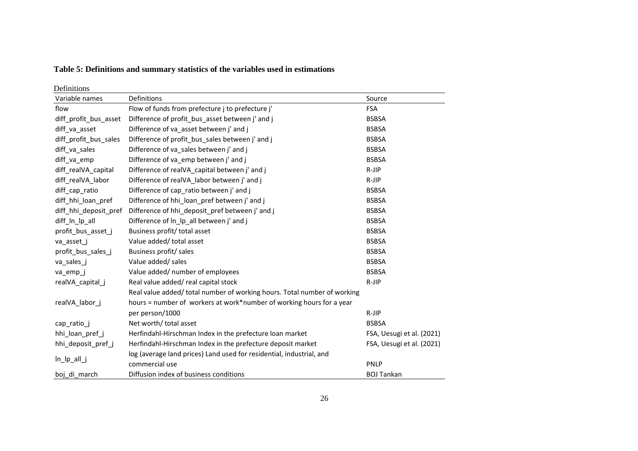## **Table 5: Definitions and summary statistics of the variables used in estimations**

Definitions

| реншиону              |                                                                          |                           |
|-----------------------|--------------------------------------------------------------------------|---------------------------|
| Variable names        | Definitions                                                              | Source                    |
| flow                  | Flow of funds from prefecture j to prefecture j'                         | <b>FSA</b>                |
| diff_profit_bus_asset | Difference of profit_bus_asset between j' and j                          | <b>BSBSA</b>              |
| diff_va_asset         | Difference of va_asset between j' and j                                  | <b>BSBSA</b>              |
| diff profit bus sales | Difference of profit bus sales between j' and j                          | <b>BSBSA</b>              |
| diff_va_sales         | Difference of va_sales between j' and j                                  | <b>BSBSA</b>              |
| diff_va_emp           | Difference of va_emp between j' and j                                    | <b>BSBSA</b>              |
| diff realVA capital   | Difference of realVA capital between j' and j                            | R-JIP                     |
| diff realVA labor     | Difference of realVA labor between j' and j                              | $R-JIP$                   |
| diff_cap_ratio        | Difference of cap_ratio between j' and j                                 | <b>BSBSA</b>              |
| diff hhi loan pref    | Difference of hhi_loan_pref between j' and j                             | <b>BSBSA</b>              |
| diff hhi deposit pref | Difference of hhi_deposit_pref between j' and j                          | <b>BSBSA</b>              |
| diff_ln_lp_all        | Difference of ln_lp_all between j' and j                                 | <b>BSBSA</b>              |
| profit bus asset j    | Business profit/ total asset                                             | <b>BSBSA</b>              |
| va_asset_j            | Value added/ total asset                                                 | <b>BSBSA</b>              |
| profit_bus_sales_j    | Business profit/ sales                                                   | <b>BSBSA</b>              |
| va_sales_j            | Value added/ sales                                                       | <b>BSBSA</b>              |
| va_emp_j              | Value added/ number of employees                                         | <b>BSBSA</b>              |
| realVA_capital_j      | Real value added/real capital stock                                      | R-JIP                     |
|                       | Real value added/ total number of working hours. Total number of working |                           |
| realVA labor j        | hours = number of workers at work*number of working hours for a year     |                           |
|                       | per person/1000                                                          | R-JIP                     |
| cap_ratio_j           | Net worth/ total asset                                                   | <b>BSBSA</b>              |
| hhi loan pref j       | Herfindahl-Hirschman Index in the prefecture loan market                 | FSA, Uesugi et al. (2021) |
| hhi_deposit_pref_j    | Herfindahl-Hirschman Index in the prefecture deposit market              | FSA, Uesugi et al. (2021) |
|                       | log (average land prices) Land used for residential, industrial, and     |                           |
| $In$ $[p$ all $j$     | commercial use                                                           | <b>PNLP</b>               |
| boj di march          | Diffusion index of business conditions                                   | <b>BOJ Tankan</b>         |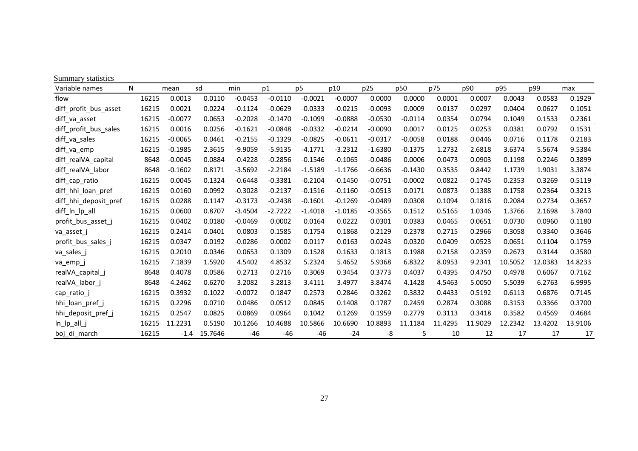| Summary statistics    |       |           |         |           |           |           |           |           |           |         |         |         |         |         |
|-----------------------|-------|-----------|---------|-----------|-----------|-----------|-----------|-----------|-----------|---------|---------|---------|---------|---------|
| Variable names        | N     | mean      | sd      | min       | p1        | p5        | p10       | p25       | p50       | p75     | p90     | p95     | p99     | max     |
| flow                  | 16215 | 0.0013    | 0.0110  | $-0.0453$ | $-0.0110$ | $-0.0021$ | $-0.0007$ | 0.0000    | 0.0000    | 0.0001  | 0.0007  | 0.0043  | 0.0583  | 0.1929  |
| diff profit bus asset | 16215 | 0.0021    | 0.0224  | $-0.1124$ | $-0.0629$ | $-0.0333$ | $-0.0215$ | $-0.0093$ | 0.0009    | 0.0137  | 0.0297  | 0.0404  | 0.0627  | 0.1051  |
| diff_va_asset         | 16215 | $-0.0077$ | 0.0653  | $-0.2028$ | $-0.1470$ | $-0.1099$ | $-0.0888$ | $-0.0530$ | $-0.0114$ | 0.0354  | 0.0794  | 0.1049  | 0.1533  | 0.2361  |
| diff profit bus sales | 16215 | 0.0016    | 0.0256  | $-0.1621$ | $-0.0848$ | $-0.0332$ | $-0.0214$ | $-0.0090$ | 0.0017    | 0.0125  | 0.0253  | 0.0381  | 0.0792  | 0.1531  |
| diff_va_sales         | 16215 | $-0.0065$ | 0.0461  | $-0.2155$ | $-0.1329$ | $-0.0825$ | $-0.0611$ | $-0.0317$ | $-0.0058$ | 0.0188  | 0.0446  | 0.0716  | 0.1178  | 0.2183  |
| diff_va_emp           | 16215 | $-0.1985$ | 2.3615  | $-9.9059$ | $-5.9135$ | $-4.1771$ | $-3.2312$ | $-1.6380$ | $-0.1375$ | 1.2732  | 2.6818  | 3.6374  | 5.5674  | 9.5384  |
| diff realVA capital   | 8648  | $-0.0045$ | 0.0884  | $-0.4228$ | $-0.2856$ | $-0.1546$ | $-0.1065$ | $-0.0486$ | 0.0006    | 0.0473  | 0.0903  | 0.1198  | 0.2246  | 0.3899  |
| diff realVA labor     | 8648  | $-0.1602$ | 0.8171  | $-3.5692$ | $-2.2184$ | $-1.5189$ | $-1.1766$ | $-0.6636$ | $-0.1430$ | 0.3535  | 0.8442  | 1.1739  | 1.9031  | 3.3874  |
| diff_cap_ratio        | 16215 | 0.0045    | 0.1324  | $-0.6448$ | $-0.3381$ | $-0.2104$ | $-0.1450$ | $-0.0751$ | $-0.0002$ | 0.0822  | 0.1745  | 0.2353  | 0.3269  | 0.5119  |
| diff hhi loan pref    | 16215 | 0.0160    | 0.0992  | $-0.3028$ | $-0.2137$ | $-0.1516$ | $-0.1160$ | $-0.0513$ | 0.0171    | 0.0873  | 0.1388  | 0.1758  | 0.2364  | 0.3213  |
| diff hhi deposit pref | 16215 | 0.0288    | 0.1147  | $-0.3173$ | $-0.2438$ | $-0.1601$ | $-0.1269$ | $-0.0489$ | 0.0308    | 0.1094  | 0.1816  | 0.2084  | 0.2734  | 0.3657  |
| diff_ln_lp_all        | 16215 | 0.0600    | 0.8707  | $-3.4504$ | $-2.7222$ | $-1.4018$ | $-1.0185$ | $-0.3565$ | 0.1512    | 0.5165  | 1.0346  | 1.3766  | 2.1698  | 3.7840  |
| profit_bus_asset_j    | 16215 | 0.0402    | 0.0180  | $-0.0469$ | 0.0002    | 0.0164    | 0.0222    | 0.0301    | 0.0383    | 0.0465  | 0.0651  | 0.0730  | 0.0960  | 0.1180  |
| va asset j            | 16215 | 0.2414    | 0.0401  | 0.0803    | 0.1585    | 0.1754    | 0.1868    | 0.2129    | 0.2378    | 0.2715  | 0.2966  | 0.3058  | 0.3340  | 0.3646  |
| profit_bus_sales_j    | 16215 | 0.0347    | 0.0192  | $-0.0286$ | 0.0002    | 0.0117    | 0.0163    | 0.0243    | 0.0320    | 0.0409  | 0.0523  | 0.0651  | 0.1104  | 0.1759  |
| va_sales_j            | 16215 | 0.2010    | 0.0346  | 0.0653    | 0.1309    | 0.1528    | 0.1633    | 0.1813    | 0.1988    | 0.2158  | 0.2359  | 0.2673  | 0.3144  | 0.3580  |
| va_emp_j              | 16215 | 7.1839    | 1.5920  | 4.5402    | 4.8532    | 5.2324    | 5.4652    | 5.9368    | 6.8322    | 8.0953  | 9.2341  | 10.5052 | 12.0383 | 14.8233 |
| realVA_capital_j      | 8648  | 0.4078    | 0.0586  | 0.2713    | 0.2716    | 0.3069    | 0.3454    | 0.3773    | 0.4037    | 0.4395  | 0.4750  | 0.4978  | 0.6067  | 0.7162  |
| realVA labor j        | 8648  | 4.2462    | 0.6270  | 3.2082    | 3.2813    | 3.4111    | 3.4977    | 3.8474    | 4.1428    | 4.5463  | 5.0050  | 5.5039  | 6.2763  | 6.9995  |
| cap_ratio_j           | 16215 | 0.3932    | 0.1022  | $-0.0072$ | 0.1847    | 0.2573    | 0.2846    | 0.3262    | 0.3832    | 0.4433  | 0.5192  | 0.6113  | 0.6876  | 0.7145  |
| hhi_loan_pref_j       | 16215 | 0.2296    | 0.0710  | 0.0486    | 0.0512    | 0.0845    | 0.1408    | 0.1787    | 0.2459    | 0.2874  | 0.3088  | 0.3153  | 0.3366  | 0.3700  |
| hhi_deposit_pref_j    | 16215 | 0.2547    | 0.0825  | 0.0869    | 0.0964    | 0.1042    | 0.1269    | 0.1959    | 0.2779    | 0.3113  | 0.3418  | 0.3582  | 0.4569  | 0.4684  |
| $In$ $[p$ all $j$     | 16215 | 11.2231   | 0.5190  | 10.1266   | 10.4688   | 10.5866   | 10.6690   | 10.8893   | 11.1184   | 11.4295 | 11.9029 | 12.2342 | 13.4202 | 13.9106 |
| boj di march          | 16215 | $-1.4$    | 15.7646 | $-46$     | $-46$     | -46       | $-24$     | -8        | 5         | 10      | 12      | 17      | 17      | 17      |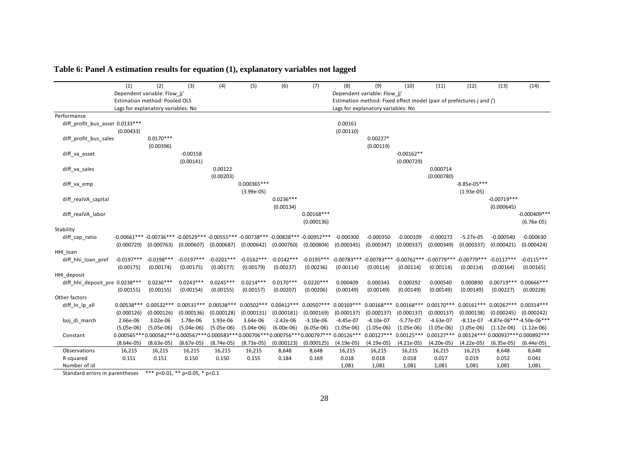|                                  | (1)          | (2)                                | (3)                                                                                        | (4)          | (5)           | (6)          | (7)          | (8)                         | (9)                                | (10)                                                                  | (11)         | (12)           | (13)                               | (14)            |
|----------------------------------|--------------|------------------------------------|--------------------------------------------------------------------------------------------|--------------|---------------|--------------|--------------|-----------------------------|------------------------------------|-----------------------------------------------------------------------|--------------|----------------|------------------------------------|-----------------|
|                                  |              | Dependent variable: Flow_jj'       |                                                                                            |              |               |              |              | Dependent variable: Flow_jj |                                    |                                                                       |              |                |                                    |                 |
|                                  |              | Estimation method: Pooled OLS      |                                                                                            |              |               |              |              |                             |                                    | Estimation method: Fixed effect model (pair of prefectures j and j')  |              |                |                                    |                 |
|                                  |              | Lags for explanatory variables: No |                                                                                            |              |               |              |              |                             | Lags for explanatory variables: No |                                                                       |              |                |                                    |                 |
| Performance                      |              |                                    |                                                                                            |              |               |              |              |                             |                                    |                                                                       |              |                |                                    |                 |
| diff_profit_bus_asset 0.0133 *** |              |                                    |                                                                                            |              |               |              |              | 0.00161                     |                                    |                                                                       |              |                |                                    |                 |
|                                  | (0.00433)    |                                    |                                                                                            |              |               |              |              | (0.00110)                   |                                    |                                                                       |              |                |                                    |                 |
| diff_profit_bus_sales            |              | $0.0170***$                        |                                                                                            |              |               |              |              |                             | $0.00227*$                         |                                                                       |              |                |                                    |                 |
|                                  |              | (0.00396)                          |                                                                                            |              |               |              |              |                             | (0.00119)                          |                                                                       |              |                |                                    |                 |
| diff_va_asset                    |              |                                    | $-0.00158$                                                                                 |              |               |              |              |                             |                                    | $-0.00162**$                                                          |              |                |                                    |                 |
|                                  |              |                                    | (0.00141)                                                                                  |              |               |              |              |                             |                                    | (0.000729)                                                            |              |                |                                    |                 |
| diff_va_sales                    |              |                                    |                                                                                            | 0.00122      |               |              |              |                             |                                    |                                                                       | 0.000714     |                |                                    |                 |
|                                  |              |                                    |                                                                                            | (0.00203)    |               |              |              |                             |                                    |                                                                       | (0.000780)   |                |                                    |                 |
| diff_va_emp                      |              |                                    |                                                                                            |              | $0.000365***$ |              |              |                             |                                    |                                                                       |              | $-8.85e-05***$ |                                    |                 |
|                                  |              |                                    |                                                                                            |              | $(3.99e-05)$  | $0.0236***$  |              |                             |                                    |                                                                       |              | $(1.93e-05)$   | $-0.00719***$                      |                 |
| diff_realVA_capital              |              |                                    |                                                                                            |              |               | (0.00134)    |              |                             |                                    |                                                                       |              |                | (0.000645)                         |                 |
| diff_realVA_labor                |              |                                    |                                                                                            |              |               |              | $0.00168***$ |                             |                                    |                                                                       |              |                |                                    | $-0.000409$ *** |
|                                  |              |                                    |                                                                                            |              |               |              | (0.000136)   |                             |                                    |                                                                       |              |                |                                    | $(6.76e-05)$    |
| Stability                        |              |                                    |                                                                                            |              |               |              |              |                             |                                    |                                                                       |              |                |                                    |                 |
| diff_cap_ratio                   |              |                                    | -0.00661*** -0.00736*** -0.00529*** -0.00555*** -0.00738*** -0.00828*** -0.00952***        |              |               |              |              | $-0.000300$                 | $-0.000350$                        | $-0.000109$                                                           | $-0.000272$  | $-5.27e-05$    | $-0.000540$                        | $-0.000630$     |
|                                  | (0.000729)   | (0.000763)                         | (0.000607)                                                                                 | (0.000687)   | (0.000642)    | (0.000760)   | (0.000804)   | (0.000345)                  | (0.000347)                         | (0.000337)                                                            | (0.000349)   | (0.000337)     | (0.000421)                         | (0.000424)      |
| HHI_loan                         |              |                                    |                                                                                            |              |               |              |              |                             |                                    |                                                                       |              |                |                                    |                 |
| diff_hhi_loan_pref               | $-0.0197***$ | $-0.0198***$                       | $-0.0197***$                                                                               | $-0.0201***$ | $-0.0162***$  | $-0.0142***$ | $-0.0195***$ |                             |                                    | $-0.00783***$ $-0.00783***$ $-0.00762***$ $-0.00779***$ $-0.00779***$ |              |                | $-0.0117***$                       | $-0.0115***$    |
|                                  | (0.00175)    | (0.00174)                          | (0.00175)                                                                                  | (0.00177)    | (0.00179)     | (0.00237)    | (0.00236)    | (0.00114)                   | (0.00114)                          | (0.00114)                                                             | (0.00114)    | (0.00114)      | (0.00164)                          | (0.00165)       |
| HHI_deposit                      |              |                                    |                                                                                            |              |               |              |              |                             |                                    |                                                                       |              |                |                                    |                 |
| diff_hhi_deposit_pre 0.0238 ***  |              | $0.0236***$                        | $0.0243***$                                                                                | $0.0245***$  | $0.0214***$   | $0.0170***$  | $0.0220***$  | 0.000409                    | 0.000343                           | 0.000292                                                              | 0.000540     | 0.000890       | $0.00719***$                       | $0.00666$ ***   |
|                                  | (0.00155)    | (0.00155)                          | (0.00154)                                                                                  | (0.00155)    | (0.00157)     | (0.00207)    | (0.00206)    | (0.00149)                   | (0.00149)                          | (0.00149)                                                             | (0.00149)    | (0.00149)      | (0.00227)                          | (0.00228)       |
| Other factors                    |              |                                    |                                                                                            |              |               |              |              |                             |                                    |                                                                       |              |                |                                    |                 |
| diff In Ip all                   | $0.00538***$ | $0.00532***$                       | $0.00531***$                                                                               | $0.00538***$ | $0.00502***$  | $0.00412***$ | $0.00507***$ | $0.00169***$                | $0.00168***$                       | $0.00168***$                                                          | $0.00170***$ | $0.00161***$   | $0.00267***$                       | $0.00314***$    |
|                                  | (0.000126)   | (0.000126)                         | (0.000136)                                                                                 | (0.000128)   | (0.000131)    | (0.000181)   | (0.000169)   | (0.000137)                  | (0.000137)                         | (0.000137)                                                            | (0.000137)   | (0.000138)     | (0.000245)                         | (0.000242)      |
| boj_di_march                     | 2.66e-06     | 3.02e-06                           | 1.78e-06                                                                                   | 1.93e-06     | 3.64e-06      | $-2.42e-06$  | $-3.10e-06$  | $-4.45e-07$                 | $-4.10e-07$                        | $-5.77e-07$                                                           | $-4.63e-07$  | $-8.11e-07$    | -4.87e-06***-4.50e-06***           |                 |
|                                  | $(5.05e-06)$ | $(5.05e-06)$                       | $(5.04e-06)$                                                                               | $(5.05e-06)$ | $(5.04e-06)$  | $(6.00e-06)$ | $(6.05e-06)$ | $(1.05e-06)$                | $(1.05e-06)$                       | $(1.05e-06)$                                                          | $(1.05e-06)$ | $(1.05e-06)$   | $(1.12e-06)$                       | $(1.12e-06)$    |
| Constant                         |              |                                    | $0.000565***0.000582***0.000567***0.000583***0.000706***0.000756***0.000797***0.00126****$ |              |               |              |              |                             | $0.00127***$                       | $0.00125***$                                                          | $0.00127***$ |                | 0.00124*** 0.000937*** 0.000892*** |                 |
|                                  | $(8.64e-05)$ | $(8.63e-05)$                       | $(8.67e-05)$                                                                               | $(8.74e-05)$ | $(8.73e-05)$  | (0.000123)   | (0.000125)   | $(4.19e-05)$                | $(4.19e-05)$                       | (4.21e-05)                                                            | $(4.20e-05)$ | $(4.22e-05)$   | $(6.35e-05)$                       | $(6.44e-05)$    |
| Observations                     | 16,215       | 16,215                             | 16,215                                                                                     | 16,215       | 16,215        | 8,648        | 8,648        | 16,215                      | 16,215                             | 16,215                                                                | 16,215       | 16,215         | 8,648                              | 8,648           |
| R-squared                        | 0.151        | 0.151                              | 0.150                                                                                      | 0.150        | 0.155         | 0.184        | 0.169        | 0.018                       | 0.018                              | 0.018                                                                 | 0.017        | 0.019          | 0.052                              | 0.041           |
| Number of id                     |              |                                    |                                                                                            |              |               |              |              | 1,081                       | 1,081                              | 1,081                                                                 | 1,081        | 1,081          | 1,081                              | 1,081           |

**Table 6: Panel A estimation results for equation (1), explanatory variables not lagged**

Standard errors in parentheses \*\*\* p<0.01, \*\* p<0.05, \* p<0.1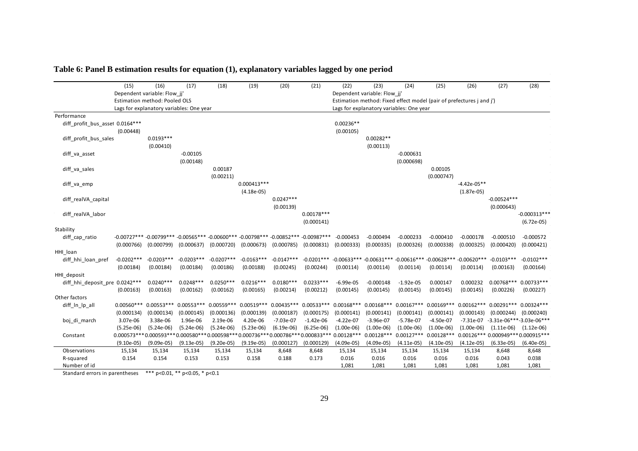|                                 | (15)         | (16)                          | (17)                                     | (18)                    | (19)                                                                                | (20)         | (21)         | (22)          | (23)                         | (24)                                                                 | (25)          | (26)          | (27)                                  | (28)           |
|---------------------------------|--------------|-------------------------------|------------------------------------------|-------------------------|-------------------------------------------------------------------------------------|--------------|--------------|---------------|------------------------------|----------------------------------------------------------------------|---------------|---------------|---------------------------------------|----------------|
|                                 |              | Dependent variable: Flow_jj   |                                          |                         |                                                                                     |              |              |               | Dependent variable: Flow_jj' |                                                                      |               |               |                                       |                |
|                                 |              | Estimation method: Pooled OLS |                                          |                         |                                                                                     |              |              |               |                              | Estimation method: Fixed effect model (pair of prefectures j and j') |               |               |                                       |                |
|                                 |              |                               | Lags for explanatory variables: One year |                         |                                                                                     |              |              |               |                              | Lags for explanatory variables: One year                             |               |               |                                       |                |
| Performance                     |              |                               |                                          |                         |                                                                                     |              |              |               |                              |                                                                      |               |               |                                       |                |
| diff profit bus asset 0.0164*** |              |                               |                                          |                         |                                                                                     |              |              | $0.00236**$   |                              |                                                                      |               |               |                                       |                |
|                                 | (0.00448)    |                               |                                          |                         |                                                                                     |              |              | (0.00105)     |                              |                                                                      |               |               |                                       |                |
| diff_profit_bus_sales           |              | $0.0193***$                   |                                          |                         |                                                                                     |              |              |               | $0.00282**$                  |                                                                      |               |               |                                       |                |
|                                 |              | (0.00410)                     |                                          |                         |                                                                                     |              |              |               | (0.00113)                    |                                                                      |               |               |                                       |                |
| diff_va_asset                   |              |                               | $-0.00105$                               |                         |                                                                                     |              |              |               |                              | $-0.000631$                                                          |               |               |                                       |                |
|                                 |              |                               | (0.00148)                                |                         |                                                                                     |              |              |               |                              | (0.000698)                                                           |               |               |                                       |                |
| diff_va_sales                   |              |                               |                                          | 0.00187                 |                                                                                     |              |              |               |                              |                                                                      | 0.00105       |               |                                       |                |
|                                 |              |                               |                                          | (0.00211)               |                                                                                     |              |              |               |                              |                                                                      | (0.000747)    |               |                                       |                |
| diff_va_emp                     |              |                               |                                          |                         | $0.000413***$                                                                       |              |              |               |                              |                                                                      |               | $-4.42e-05**$ |                                       |                |
|                                 |              |                               |                                          |                         | $(4.18e-05)$                                                                        |              |              |               |                              |                                                                      |               | $(1.87e-05)$  |                                       |                |
| diff_realVA_capital             |              |                               |                                          |                         |                                                                                     | $0.0247***$  |              |               |                              |                                                                      |               |               | $-0.00524***$                         |                |
|                                 |              |                               |                                          |                         |                                                                                     | (0.00139)    | $0.00178***$ |               |                              |                                                                      |               |               | (0.000643)                            | $-0.000313***$ |
| diff_realVA_labor               |              |                               |                                          |                         |                                                                                     |              | (0.000141)   |               |                              |                                                                      |               |               |                                       | $(6.72e-05)$   |
| Stability                       |              |                               |                                          |                         |                                                                                     |              |              |               |                              |                                                                      |               |               |                                       |                |
| diff_cap_ratio                  |              |                               |                                          |                         | -0.00727*** -0.00799*** -0.00565*** -0.00600*** -0.00798*** -0.00852*** -0.00987*** |              |              | $-0.000453$   | $-0.000494$                  | $-0.000233$                                                          | $-0.000410$   | $-0.000178$   | $-0.000510$                           | $-0.000572$    |
|                                 | (0.000766)   | (0.000799)                    | (0.000637)                               | (0.000720)              | (0.000673)                                                                          | (0.000785)   | (0.000831)   | (0.000333)    | (0.000335)                   | (0.000326)                                                           | (0.000338)    | (0.000325)    | (0.000420)                            | (0.000421)     |
| HHI loan                        |              |                               |                                          |                         |                                                                                     |              |              |               |                              |                                                                      |               |               |                                       |                |
| diff_hhi_loan_pref              | $-0.0202***$ | $-0.0203***$                  | $-0.0203***$                             | $-0.0207***$            | $-0.0163***$                                                                        | $-0.0147***$ | $-0.0201***$ | $-0.00633***$ |                              | $-0.00631***$ -0.00616***                                            | $-0.00628***$ | $-0.00620***$ | $-0.0103***$                          | $-0.0102***$   |
|                                 | (0.00184)    | (0.00184)                     | (0.00184)                                | (0.00186)               | (0.00188)                                                                           | (0.00245)    | (0.00244)    | (0.00114)     | (0.00114)                    | (0.00114)                                                            | (0.00114)     | (0.00114)     | (0.00163)                             | (0.00164)      |
| HHI_deposit                     |              |                               |                                          |                         |                                                                                     |              |              |               |                              |                                                                      |               |               |                                       |                |
| diff_hhi_deposit_pre 0.0242 *** |              | $0.0240***$                   | $0.0248***$                              | $0.0250***$             | $0.0216***$                                                                         | $0.0180***$  | $0.0233***$  | $-6.99e-05$   | $-0.000148$                  | $-1.92e-05$                                                          | 0.000147      | 0.000232      | $0.00768***$                          | $0.00733***$   |
|                                 | (0.00163)    | (0.00163)                     | (0.00162)                                | (0.00162)               | (0.00165)                                                                           | (0.00214)    | (0.00212)    | (0.00145)     | (0.00145)                    | (0.00145)                                                            | (0.00145)     | (0.00145)     | (0.00226)                             | (0.00227)      |
| Other factors                   |              |                               |                                          |                         |                                                                                     |              |              |               |                              |                                                                      |               |               |                                       |                |
| diff_In_Ip_all                  | $0.00560***$ | $0.00553***$                  | $0.00553***$                             | 0.00559 *** 0.00519 *** |                                                                                     | $0.00435***$ | $0.00533***$ | $0.00168***$  | $0.00168***$                 | $0.00167***$                                                         | $0.00169***$  | $0.00162***$  | 0.00291*** 0.00324***                 |                |
|                                 | (0.000134)   | (0.000134)                    | (0.000145)                               | (0.000136)              | (0.000139)                                                                          | (0.000187)   | (0.000175)   | (0.000141)    | (0.000141)                   | (0.000141)                                                           | (0.000141)    | (0.000143)    | (0.000244)                            | (0.000240)     |
| boj_di_march                    | 3.07e-06     | 3.38e-06                      | 1.96e-06                                 | 2.19e-06                | 4.20e-06                                                                            | $-7.03e-07$  | $-1.42e-06$  | $-4.22e-07$   | $-3.96e-07$                  | $-5.78e-07$                                                          | $-4.50e-07$   | $-7.31e-07$   | -3.31e-06***-3.03e-06***              |                |
|                                 | $(5.25e-06)$ | $(5.24e-06)$                  | $(5.24e-06)$                             | $(5.24e-06)$            | $(5.23e-06)$                                                                        | $(6.19e-06)$ | $(6.25e-06)$ | $(1.00e-06)$  | $(1.00e-06)$                 | $(1.00e-06)$                                                         | $(1.00e-06)$  | $(1.00e-06)$  | $(1.11e-06)$                          | $(1.12e-06)$   |
| Constant                        |              |                               |                                          |                         | $0.000573***0.000593***0.000580***0.000598***0.000736***0.000786***0.000833***$     |              |              | $0.00128***$  | $0.00128***$                 | $0.00127***$                                                         | $0.00128***$  |               | 0.00126 *** 0.000949 *** 0.000915 *** |                |
|                                 | $(9.10e-05)$ | $(9.09e-05)$                  | $(9.13e-05)$                             | $(9.20e-05)$            | $(9.19e-05)$                                                                        | (0.000127)   | (0.000129)   | $(4.09e-05)$  | $(4.09e-05)$                 | $(4.11e-05)$                                                         | $(4.10e-05)$  | $(4.12e-05)$  | $(6.33e-05)$                          | $(6.40e-05)$   |
| Observations                    | 15,134       | 15,134                        | 15,134                                   | 15,134                  | 15,134                                                                              | 8,648        | 8,648        | 15,134        | 15,134                       | 15,134                                                               | 15,134        | 15,134        | 8,648                                 | 8,648          |
| R-squared                       | 0.154        | 0.154                         | 0.153                                    | 0.153                   | 0.158                                                                               | 0.188        | 0.173        | 0.016         | 0.016                        | 0.016                                                                | 0.016         | 0.016         | 0.043                                 | 0.038          |
| Number of id                    |              |                               |                                          |                         |                                                                                     |              |              | 1,081         | 1,081                        | 1,081                                                                | 1,081         | 1,081         | 1,081                                 | 1,081          |

**Table 6: Panel B estimation results for equation (1), explanatory variables lagged by one period**

Standard errors in parentheses \*\*\* p<0.01, \*\* p<0.05, \* p<0.1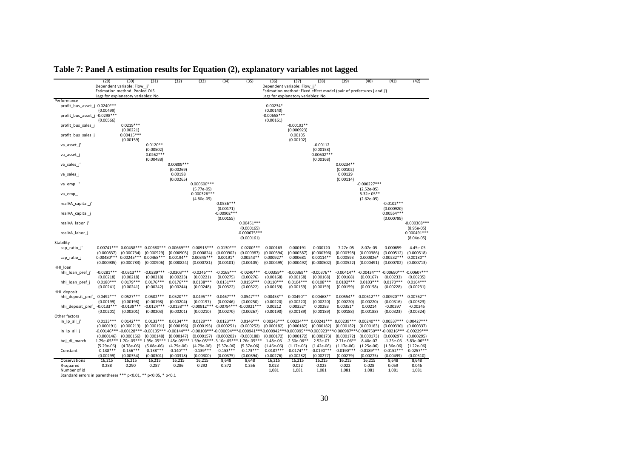|                                                                               | (29)                       | (30)<br>Dependent variable: Flow jj' | (31)                      | (32)                      | (33)                                                                                               | (34)                       | (35)                                       | (36)                       | (37)<br>Dependent variable: Flow jj                                                                                                                                                                        | (38)                                | (39)                        | (40)                           | (41)                       | (42)                                         |
|-------------------------------------------------------------------------------|----------------------------|--------------------------------------|---------------------------|---------------------------|----------------------------------------------------------------------------------------------------|----------------------------|--------------------------------------------|----------------------------|------------------------------------------------------------------------------------------------------------------------------------------------------------------------------------------------------------|-------------------------------------|-----------------------------|--------------------------------|----------------------------|----------------------------------------------|
|                                                                               |                            | Estimation method: Pooled OLS        |                           |                           |                                                                                                    |                            |                                            |                            | Estimation method: Fixed effect model (pair of prefectures j and j')                                                                                                                                       |                                     |                             |                                |                            |                                              |
|                                                                               |                            | Lags for explanatory variables: No   |                           |                           |                                                                                                    |                            |                                            |                            | Lags for explanatory variables: No                                                                                                                                                                         |                                     |                             |                                |                            |                                              |
| Performance                                                                   |                            |                                      |                           |                           |                                                                                                    |                            |                                            |                            |                                                                                                                                                                                                            |                                     |                             |                                |                            |                                              |
| profit bus asset j 0.0240***                                                  | (0.00499)                  |                                      |                           |                           |                                                                                                    |                            |                                            | $-0.00234*$<br>(0.00140)   |                                                                                                                                                                                                            |                                     |                             |                                |                            |                                              |
| profit_bus_asset_j -0.0298 ***                                                | (0.00566)                  |                                      |                           |                           |                                                                                                    |                            |                                            | $-0.00658***$<br>(0.00161) |                                                                                                                                                                                                            |                                     |                             |                                |                            |                                              |
| profit bus sales                                                              |                            | $0.0219***$<br>(0.00221)             |                           |                           |                                                                                                    |                            |                                            |                            | $-0.00192**$<br>(0.000923)                                                                                                                                                                                 |                                     |                             |                                |                            |                                              |
| profit_bus_sales_j                                                            |                            | $0.00415***$<br>(0.00159)            |                           |                           |                                                                                                    |                            |                                            |                            | 0.00105<br>(0.00102)                                                                                                                                                                                       |                                     |                             |                                |                            |                                              |
| va asset j                                                                    |                            |                                      | $0.0120**$<br>(0.00502)   |                           |                                                                                                    |                            |                                            |                            |                                                                                                                                                                                                            | $-0.00112$<br>(0.00158)             |                             |                                |                            |                                              |
| va_asset_j                                                                    |                            |                                      | $-0.0262***$<br>(0.00488) |                           |                                                                                                    |                            |                                            |                            |                                                                                                                                                                                                            | $-0.00602***$<br>(0.00168)          |                             |                                |                            |                                              |
| va sales j'                                                                   |                            |                                      |                           | $0.00809***$<br>(0.00269) |                                                                                                    |                            |                                            |                            |                                                                                                                                                                                                            |                                     | $0.00234**$<br>(0.00102)    |                                |                            |                                              |
| va sales                                                                      |                            |                                      |                           | 0.00198<br>(0.00265)      |                                                                                                    |                            |                                            |                            |                                                                                                                                                                                                            |                                     | 0.00129<br>(0.00114)        |                                |                            |                                              |
| va emp j                                                                      |                            |                                      |                           |                           | $0.000600***$<br>$(5.77e-05)$                                                                      |                            |                                            |                            |                                                                                                                                                                                                            |                                     |                             | $-0.000227***$<br>$(2.52e-05)$ |                            |                                              |
| va emp j                                                                      |                            |                                      |                           |                           | $-0.000326***$<br>$(4.80e-05)$                                                                     |                            |                                            |                            |                                                                                                                                                                                                            |                                     |                             | $-5.32e-05**$<br>$(2.62e-05)$  |                            |                                              |
| realVA_capital_j                                                              |                            |                                      |                           |                           |                                                                                                    | $0.0536***$<br>(0.00171)   |                                            |                            |                                                                                                                                                                                                            |                                     |                             |                                | $-0.0102***$<br>(0.000920) |                                              |
| realVA_capital_j                                                              |                            |                                      |                           |                           |                                                                                                    | $-0.00902***$<br>(0.00155) |                                            |                            |                                                                                                                                                                                                            |                                     |                             |                                | $0.00554***$<br>(0.000799) |                                              |
| realVA labor j'                                                               |                            |                                      |                           |                           |                                                                                                    |                            | $0.00451***$                               |                            |                                                                                                                                                                                                            |                                     |                             |                                |                            | $-0.000368$ ***                              |
| realVA labor j                                                                |                            |                                      |                           |                           |                                                                                                    |                            | (0.000165)<br>$-0.000675***$<br>(0.000161) |                            |                                                                                                                                                                                                            |                                     |                             |                                |                            | $(8.95e-05)$<br>$0.000491**$<br>$(8.04e-05)$ |
| Stability                                                                     |                            |                                      |                           |                           |                                                                                                    |                            |                                            |                            |                                                                                                                                                                                                            |                                     |                             |                                |                            |                                              |
| cap ratio j'                                                                  | (0.000837)                 | (0.000734)                           | (0.000929)                | (0.000903)                | $-0.00741***$ $-0.00458***$ $-0.00680***$ $-0.00669***$ $-0.00915***$<br>(0.000824)                | $-0.0130***$<br>(0.000902) | $-0.0200***$<br>(0.000987)                 | 0.000163<br>(0.000394)     | 0.000191<br>(0.000387)                                                                                                                                                                                     | 0.000120<br>(0.000396)              | $-7.27e-05$<br>(0.000398)   | 8.07e-05<br>(0.000386)         | 0.000659<br>(0.000512)     | $-4.45e-05$<br>(0.000518)                    |
| cap ratio j                                                                   | $0.00480***$<br>(0.000905) | 0.00245*** 0.00468***<br>(0.000783)  | (0.000906)                | $0.00194**$<br>(0.000824) | $0.00345***$<br>(0.000781)                                                                         | $0.00191*$<br>(0.00101)    | $0.00243**$<br>(0.00105)                   | 0.000927*<br>(0.000495)    | 0.000681<br>(0.000492)                                                                                                                                                                                     | $0.00114**$<br>(0.000502)           | 0.000593<br>(0.000522)      | 0.000826*<br>(0.000491)        | $0.00232***$<br>(0.000702) | $0.00180**$<br>(0.000713)                    |
| HHI loan                                                                      |                            |                                      |                           |                           |                                                                                                    |                            |                                            |                            |                                                                                                                                                                                                            |                                     |                             |                                |                            |                                              |
| hhi loan pref j'                                                              | $-0.0281***$<br>(0.00218)  | $-0.0313***$<br>(0.00218)            | $-0.0289***$<br>(0.00218) | $-0.0303***$<br>(0.00223) | $-0.0246***$<br>(0.00221)                                                                          | $-0.0168***$<br>(0.00275)  | $-0.0240***$<br>(0.00276)                  | $-0.00359**$<br>(0.00168)  | $-0.00369**$<br>(0.00168)                                                                                                                                                                                  | $-0.00376**$<br>(0.00168)           | $-0.00414**$<br>(0.00168)   | $-0.00434***$<br>(0.00167)     | $-0.00690***$<br>(0.00233) | $-0.00607**$<br>(0.00235)                    |
| hhi_loan_pref_j                                                               | $0.0180***$<br>(0.00241)   | $0.0179***$<br>(0.00241)             | $0.0176***$<br>(0.00242)  | $0.0176***$<br>(0.00244)  | $0.0138***$<br>(0.00248)                                                                           | $0.0131***$<br>(0.00322)   | $0.0156***$<br>(0.00322)                   | $0.0110***$<br>(0.00159)   | $0.0104***$<br>(0.00159)                                                                                                                                                                                   | $0.0108***$<br>(0.00159)            | $0.0102***$<br>(0.00159)    | $0.0103***$<br>(0.00158)       | $0.0170***$<br>(0.00228)   | $0.0164***$<br>(0.00231)                     |
| HHI deposit                                                                   |                            |                                      |                           |                           |                                                                                                    |                            |                                            |                            |                                                                                                                                                                                                            |                                     |                             |                                |                            |                                              |
| hhi_deposit_pref_ 0.0492 ***                                                  | (0.00199)                  | $0.0527***$<br>(0.00198)             | $0.0502***$<br>(0.00198)  | $0.0520***$<br>(0.00204)  | $0.0495***$<br>(0.00197)                                                                           | $0.0467***$<br>(0.00246)   | $0.0547***$<br>(0.00250)                   | $0.00453**$<br>(0.00220)   | $0.00490**$<br>(0.00220)                                                                                                                                                                                   | $0.00468**$<br>(0.00220)            | $0.00554**$<br>(0.00220)    | $0.00612***$<br>(0.00220)      | $0.00920***$<br>(0.00316)  | $0.00762**$<br>(0.00323)                     |
| hhi_deposit_pref_                                                             | $-0.0133***$<br>(0.00201)  | $-0.0139***$<br>(0.00201)            | $-0.0124***$<br>(0.00203) | $-0.0138***$<br>(0.00201) | $-0.00912***$<br>(0.00210)                                                                         | $-0.00794***$<br>(0.00270) | $-0.00921***$<br>(0.00267)                 | 0.00212<br>(0.00190)       | $0.00332*$<br>(0.00189)                                                                                                                                                                                    | 0.00283<br>(0.00189)                | $0.00351*$<br>(0.00188)     | 0.00214<br>(0.00188)           | $-0.00397$<br>(0.00323)    | $-0.00345$<br>(0.00324)                      |
| Other factors                                                                 |                            |                                      |                           |                           |                                                                                                    |                            |                                            |                            |                                                                                                                                                                                                            |                                     |                             |                                |                            |                                              |
| $\ln$ $\ln$ all $\int$                                                        | $0.0133***$<br>(0.000191)  | $0.0142***$<br>(0.000213)            | $0.0133***$<br>(0.000191) | $0.0134***$<br>(0.000196) | $0.0129***$<br>(0.000193)                                                                          | $0.0123***$<br>(0.000251)  | $0.0146***$<br>(0.000252)                  | $0.00243***$<br>(0.000182) | $0.00234***$<br>(0.000182)                                                                                                                                                                                 | 0.00241*** 0.00239***<br>(0.000182) | (0.000182)                  | $0.00240***$<br>(0.000183)     | $0.00337***$<br>(0.000330) | $0.00427***$<br>(0.000337)                   |
| In Ip all j                                                                   |                            |                                      |                           |                           |                                                                                                    |                            |                                            |                            | $-0.00146***$ $-0.00128***$ $-0.00135***$ $-0.00104***$ $-0.00108***$ $-0.000694***$ $-0.000941***$ $-0.000942***$ $-0.000995***$ $-0.000923**$ $-0.000987***$ $-0.000987***$ $-0.000750***$ $-0.00216***$ |                                     |                             |                                |                            | $-0.00229***$                                |
| boj_di_march                                                                  | (0.000146)                 | (0.000156)                           | (0.000148)                | (0.000147)                | (0.000157)<br>1.79e-05*** 1.70e-05*** 1.95e-05*** 1.45e-05*** 1.59e-05*** -3.10e-05***-1.76e-05*** | (0.000202)                 | (0.000188)                                 | (0.000172)<br>1.48e-06     | (0.000172)<br>$-2.50e-06**$                                                                                                                                                                                | (0.000173)<br>2.52e-07              | (0.000172)<br>$-2.71e-06**$ | (0.000173)<br>8.40e-07         | (0.000297)<br>$-1.25e-06$  | (0.000295)<br>$-3.83e-06**$                  |
|                                                                               | $(5.29e-06)$               | $(4.78e-06)$                         | $(5.08e-06)$              | $(4.79e-06)$              | $(4.79e-06)$                                                                                       | $(5.37e-06)$               | $(5.37e-06)$                               | $(1.46e-06)$               | $(1.17e-06)$                                                                                                                                                                                               | $(1.42e-06)$                        | $(1.17e-06)$                | $(1.25e-06)$                   | $(1.36e-06)$               | $(1.22e-06)$                                 |
| Constant                                                                      | $-0.138***$                | $-0.156***$                          | $-0.138***$               | $-0.140***$               | $-0.139***$                                                                                        | $-0.153***$                | $-0.173***$                                | $-0.0187***$               | $-0.0174***$                                                                                                                                                                                               | $-0.0190***$                        | $-0.0190***$                | $-0.0189***$                   | $-0.0152***$               | $-0.0257***$                                 |
|                                                                               | (0.00299)                  | (0.00354)                            | (0.00301)                 | (0.00318)                 | (0.00300)                                                                                          | (0.00375)                  | (0.00394)                                  | (0.00276)                  | (0.00282)                                                                                                                                                                                                  | (0.00277)                           | (0.00279)                   | (0.00275)                      | (0.00499)                  | (0.00510)                                    |
| Observations                                                                  | 16,215                     | 16,215                               | 16,215                    | 16,215                    | 16,215                                                                                             | 8,648                      | 8,648                                      | 16,215                     | 16,215                                                                                                                                                                                                     | 16,215                              | 16,215                      | 16,215                         | 8,648                      | 8,648                                        |
| R-squared                                                                     | 0.288                      | 0.290                                | 0.287                     | 0.286                     | 0.292                                                                                              | 0.372                      | 0.356                                      | 0.023                      | 0.022                                                                                                                                                                                                      | 0.023                               | 0.022                       | 0.028                          | 0.059                      | 0.046                                        |
| Number of id<br>Standard errors in parentheses *** p<0.01, ** p<0.05, * p<0.1 |                            |                                      |                           |                           |                                                                                                    |                            |                                            | 1,081                      | 1,081                                                                                                                                                                                                      | 1,081                               | 1,081                       | 1,081                          | 1,081                      | 1,081                                        |
|                                                                               |                            |                                      |                           |                           |                                                                                                    |                            |                                            |                            |                                                                                                                                                                                                            |                                     |                             |                                |                            |                                              |

## **Table 7: Panel A estimation results for Equation (2), explanatory variables not lagged**

30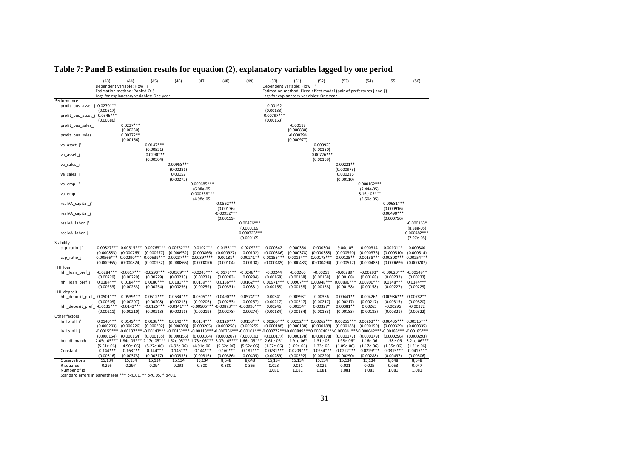|                                                               | (43)                       | (44)<br>Dependent variable: Flow_jj<br>Estimation method: Pooled OLS     | (45)                                     | (46)                                | (47)                                                                                 | (48)                       | (49)                                       | (50)                       | (51)<br>Dependent variable: Flow jj'     | (52)                                      | (53)                       | (54)<br>Estimation method: Fixed effect model (pair of prefectures j and j')                                                                                                                                            | (55)                       | (56)                                          |
|---------------------------------------------------------------|----------------------------|--------------------------------------------------------------------------|------------------------------------------|-------------------------------------|--------------------------------------------------------------------------------------|----------------------------|--------------------------------------------|----------------------------|------------------------------------------|-------------------------------------------|----------------------------|-------------------------------------------------------------------------------------------------------------------------------------------------------------------------------------------------------------------------|----------------------------|-----------------------------------------------|
|                                                               |                            | Lags for explanatory variables: One year                                 |                                          |                                     |                                                                                      |                            |                                            |                            | Lags for explanatory variables: One year |                                           |                            |                                                                                                                                                                                                                         |                            |                                               |
| Performance                                                   |                            |                                                                          |                                          |                                     |                                                                                      |                            |                                            |                            |                                          |                                           |                            |                                                                                                                                                                                                                         |                            |                                               |
| profit_bus_asset_j 0.0270***                                  | (0.00517)                  |                                                                          |                                          |                                     |                                                                                      |                            |                                            | $-0.00192$<br>(0.00133)    |                                          |                                           |                            |                                                                                                                                                                                                                         |                            |                                               |
| profit_bus_asset_j -0.0346***                                 | (0.00586)                  |                                                                          |                                          |                                     |                                                                                      |                            |                                            | $-0.00797***$<br>(0.00153) |                                          |                                           |                            |                                                                                                                                                                                                                         |                            |                                               |
| profit_bus_sales_j                                            |                            | $0.0237***$<br>(0.00230)                                                 |                                          |                                     |                                                                                      |                            |                                            |                            | $-0.00117$<br>(0.000880)                 |                                           |                            |                                                                                                                                                                                                                         |                            |                                               |
| profit_bus_sales_j                                            |                            | $0.00372**$<br>(0.00166)                                                 |                                          |                                     |                                                                                      |                            |                                            |                            | $-0.000394$<br>(0.000977)                |                                           |                            |                                                                                                                                                                                                                         |                            |                                               |
| va asset j'                                                   |                            |                                                                          | $0.0147***$<br>(0.00521)<br>$-0.0290***$ |                                     |                                                                                      |                            |                                            |                            |                                          | $-0.000923$<br>(0.00150)<br>$-0.00726***$ |                            |                                                                                                                                                                                                                         |                            |                                               |
| va_asset_j                                                    |                            |                                                                          | (0.00504)                                | $0.00958***$                        |                                                                                      |                            |                                            |                            |                                          | (0.00159)                                 | $0.00221**$                |                                                                                                                                                                                                                         |                            |                                               |
| va_sales_j'<br>va_sales_j                                     |                            |                                                                          |                                          | (0.00281)<br>0.00152                |                                                                                      |                            |                                            |                            |                                          |                                           | (0.000973)<br>0.000226     |                                                                                                                                                                                                                         |                            |                                               |
| va emp j                                                      |                            |                                                                          |                                          | (0.00273)                           | 0.000685 ***                                                                         |                            |                                            |                            |                                          |                                           | (0.00110)                  | $-0.000162***$                                                                                                                                                                                                          |                            |                                               |
| va emp j                                                      |                            |                                                                          |                                          |                                     | $(6.08e-05)$<br>$-0.000358***$                                                       |                            |                                            |                            |                                          |                                           |                            | $(2.44e-05)$<br>$-8.16e-05***$                                                                                                                                                                                          |                            |                                               |
| realVA capital j'                                             |                            |                                                                          |                                          |                                     | $(4.98e-05)$                                                                         | $0.0562***$                |                                            |                            |                                          |                                           |                            | $(2.50e-05)$                                                                                                                                                                                                            | $-0.00681***$              |                                               |
| realVA_capital_j                                              |                            |                                                                          |                                          |                                     |                                                                                      | (0.00176)<br>$-0.00932***$ |                                            |                            |                                          |                                           |                            |                                                                                                                                                                                                                         | (0.000916)<br>$0.00490***$ |                                               |
| realVA_labor_j                                                |                            |                                                                          |                                          |                                     |                                                                                      | (0.00159)                  | $0.00476***$                               |                            |                                          |                                           |                            |                                                                                                                                                                                                                         | (0.000796)                 | $-0.000163*$                                  |
| realVA_labor_j                                                |                            |                                                                          |                                          |                                     |                                                                                      |                            | (0.000169)<br>$-0.000723***$<br>(0.000165) |                            |                                          |                                           |                            |                                                                                                                                                                                                                         |                            | $(8.88e-05)$<br>$0.000482***$<br>$(7.97e-05)$ |
| Stability                                                     |                            |                                                                          |                                          |                                     |                                                                                      |                            |                                            |                            |                                          |                                           |                            |                                                                                                                                                                                                                         |                            |                                               |
| cap ratio j                                                   | (0.000883)                 | -0.00827*** -0.00515*** -0.00763*** -0.00752*** -0.0102***<br>(0.000769) | (0.000977)                               | (0.000952)                          | (0.000866)                                                                           | $-0.0135***$<br>(0.000927) | $-0.0209***$<br>(0.00102)                  | 0.000342<br>(0.000386)     | 0.000354<br>(0.000378)                   | 0.000304<br>(0.000388)                    | 9.04e-05<br>(0.000390)     | 0.000314<br>(0.000376)                                                                                                                                                                                                  | $0.00101**$<br>(0.000510)  | 0.000380<br>(0.000514)                        |
| cap ratio j                                                   | $0.00566***$<br>(0.000955) | $0.00290***$<br>(0.000824)                                               | (0.000952)                               | 0.00539*** 0.00237***<br>(0.000865) | $0.00397***$<br>(0.000820)                                                           | $0.00181*$<br>(0.00104)    | $0.00241**$<br>(0.00108)                   | $0.00155***$<br>(0.000485) | $0.00124**$<br>(0.000483)                | $0.00178***$<br>(0.000494)                | $0.00125**$<br>(0.000517)  | $0.00138***$<br>(0.000483)                                                                                                                                                                                              | $0.00308***$<br>(0.000699) | $0.00254***$<br>(0.000707)                    |
| HHI loan                                                      |                            |                                                                          |                                          |                                     |                                                                                      |                            |                                            |                            |                                          |                                           |                            |                                                                                                                                                                                                                         |                            |                                               |
| hhi loan pref j'                                              | $-0.0284***$<br>(0.00229)  | $-0.0317***$<br>(0.00229)                                                | $-0.0293***$<br>(0.00229)                | $-0.0309***$<br>(0.00233)           | $-0.0243***$<br>(0.00232)                                                            | $-0.0173***$<br>(0.00283)  | $-0.0248***$<br>(0.00284)                  | $-0.00244$<br>(0.00168)    | $-0.00260$<br>(0.00168)                  | $-0.00259$<br>(0.00168)                   | $-0.00289*$<br>(0.00168)   | $-0.00293*$<br>(0.00168)                                                                                                                                                                                                | $-0.00620***$<br>(0.00232) | $-0.00549**$<br>(0.00233)                     |
| hhi_loan_pref_j                                               | $0.0184***$<br>(0.00253)   | $0.0184***$<br>(0.00253)                                                 | $0.0180***$<br>(0.00254)                 | $0.0181***$<br>(0.00256)            | $0.0139***$<br>(0.00259)                                                             | $0.0136***$<br>(0.00331)   | $0.0162***$<br>(0.00331)                   | $0.00971***$<br>(0.00158)  | $0.00907***$<br>(0.00158)                | $0.00948***$<br>(0.00158)                 | $0.00896***$<br>(0.00158)  | $0.00900$ ***<br>(0.00158)                                                                                                                                                                                              | $0.0148***$<br>(0.00227)   | $0.0144***$<br>(0.00229)                      |
| HHI deposit                                                   |                            |                                                                          |                                          |                                     |                                                                                      |                            |                                            |                            |                                          |                                           |                            |                                                                                                                                                                                                                         |                            |                                               |
| hhi_deposit_pref_ 0.0501 ***                                  | (0.00209)                  | $0.0539***$<br>(0.00207)                                                 | $0.0512***$<br>(0.00208)                 | $0.0534***$<br>(0.00213)            | $0.0505***$<br>(0.00206)                                                             | $0.0490***$<br>(0.00253)   | $0.0574***$<br>(0.00257)                   | 0.00341<br>(0.00217)       | $0.00393*$<br>(0.00217)                  | 0.00356<br>(0.00217)                      | $0.00441**$<br>(0.00217)   | $0.00426*$<br>(0.00217)                                                                                                                                                                                                 | $0.00986***$<br>(0.00315)  | $0.00782**$<br>(0.00320)                      |
| hhi deposit pref                                              | $-0.0135***$<br>(0.00211)  | $-0.0143***$<br>(0.00210)                                                | $-0.0125***$<br>(0.00213)                | $-0.0141***$<br>(0.00211)           | $-0.00906***$ $-0.00873***$ $-0.00996***$<br>(0.00219)                               | (0.00278)                  | (0.00274)                                  | 0.00246<br>(0.00184)       | $0.00354*$<br>(0.00184)                  | $0.00327*$<br>(0.00183)                   | $0.00381**$<br>(0.00183)   | 0.00265<br>(0.00183)                                                                                                                                                                                                    | $-0.00296$<br>(0.00321)    | $-0.00272$<br>(0.00322)                       |
| Other factors                                                 |                            |                                                                          |                                          |                                     |                                                                                      |                            |                                            |                            |                                          |                                           |                            |                                                                                                                                                                                                                         |                            |                                               |
| ln_lp_all_j'                                                  | $0.0140***$<br>(0.000203)  | $0.0149***$<br>(0.000226)                                                | $0.0138***$<br>(0.000202)                | $0.0140***$<br>(0.000208)           | $0.0134***$<br>(0.000205)                                                            | $0.0129***$<br>(0.000258)  | $0.0153***$<br>(0.000259)                  | $0.00265***$<br>(0.000188) | $0.00252***$<br>(0.000188)               | $0.00262***$<br>(0.000188)                | $0.00255***$<br>(0.000188) | $0.00263***$<br>(0.000190)                                                                                                                                                                                              | $0.00435***$<br>(0.000329) | $0.00515***$<br>(0.000335)                    |
| ln_lp_all_j                                                   | (0.000154)                 |                                                                          | $(0.000164)$ $(0.000155)$                | (0.000155)                          | (0.000164)                                                                           | (0.000207)                 | (0.000193)                                 | (0.000177)                 | (0.000178)                               | (0.000178)                                | (0.000177)                 | $-0.00155***$ $-0.00137***$ $-0.00143***$ $-0.00152***$ $-0.00113***$ $-0.000766***$ $-0.00101***$ $-0.000772***$ $-0.000849***$ $-0.000746***$ $-0.000841***$ $-0.000642***$ $-0.00183***$ $-0.00185***$<br>(0.000179) | (0.000296)                 | (0.000293)                                    |
| boj di march                                                  |                            |                                                                          |                                          |                                     | 2.05e-05*** 1.84e-05*** 2.17e-05*** 1.62e-05*** 1.73e-05*** -3.07e-05***-1.66e-05*** |                            |                                            | $2.61e-06*$                | $-1.91e-06*$                             | 1.31e-06                                  | $-1.98e-06*$               | 1.16e-06                                                                                                                                                                                                                | $-1.58e-06$                | $-3.21e-06***$                                |
|                                                               | $(5.51e-06)$               | $(4.90e-06)$                                                             | $(5.27e-06)$                             | $(4.92e-06)$                        | $(4.91e-06)$                                                                         | $(5.52e-06)$               | $(5.52e-06)$                               | $(1.37e-06)$               | $(1.09e-06)$                             | $(1.33e-06)$                              | $(1.09e-06)$               | $(1.17e-06)$                                                                                                                                                                                                            | $(1.35e-06)$               | $(1.21e-06)$                                  |
| Constant                                                      | $-0.144***$<br>(0.00316)   | $-0.163***$<br>(0.00373)                                                 | $-0.144***$<br>(0.00317)                 | $-0.146***$<br>(0.00335)            | $-0.144***$<br>(0.00316)                                                             | $-0.160***$<br>(0.00386)   | $-0.181***$<br>(0.00405)                   | $-0.0231***$<br>(0.00289)  | $-0.0209***$<br>(0.00292)                | $-0.0234***$<br>(0.00290)                 | $-0.0222***$<br>(0.00290)  | $-0.0229***$<br>(0.00288)                                                                                                                                                                                               | $-0.0315***$<br>(0.00497)  | $-0.0417***$<br>(0.00506)                     |
| Observations                                                  | 15,134                     | 15,134                                                                   | 15,134                                   | 15,134                              | 15,134                                                                               | 8,648                      | 8,648                                      | 15,134                     | 15,134                                   | 15,134                                    | 15,134                     | 15,134                                                                                                                                                                                                                  | 8,648                      | 8,648                                         |
| R-squared                                                     | 0.295                      | 0.297                                                                    | 0.294                                    | 0.293                               | 0.300                                                                                | 0.380                      | 0.365                                      | 0.023                      | 0.021                                    | 0.022                                     | 0.021                      | 0.025                                                                                                                                                                                                                   | 0.053                      | 0.047                                         |
| Number of id                                                  |                            |                                                                          |                                          |                                     |                                                                                      |                            |                                            | 1,081                      | 1,081                                    | 1,081                                     | 1,081                      | 1,081                                                                                                                                                                                                                   | 1,081                      | 1,081                                         |
| Standard errors in parentheses *** p<0.01, ** p<0.05, * p<0.1 |                            |                                                                          |                                          |                                     |                                                                                      |                            |                                            |                            |                                          |                                           |                            |                                                                                                                                                                                                                         |                            |                                               |

## **Table 7: Panel B estimation results for equation (2), explanatory variables lagged by one period**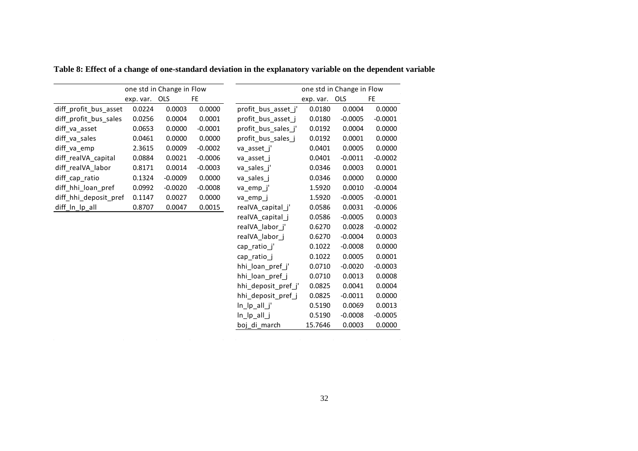|                       |           | one std in Change in Flow |           |                     |           | one std in Change in Flow |           |
|-----------------------|-----------|---------------------------|-----------|---------------------|-----------|---------------------------|-----------|
|                       | exp. var. | <b>OLS</b>                | FE.       |                     | exp. var. | <b>OLS</b>                | <b>FE</b> |
| diff_profit_bus_asset | 0.0224    | 0.0003                    | 0.0000    | profit_bus_asset_j' | 0.0180    | 0.0004                    | 0.0000    |
| diff_profit_bus_sales | 0.0256    | 0.0004                    | 0.0001    | profit_bus_asset_j  | 0.0180    | $-0.0005$                 | $-0.0001$ |
| diff va asset         | 0.0653    | 0.0000                    | $-0.0001$ | profit_bus_sales_j' | 0.0192    | 0.0004                    | 0.0000    |
| diff va sales         | 0.0461    | 0.0000                    | 0.0000    | profit_bus_sales_j  | 0.0192    | 0.0001                    | 0.0000    |
| diff va emp           | 2.3615    | 0.0009                    | $-0.0002$ | va asset j'         | 0.0401    | 0.0005                    | 0.0000    |
| diff_realVA_capital   | 0.0884    | 0.0021                    | $-0.0006$ | va asset j          | 0.0401    | $-0.0011$                 | $-0.0002$ |
| diff realVA labor     | 0.8171    | 0.0014                    | $-0.0003$ | va sales j'         | 0.0346    | 0.0003                    | 0.0001    |
| diff_cap_ratio        | 0.1324    | $-0.0009$                 | 0.0000    | va_sales_j          | 0.0346    | 0.0000                    | 0.0000    |
| diff hhi loan pref    | 0.0992    | $-0.0020$                 | $-0.0008$ | va_emp_j'           | 1.5920    | 0.0010                    | $-0.0004$ |
| diff_hhi_deposit_pref | 0.1147    | 0.0027                    | 0.0000    | va emp j            | 1.5920    | $-0.0005$                 | $-0.0001$ |
| diff_ln_lp_all        | 0.8707    | 0.0047                    | 0.0015    | realVA_capital_j'   | 0.0586    | 0.0031                    | $-0.0006$ |
|                       |           |                           |           | realVA_capital_j    | 0.0586    | $-0.0005$                 | 0.0003    |
|                       |           |                           |           | realVA labor j'     | 0.6270    | 0.0028                    | $-0.0002$ |
|                       |           |                           |           | realVA_labor_j      | 0.6270    | $-0.0004$                 | 0.0003    |
|                       |           |                           |           | cap ratio j'        | 0.1022    | $-0.0008$                 | 0.0000    |
|                       |           |                           |           | cap ratio j         | 0.1022    | 0.0005                    | 0.0001    |
|                       |           |                           |           | hhi_loan_pref_j'    | 0.0710    | $-0.0020$                 | $-0.0003$ |
|                       |           |                           |           | hhi loan pref j     | 0.0710    | 0.0013                    | 0.0008    |
|                       |           |                           |           | hhi deposit pref j' | 0.0825    | 0.0041                    | 0.0004    |
|                       |           |                           |           | hhi_deposit_pref_j  | 0.0825    | $-0.0011$                 | 0.0000    |
|                       |           |                           |           | $In$ $[p$ all $j'$  | 0.5190    | 0.0069                    | 0.0013    |
|                       |           |                           |           | $In$ $[p$ all $j$   | 0.5190    | $-0.0008$                 | $-0.0005$ |
|                       |           |                           |           | boj_di_march        | 15.7646   | 0.0003                    | 0.0000    |
|                       |           |                           |           |                     |           |                           |           |

**Table 8: Effect of a change of one-standard deviation in the explanatory variable on the dependent variable**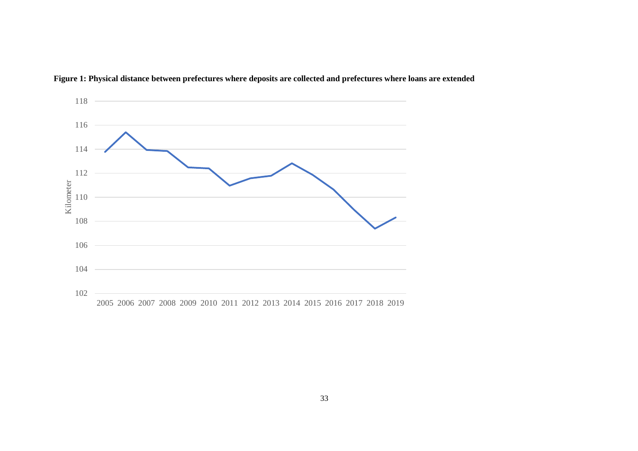

**Figure 1: Physical distance between prefectures where deposits are collected and prefectures where loans are extended**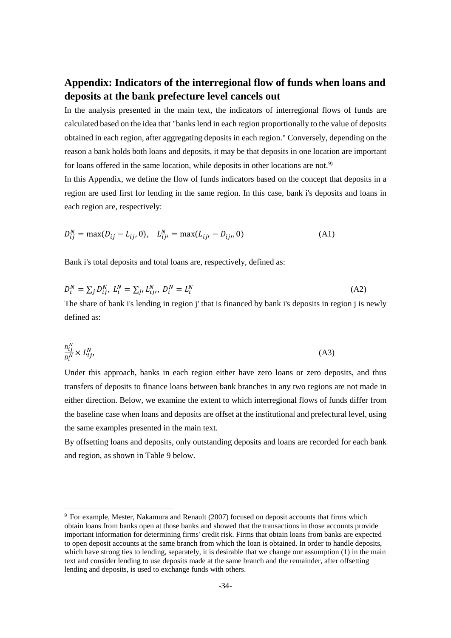## **Appendix: Indicators of the interregional flow of funds when loans and deposits at the bank prefecture level cancels out**

In the analysis presented in the main text, the indicators of interregional flows of funds are calculated based on the idea that "banks lend in each region proportionally to the value of deposits obtained in each region, after aggregating deposits in each region." Conversely, depending on the reason a bank holds both loans and deposits, it may be that deposits in one location are important for loans offered in the same location, while deposits in other locations are not.<sup>[9](#page-34-0))</sup>

In this Appendix, we define the flow of funds indicators based on the concept that deposits in a region are used first for lending in the same region. In this case, bank i's deposits and loans in each region are, respectively:

$$
D_{ij}^N = \max(D_{ij} - L_{ij}, 0), \quad L_{ij}^N = \max(L_{ij}, -D_{ij}, 0)
$$
 (A1)

Bank i's total deposits and total loans are, respectively, defined as:

$$
D_i^N = \sum_j D_{ij}^N, L_i^N = \sum_j L_{ij}^N, D_i^N = L_i^N
$$
 (A2)  
The share of bank i's lending in region j' that is financed by bank i's deposits in region j is newly

defined as:

$$
\frac{D_{ij}^N}{D_i^N} \times L_{ij}^N,\tag{A3}
$$

Under this approach, banks in each region either have zero loans or zero deposits, and thus transfers of deposits to finance loans between bank branches in any two regions are not made in either direction. Below, we examine the extent to which interregional flows of funds differ from the baseline case when loans and deposits are offset at the institutional and prefectural level, using the same examples presented in the main text.

By offsetting loans and deposits, only outstanding deposits and loans are recorded for each bank and region, as shown in Table 9 below.

<span id="page-34-0"></span> <sup>9</sup> For example, Mester, Nakamura and Renault (2007) focused on deposit accounts that firms which obtain loans from banks open at those banks and showed that the transactions in those accounts provide important information for determining firms' credit risk. Firms that obtain loans from banks are expected to open deposit accounts at the same branch from which the loan is obtained. In order to handle deposits, which have strong ties to lending, separately, it is desirable that we change our assumption (1) in the main text and consider lending to use deposits made at the same branch and the remainder, after offsetting lending and deposits, is used to exchange funds with others.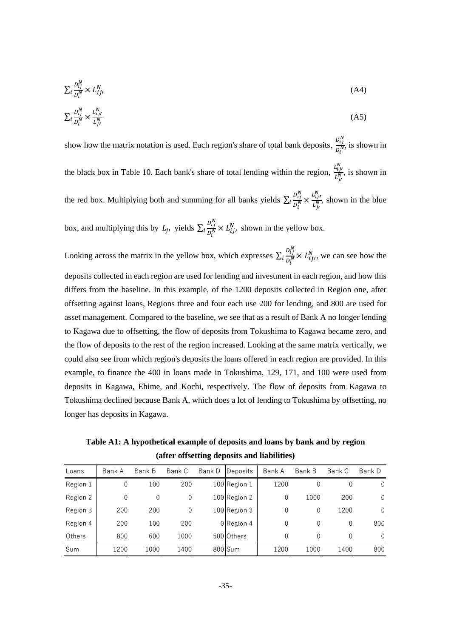$$
\sum_{i} \frac{D_{ij}^N}{D_i^N} \times L_{ij}^N \tag{A4}
$$

$$
\sum_{i} \frac{D_{ij}^N}{D_i^N} \times \frac{L_{ij}^N}{L_{ji}^N} \tag{A5}
$$

show how the matrix notation is used. Each region's share of total bank deposits,  $\frac{D_{ij}^N}{N}$  $\frac{\partial u}{\partial_i^N}$ , is shown in the black box in Table 10. Each bank's share of total lending within the region,  $\frac{L_{ij}^N}{N}$  $\frac{L_{ij}^{IV}}{L_{ji}^{N}}$ , is shown in the red box. Multiplying both and summing for all banks yields  $\sum_i \frac{D_{ij}^N}{D_N^N}$  $i \frac{D_{ij}^N}{D_i^N} \times \frac{L_{ij}^N}{L_{ji}^N}$ , shown in the blue box, and multiplying this by  $L_j$ , yields  $\sum_i \frac{D_{ij}^{IV}}{D_j^{IV}}$  $i \frac{\partial u}{\partial x^N} \times L_{ij}^N$ , shown in the yellow box.

Looking across the matrix in the yellow box, which expresses  $\sum_i \frac{D_{ij}^N}{D_N^N}$  $i\frac{\partial u}{\partial x^N} \times L_{ij}^N$ , we can see how the deposits collected in each region are used for lending and investment in each region, and how this differs from the baseline. In this example, of the 1200 deposits collected in Region one, after offsetting against loans, Regions three and four each use 200 for lending, and 800 are used for asset management. Compared to the baseline, we see that as a result of Bank A no longer lending to Kagawa due to offsetting, the flow of deposits from Tokushima to Kagawa became zero, and the flow of deposits to the rest of the region increased. Looking at the same matrix vertically, we could also see from which region's deposits the loans offered in each region are provided. In this example, to finance the 400 in loans made in Tokushima, 129, 171, and 100 were used from deposits in Kagawa, Ehime, and Kochi, respectively. The flow of deposits from Kagawa to Tokushima declined because Bank A, which does a lot of lending to Tokushima by offsetting, no longer has deposits in Kagawa.

**Table A1: A hypothetical example of deposits and loans by bank and by region (after offsetting deposits and liabilities)**

| Loans    | Bank A | Bank B   | Bank C      | Bank D | Deposits     | Bank A | Bank B | Bank C | Bank D   |
|----------|--------|----------|-------------|--------|--------------|--------|--------|--------|----------|
| Region 1 | 0      | 100      | 200         |        | 100 Region 1 | 1200   | 0      | 0      | $\Omega$ |
| Region 2 | 0      | $\theta$ | $\mathbf 0$ |        | 100 Region 2 | 0      | 1000   | 200    | 0        |
| Region 3 | 200    | 200      | 0           |        | 100 Region 3 | 0      | 0      | 1200   | $\Omega$ |
| Region 4 | 200    | 100      | 200         |        | 0 Region 4   | 0      | 0      | 0      | 800      |
| Others   | 800    | 600      | 1000        |        | 500 Others   | 0      | 0      | 0      | $\Omega$ |
| Sum      | 1200   | 1000     | 1400        |        | 800 Sum      | 1200   | 1000   | 1400   | 800      |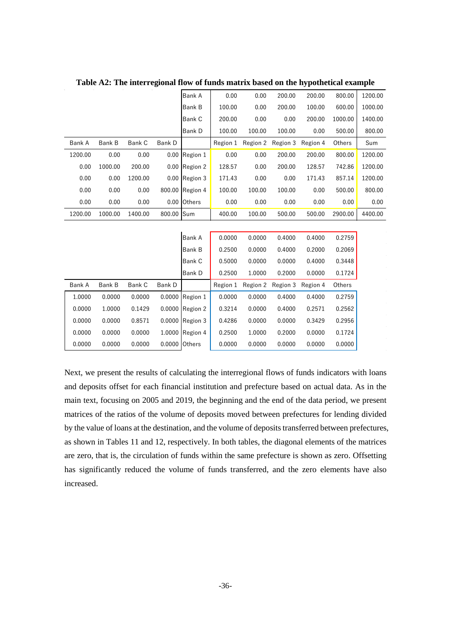|         |         |         |            | Bank A        | 0.00     | 0.00     | 200.00   | 200.00   | 800.00  | 1200.00 |
|---------|---------|---------|------------|---------------|----------|----------|----------|----------|---------|---------|
|         |         |         |            | <b>Bank B</b> | 100.00   | 0.00     | 200.00   | 100.00   | 600.00  | 1000.00 |
|         |         |         |            | Bank C        | 200.00   | 0.00     | 0.00     | 200.00   | 1000.00 | 1400.00 |
|         |         |         |            | Bank D        | 100.00   | 100.00   | 100.00   | 0.00     | 500.00  | 800.00  |
| Bank A  | Bank B  | Bank C  | Bank D     |               | Region 1 | Region 2 | Region 3 | Region 4 | Others  | Sum     |
| 1200.00 | 0.00    | 0.00    | 0.00       | Region 1      | 0.00     | 0.00     | 200.00   | 200.00   | 800.00  | 1200.00 |
| 0.00    | 1000.00 | 200.00  | 0.00       | Region 2      | 128.57   | 0.00     | 200.00   | 128.57   | 742.86  | 1200.00 |
| 0.00    | 0.00    | 1200.00 | 0.00       | Region 3      | 171.43   | 0.00     | 0.00     | 171.43   | 857.14  | 1200.00 |
| 0.00    | 0.00    | 0.00    | 800.00     | Region 4      | 100.00   | 100.00   | 100.00   | 0.00     | 500.00  | 800.00  |
| 0.00    | 0.00    | 0.00    | 0.00       | Others        | 0.00     | 0.00     | 0.00     | 0.00     | 0.00    | 0.00    |
| 1200.00 | 1000.00 | 1400.00 | 800.00 Sum |               | 400.00   | 100.00   | 500.00   | 500.00   | 2900.00 | 4400.00 |
|         |         |         |            |               |          |          |          |          |         |         |
|         |         |         |            | Bank A        | 0.0000   | 0.0000   | 0.4000   | 0.4000   | 0.2759  |         |
|         |         |         |            | Bank B        | 0.2500   | 0.0000   | 0.4000   | 0.2000   | 0.2069  |         |
|         |         |         |            | Bank C        | 0.5000   | 0.0000   | 0.0000   | 0.4000   | 0.3448  |         |
|         |         |         |            | Bank D        | 0.2500   | 1.0000   | 0.2000   | 0.0000   | 0.1724  |         |
| Bank A  | Bank B  | Bank C  | Bank D     |               | Region 1 | Region 2 | Region 3 | Region 4 | Others  |         |
| 1.0000  | 0.0000  | 0.0000  | 0.0000     | Region 1      | 0.0000   | 0.0000   | 0.4000   | 0.4000   | 0.2759  |         |
| 0.0000  | 1.0000  | 0.1429  | 0.0000     | Region 2      | 0.3214   | 0.0000   | 0.4000   | 0.2571   | 0.2562  |         |
| 0.0000  | 0.0000  | 0.8571  | 0.0000     | Region 3      | 0.4286   | 0.0000   | 0.0000   | 0.3429   | 0.2956  |         |
| 0.0000  | 0.0000  | 0.0000  | 1.0000     | Region 4      | 0.2500   | 1.0000   | 0.2000   | 0.0000   | 0.1724  |         |
| 0.0000  | 0.0000  | 0.0000  | 0.0000     | Others        | 0.0000   | 0.0000   | 0.0000   | 0.0000   | 0.0000  |         |
|         |         |         |            |               |          |          |          |          |         |         |

**Table A2: The interregional flow of funds matrix based on the hypothetical example**

Next, we present the results of calculating the interregional flows of funds indicators with loans and deposits offset for each financial institution and prefecture based on actual data. As in the main text, focusing on 2005 and 2019, the beginning and the end of the data period, we present matrices of the ratios of the volume of deposits moved between prefectures for lending divided by the value of loans at the destination, and the volume of deposits transferred between prefectures, as shown in Tables 11 and 12, respectively. In both tables, the diagonal elements of the matrices are zero, that is, the circulation of funds within the same prefecture is shown as zero. Offsetting has significantly reduced the volume of funds transferred, and the zero elements have also increased.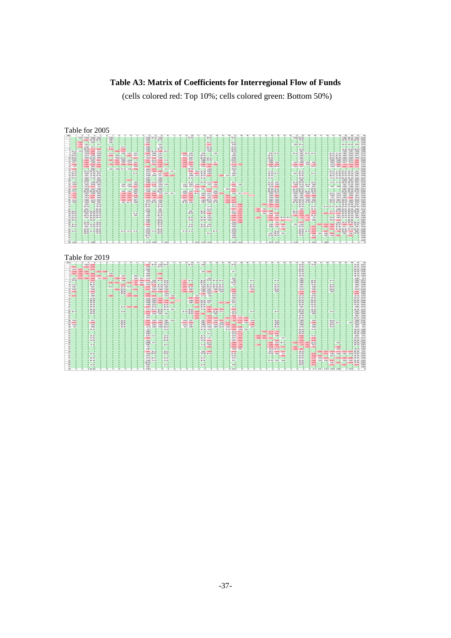## **Table A3: Matrix of Coefficients for Interregional Flow of Funds**

(cells colored red: Top 10%; cells colored green: Bottom 50%)

| Table for 2005                                                                                                                                                                                                                                                                                                                                                                                                                                                                                                                                                                                                                                                                                                                                                                                                                                                                                                                                                                                                                                                                                                                                                                                                                                                                                                                                                                                                                                                                                                                                                                                                                                                                                                                                                                                                                                                                                                                                                                                                                                                                                                                                                                                                                                                                                                                                                                                                                                                                                                                                                                                                                                                                                                                                                                                                        |                                                                                                                                                                                                                                                                                                                                                                                                                                                                                                                                                                                                                                                                                                                                                                                                                                                                                                                                                                                                                                                                                                                                                                                                                                                                                                                                                                                                                                                                                                                                                                                                                                                                                                                                                                                                                                                                                                                                                                                                                                                |                                                                                                                                                                                                                                                                                                                                                                                                                                                                                                                                                                                                                                                                                                                                                                                                                                                                                                                                                                                                                                                                                                                                                                                                                                                                                                                                                                                                                                                                                                                                                                                                                                                                                                                                                                                                                                                                                                                                                                                                                        |                                                                                                                                                                                                                                                                                                                                                                                                                                                                                                                                                                                                                                                                                                                                                                                                                                                                                                                                                                                                                                   |                                                                                                                                                                                                                                                                                                                                                                                                                                                                                                                                                                                                                                                                                                                                                                                                                                                                                                                                                                                                                                                                                                                                                                                                                                                                                                                                                                                                                                                                                                                                                                                                                                                                                                                                                                                                                                                                                                                                                                                                                                                                                                                                                                                                                                                                                                                                                                                                                                                                                                                                                                                                                                                                                                                                                                                                                                                                                                                                                                                                                                                                                                                                                                                                                                                                                                                                           |
|-----------------------------------------------------------------------------------------------------------------------------------------------------------------------------------------------------------------------------------------------------------------------------------------------------------------------------------------------------------------------------------------------------------------------------------------------------------------------------------------------------------------------------------------------------------------------------------------------------------------------------------------------------------------------------------------------------------------------------------------------------------------------------------------------------------------------------------------------------------------------------------------------------------------------------------------------------------------------------------------------------------------------------------------------------------------------------------------------------------------------------------------------------------------------------------------------------------------------------------------------------------------------------------------------------------------------------------------------------------------------------------------------------------------------------------------------------------------------------------------------------------------------------------------------------------------------------------------------------------------------------------------------------------------------------------------------------------------------------------------------------------------------------------------------------------------------------------------------------------------------------------------------------------------------------------------------------------------------------------------------------------------------------------------------------------------------------------------------------------------------------------------------------------------------------------------------------------------------------------------------------------------------------------------------------------------------------------------------------------------------------------------------------------------------------------------------------------------------------------------------------------------------------------------------------------------------------------------------------------------------------------------------------------------------------------------------------------------------------------------------------------------------------------------------------------------------|------------------------------------------------------------------------------------------------------------------------------------------------------------------------------------------------------------------------------------------------------------------------------------------------------------------------------------------------------------------------------------------------------------------------------------------------------------------------------------------------------------------------------------------------------------------------------------------------------------------------------------------------------------------------------------------------------------------------------------------------------------------------------------------------------------------------------------------------------------------------------------------------------------------------------------------------------------------------------------------------------------------------------------------------------------------------------------------------------------------------------------------------------------------------------------------------------------------------------------------------------------------------------------------------------------------------------------------------------------------------------------------------------------------------------------------------------------------------------------------------------------------------------------------------------------------------------------------------------------------------------------------------------------------------------------------------------------------------------------------------------------------------------------------------------------------------------------------------------------------------------------------------------------------------------------------------------------------------------------------------------------------------------------------------|------------------------------------------------------------------------------------------------------------------------------------------------------------------------------------------------------------------------------------------------------------------------------------------------------------------------------------------------------------------------------------------------------------------------------------------------------------------------------------------------------------------------------------------------------------------------------------------------------------------------------------------------------------------------------------------------------------------------------------------------------------------------------------------------------------------------------------------------------------------------------------------------------------------------------------------------------------------------------------------------------------------------------------------------------------------------------------------------------------------------------------------------------------------------------------------------------------------------------------------------------------------------------------------------------------------------------------------------------------------------------------------------------------------------------------------------------------------------------------------------------------------------------------------------------------------------------------------------------------------------------------------------------------------------------------------------------------------------------------------------------------------------------------------------------------------------------------------------------------------------------------------------------------------------------------------------------------------------------------------------------------------------|-----------------------------------------------------------------------------------------------------------------------------------------------------------------------------------------------------------------------------------------------------------------------------------------------------------------------------------------------------------------------------------------------------------------------------------------------------------------------------------------------------------------------------------------------------------------------------------------------------------------------------------------------------------------------------------------------------------------------------------------------------------------------------------------------------------------------------------------------------------------------------------------------------------------------------------------------------------------------------------------------------------------------------------|-------------------------------------------------------------------------------------------------------------------------------------------------------------------------------------------------------------------------------------------------------------------------------------------------------------------------------------------------------------------------------------------------------------------------------------------------------------------------------------------------------------------------------------------------------------------------------------------------------------------------------------------------------------------------------------------------------------------------------------------------------------------------------------------------------------------------------------------------------------------------------------------------------------------------------------------------------------------------------------------------------------------------------------------------------------------------------------------------------------------------------------------------------------------------------------------------------------------------------------------------------------------------------------------------------------------------------------------------------------------------------------------------------------------------------------------------------------------------------------------------------------------------------------------------------------------------------------------------------------------------------------------------------------------------------------------------------------------------------------------------------------------------------------------------------------------------------------------------------------------------------------------------------------------------------------------------------------------------------------------------------------------------------------------------------------------------------------------------------------------------------------------------------------------------------------------------------------------------------------------------------------------------------------------------------------------------------------------------------------------------------------------------------------------------------------------------------------------------------------------------------------------------------------------------------------------------------------------------------------------------------------------------------------------------------------------------------------------------------------------------------------------------------------------------------------------------------------------------------------------------------------------------------------------------------------------------------------------------------------------------------------------------------------------------------------------------------------------------------------------------------------------------------------------------------------------------------------------------------------------------------------------------------------------------------------------------------------------|
| $\frac{2}{0.001}$ 0.008 0.009 0.003<br>0022<br>0 0.201 3E-04 4E-05<br>0.001<br>0.002<br>0.002<br>6.349<br>- 6<br>0.05 0.003 0 0.017<br>$\sim$ 0<br>$\sim$<br>$\sim$<br>0.168 0.023<br>$0.36 - 04$<br>0.013<br>$8E-04$<br>$\Omega$<br>ō<br>$4E - 04$<br>0.137 0.485<br>0.196<br>0.035<br>7 2E-04 0.018 0.006 0.042 0.012<br>0 0604 0121<br>$\Omega$<br>$\Omega$<br>0 0002 0002 0001<br>$8 - 0.002$<br>$\sim$<br>0.006 0.055 0.004<br>$1F-R$<br>0.678 0.009 0 0.208 0.014<br>0.013 0.002 0.008<br>$4.45 - 05$<br>0.006 2E-04 0.004<br>0.003 3E-04<br>$0 - 0.291$<br>10 3E-04<br>0.041 0.041 0.003 0.006<br>11 0.003<br>$\begin{array}{cccc} 0.048 & 0.007 & 0.031 \\ 0.043 & 0.009 & 0.027 \end{array}$<br>- 6<br>0.023 0.014 0.007<br>12 0.011<br>13 0.396<br>0.481 0.254 0.307<br>0.05 0.283 0.088 0.048 0.072<br>0.085 0.007 0.054<br>$0$ 0<br>$\overline{\phantom{a}}$<br>$0 - 0.004$<br>14 0.01<br>15 0.083<br>0.000<br>$\sim$ 0<br>0.003 0.008 7E-04 0.005 0.068<br>95-04 85-05 85-04<br>16 1E-04<br>17 2E-04<br>$\theta$<br>$\sim$<br>$\Omega$<br>$\alpha$<br>$\sqrt{2}$<br>-ã<br>$2E - 04$<br>0.002 1E-04 0.001<br>0.001 1E-04 7E-04<br>18 2E-04<br>$\theta$<br>$\mathbf{a}$<br>$\sim$<br>19 2E-05<br>0.002 1E-05 0.001<br>$\alpha$<br>$\alpha$<br>$\sim$<br>$\sim$<br>$\sim$<br>$0.0179$ 0<br>$\bullet$<br>20 0<br>0.005 0 0.003<br>21 0004<br>1E-03 0.002 6E-04<br>0.005<br>$\circ$<br>22 0006<br>0.003 0.004 0.002<br>$\Omega$<br>$0.004 - 0.003 - 0.002$<br>0.016 0.119 0.01<br>23 0.18<br>$\circ$<br>0.012 0.009 0.277<br>0.004 0.001 0.002<br>$0 - 0.003$<br>24 0.002<br>$\sim$<br>25 1E-03<br>8E-04 8E-04 5E-04<br>0.002 0.002 0.001<br>0.007 0.022 0.005<br>$\begin{array}{ccc} 0.04 & 0.029 & 0.021 \\ 0.572 & 0.424 & 0.185 \end{array}$<br>$\frac{26}{27}$<br>0.00<br>0.005 0.164 0.003<br>$\circ$<br>0.187<br>28 0.04<br>0.014 0.031 0.009<br>0.057<br>0.042 0.024<br>29 0016<br>0.002 0.014 0.001<br>0.039 0.029<br>0.017<br>$\circ$<br>30 0.005<br>0.002 0.003 0.001<br>$\circ$<br>0.001 9E-04 0.006<br>31<br>0.001<br>0 76-04<br>$\mathbf{a}$<br>$\Omega$<br>$\Omega$<br>52<br>$SE-04$<br>$3E-04$<br>$33 -$<br>0.001<br>$0.96 - 04$<br>$\alpha$<br>$\overline{a}$<br>$\Omega$<br>34 4F-04<br>6F-04 3F-04 4F-04<br>$\sim$<br>$\sqrt{2}$<br>0.001 3E-04 7E-04<br>$7E - 04$<br>35 4E-04<br>n<br>9E-04 6E-04 6E-04<br>36 1E-03<br>0.001<br>37<br>0.001 6E-05 8E-04<br>38 SE-05<br>$0.3E - 05$<br>4E-04 0 3E-04<br>39 0<br>40 4E-05<br>1E-04 3E-05 8E-05<br>41 2E-05<br>0.001 1E-05 7E-04<br>$\theta$<br>$\alpha$<br>$76 - 04$<br>$0.55 - 04$<br>42<br>$43, 2E - 05$<br>8E-04 2E-05<br>$SE-04$<br>$2E-04$<br>1E-04 1E-05<br>$\overline{u}$<br>$2E - 04$<br>$0.1E - 04$<br>$\alpha$<br>45<br>$\theta$<br>n<br>$\sim$<br>46<br>$\mathbf{0}$<br>$\sim$<br>$\Omega$<br>48<br>0.022<br>۰<br>Table for 2019 | $\frac{13}{0.026}$ 3E-04<br>15<br>16<br>$20$<br>$2E - 04$<br>21<br>0.004<br>0.005<br>$0.5E-0.5$<br>0.009<br>$\sim$ 0<br>0.031<br>0.002<br>$\sim$<br>$\Omega$<br>0.004<br>0.02<br>$0.36 - 0.4$<br>0.005<br>0.008 6E-05 0.058 4E-05<br>$\sqrt{2}$<br>0029 0002 0007<br>$\sim$<br>0.068 0.005<br>0.014<br>0.002<br>0.012<br>0.016 1E-04<br>0.022 0.038<br>0.006<br>0.044 0.001<br>$\begin{array}{cc} 0.041 & 3 \text{E--04} \\ 0.069 & 0.014 \end{array}$<br>$0.048$ 1E-06<br>0.045<br>nme<br>0.011<br>0.092<br>0.032<br>$0$ 0.187<br>0.484 0.323<br>$0.159$ $0.167$<br>0.092<br>0.02<br>$^{\circ}$<br>0.087<br>$\sim$ 0<br>0.085<br>0.022 0.035<br>0.017<br>$0.86 - 04$<br>$\sim$ 0<br>0.012 0.053 0.062<br>0.0011<br>0.012<br>0.01<br>$0.014$ $0.197$<br>0.007 0.037<br>$0.008 - 0.008$<br>0.011<br>0422 0979<br>0.007<br>$\bullet$<br>0.002<br>$0.5E - 05$<br>$\sim$<br>$\Omega$<br>0 0.005<br>0.009<br>0 0<br>0.008 1E-04 0.001<br>$0.4E - 04$<br>0.038<br>0.134<br>0.003 0.005<br>0.003 0.003 0.008 0<br>0.006 0.017 0.235 0.088<br>0.054<br>0.019<br>0.009<br>$\sqrt{2}$<br>$\Omega$<br>0.014<br>$\sim$<br>$\sim$<br>0.003<br>$\sim$<br>0.006<br>0.002 8E-04<br>0.002<br>$0.002$ $0.123$<br>0.032<br>$0.032$<br>$0.398$<br>0.011<br>0.029<br>0.037 9E-04<br>001<br>0.012<br>0518<br>0 <sup>0</sup><br>0.416<br>0.046<br>0.04<br>0.039<br>0.041<br>0.068<br>0.015<br>0.027<br>0.005<br>0.028<br>000<br>0.011 9E-04 0.003<br>9E-04 0.003<br>n<br>$85 - 04$<br>$0.15 - 03$<br>$\sqrt{2}$<br>$\sim$<br>$4E-05$<br>$4E - 04$<br>0.018<br>0.001<br>$\theta$<br>0.026<br>0.001<br>0.001<br>$\Omega$<br>0.02<br>$0.1E - 03$<br>$0.4E - 06$<br>0.006<br>8E-04<br>0.015<br>0.001<br>$2E - 04$<br>0.008<br>6E-05<br>$1E-04$<br>$4E-04$<br>0.004<br>0.032<br>$2E-0$<br>$1E-04$<br>nms<br>$1E-03$<br>$SE-05$<br>$\ddot{\mathbf{a}}$<br>0.003<br>$0.65 - 04$<br>$\sim$<br>0.015<br>$7E-04$<br>$E-04$<br>$1E-04$<br>$E - 04$<br>0.005<br>$0.2E - 0.4$<br>$9E-04$<br>n<br>$\Omega$<br>0.011<br>$\Omega$<br>0.141<br>0.009<br>$\mathbf{0}$<br>0.022<br>0.542 | $rac{23}{2E - 04}$<br>$7E - 04$<br>$\boldsymbol{22}$<br>24<br>25<br>26<br>28<br>29<br>$\overline{0}$<br>56-05<br><b>AF-08</b><br>$\alpha$<br>$\alpha$<br>٠<br>0.0071<br>0.008<br>$\sqrt{2}$<br>$\sqrt{2}$<br>$96 - 05$<br>$1E-06$<br>$1E-04$<br>0.003<br>35-04<br>$\Omega$<br>0.002<br>0.0001<br>0.02<br>$\sim$<br>$0.96 - 05$<br>$\Omega$<br>0.002<br>- 0<br>$0.6E - 04.2E - 04$<br>0.025<br>0.006 2E-06<br>$3E-05$<br>0.011<br>0.014<br>0.008<br>$\sqrt{2}$<br>0.062 0.334<br>0.135<br>0.038<br>0.014 0.041<br>$\circ$<br>0.009<br>۰<br>0.0006<br>0.012<br>$\theta$<br>0.034 0.025 2E-04 0.005<br>$\sim$<br>0.01<br>$\Omega$<br>$5E-05$<br>0.008<br>0.022<br>0.008 0.018 3F-04 0.033<br>0.282<br>0.007<br>0.021<br>$\sim$<br>$0.36 - 05$<br>$\sim$<br>$\Omega$<br>$\alpha$<br>$\sim$<br>$\sim$<br>0 0<br>$\bullet$<br>$\sim$<br>$6E - 04$ 1E-05<br>0.017<br>0.027 0.002<br>non<br>0.003<br>$\Omega$<br>$\overline{\phantom{a}}$<br>0.12<br>$\sqrt{2}$<br>0.023<br>$\sim$<br>0.012 0.001<br>0.118<br>0.041<br>- 6<br>0.006<br>0.029 0.003<br>$\sim$ 0<br>$\sim$ 0<br>0041<br>0.003 0.012 0.023<br>0.025<br>0.718<br>0.013<br>0.013 0.339<br>0.679<br>$\Omega$<br>0.027<br>$\bullet$<br>$0 - 0.036 - 0.001$<br>0.034<br>0.176<br>0.063<br>0.004 9E-04<br>0.023<br>0.045<br>$\circ$<br>٠<br>0.077<br>$\sim$<br>0.001 0.003 7E-04<br>0.088<br>0058<br>$\bullet$<br>$\sim$<br>$\sim$ 0<br>$\sim$<br>0.013 0.095<br>$\Omega$<br>$\Omega$<br>$1E-04$<br>0.128<br>0.014<br>0 16-04<br>n <sub>max</sub><br>0.04<br>$\alpha$<br>$\alpha$<br>0.85-04 0.014<br>$\mathbf{a}$<br>0011<br>0053<br>0057<br>0.046<br>$0.36 - 06$<br>0.022<br>0.001<br>0.167<br>0.049<br>$\bullet$<br>$2E - 04$<br>0.028<br>nnn<br>0.085<br>$0.96 - 05 0.009$<br>0.031<br>0.084<br>0.068<br>0.003<br>$\bullet$<br>$8E-05$<br>0.022<br>0.022<br>ø<br>4E-05 SE-04<br>0.003<br>0002<br>$\sqrt{2}$<br>$\sqrt{2}$<br>$9E-05$<br>$4F - 05$<br>nms.<br>0.003<br>$\sqrt{2}$<br>$\sim$<br>$\sim$<br>$\sim$<br>0.006<br>$\sqrt{2}$<br>0.744 0.024<br>0.044 0.016 | 35<br>$\mathbf{a}$<br>$\overline{a}$<br>$\mathbf{a}$<br>$\Omega$<br>$\Omega$<br>0.001 3F-04<br>$5E-05$<br>$\Omega$<br>46-04<br>0.004<br>$\Delta$<br>0.002<br>0.006<br>0.045<br>0244<br>0.009 9E-04<br>$\sim$ 0<br>$1F-04$<br>$\alpha$<br>$SE-05$ $SE-05$<br>$26 - 04$<br>$\sim$ 0<br>$26 - 05$<br>$\Omega$<br>$\bullet$<br>$\Omega$<br>SE-04 0.001<br>86-05 0.004<br>0.019 0.069<br>2E-04 7E-04<br>6E-05 3E-04<br>$0.003 - 0.013$<br>0.026<br>0.046<br>0.024<br>0.006<br>0.003 0.004<br>0.001 0.002<br>$\Omega$<br>$\sim$<br>$\sqrt{2}$<br>0.631<br>0.089 0.075<br>n<br>0.108<br>0.17<br>0.867 0.003<br>0.86-05<br>0.057 0.359<br>$0.029 - 0.0$<br>0.009 0.166<br>$\overline{\phantom{0}}$<br>0.007<br>0.104<br>0.003<br>$\circ$<br>0.056 9E-05 4E-04<br>0.221<br>$\Omega$<br>0.206<br>$0.11$ 0.213<br>$\overline{\phantom{a}}$<br>0.001<br>007<br>0.006<br>0.535<br>0.002 0.002 0.013<br>$\Omega$<br>$\sim$<br>0.24<br>$2E - 06$<br>0.001 8E-04 0.001<br>$3E-05$ $2E-04$<br>$\sqrt{2}$<br>$\bullet$<br>$\circ$<br>0.018<br>0.016 | $\frac{37}{0.006}$ 8E-04<br>$\begin{array}{r} 45 & 46 & 47 & 48 \\ 0.002 & 8E\text{-}04 & 0.005 & 0.034 \end{array}$<br>39<br>40<br>41<br>42<br>43<br>44<br>2E-05 1E-05 8E-05 0.006<br>0 1E-05<br>0 0 0006<br>- 6<br>$\sim$<br>0.003 4E-04<br>9E-04 SE-04 0.003 0.015<br>0 0.006<br>$\Omega$<br>$\sqrt{2}$<br>$25 - 05$<br>1E-04 7E-05 5E-04<br>0.006<br>0.001<br>0.002 0.001 0.006 0.009<br>9E-05 0.001 2E-04 3E-04<br>65-04 15-03 0.002 0.003 0.008 0.015<br>0.014<br>0 0 0 0 3<br>2E-05 4E-05 0.005 0.003 0.017<br>0.001<br>2E-04 3E-04 0.003 0.002<br>0.008 0.019<br>0.019 0.015<br>0.01<br>0.002 0.003<br>0.062<br>0.04<br>0.002<br>0.009 0.002 0.002<br>0.002<br>0.004 0.017 0.016<br>0.055<br>0.039<br>0.491<br>0.097<br>0.007<br>0.24<br>0.019 0.032<br>0.19 0.164 0.624<br>0.19<br>0.007 0.017<br>$0.3E - 0.4$<br>0.004 0.007 0.034 0.03<br>0.11 0.06<br>$0 \quad 0$<br>0.0011<br>$\theta$<br>$0.25 - 04$<br>65-05 15-04 45-04 45-04 0001<br>0.005<br>0.006<br>0.001 4E-04<br>$25 - 05$<br>1E-05 2E-05 8E-04 4E-04<br>0.002<br>0.25-04<br>9E-05 1E-04 5E-04 5E-04 0.001<br>0.006<br>$\sim$ 0<br>$45 - 04$<br>1E-05 2E-05 8E-04 5E-04 0.003 0.007<br>$\sqrt{2}$<br>0 0 0.002 0.001 0.007 0.016<br>0 0.001<br>$\sqrt{2}$<br>SE-04 2E-04<br>46-04<br>7E-05 1E-04 4E-04 4E-04 0.001<br>0.016<br>0.008 2F-04 4F-04 0.004<br>$\sqrt{2}$<br>0 0.001 7E-04 0.004 0.028<br>0034 0.003 0.001 0.021<br>0.001 0.002 0.006 0.006 0.021 0.067<br>$3E - 04$ $8E - 04$<br>0 0 0.001 8E-04 0.005 0.013<br>$0.25 - 0.4$<br>1E-04 2E-04 2E-04 3E-04<br>0 3E-04 2E-04 1E-03 0.005<br>0.025 0.002 0.004 0.013<br>8E-04 0.001 0.003 0.004 0.01<br>0.008 0.012 0.002 0.025 0.007<br>0.027<br>$0.021$ 0.001<br>0.076<br>0.057<br>0.059<br>0.01 0.017 0.005 0.034<br>$0.002 - 0.003$<br>0.008<br>0.006<br>0.018 0.04<br>0.001 4E-04 0.004 0.004<br>9E-04 0.001 9E-04 0.003 0.003<br>0.013<br>6E-04 4E-04 1E-04 5E-04<br>4E-04 7E-04 8E-04 0.002 0.003 0.009<br>$0.25 - 04$<br>$\sqrt{2}$<br>0.45-04 25-04 0.001 0.003<br>$\sim$<br>$\sqrt{2}$<br>$2E - 04$<br>$0.36 - 04$<br>3E-04 SE-04 SE-04 2E-04 1E-04 6E-04<br>0.00<br>0005<br>$0.45 - 04$<br>0 0002 5E-04 3E-04 0002 0.014<br>$\alpha$<br>$\alpha$<br>$0.95 - 04$<br>0.223<br>0.0023<br>0.2F-04 4F-04 2F-04 8F-04 8F-04<br>005<br>$0 - 0.136$<br>0.097 0.171 0.183 4E-04 5E-04 0.001 0.007<br>$7E-05$<br>0.034<br>0.168 0.537 6E-04<br>0 0001 4E-04 2E-04 0.001 0.006<br>0.285<br>$03$ $02$ $001$<br>0 0.181 0.028<br>$\bullet$<br>$4E-06$<br>0.007 SE-04 4E-04<br>0.002<br>0.008<br>3E-05 0.575<br>$0.8E - 0.6$<br>0 0.007<br>0 0014 2E-04 9E-05 6E-04 0.005<br>$0 - 0.112$<br>$\bullet$<br>$\sim$ 0<br>0.001<br>0.002<br>$\sqrt{2}$<br>0.399 4E-05<br>0.678 0.357 2E-04 0.02<br>$0.36 - 04$<br>0.081<br>0.087<br>0.034 2E-05 0.017 0.009 0.001 0.005<br>$\Omega$<br>$\bullet$<br>$0.15 - 04$<br>0.0122<br>$\alpha$<br>0.274 3E-06 3E-04 2E-04 9E-04 0.006<br>0.08<br>2E-04 2E-05<br>0.072<br>0.037<br>$3E - 04$<br>0.001<br>0.00<br>0.15<br>$0.8E - 05$<br>$0$ 0.064 0.021 0.005<br>0.045<br>$\bullet$<br>0.001 0.001 3E-04 0.006<br>$0.15 - 05$<br>0.016<br>0.001<br>0.028 0.057<br>0 0.163<br>0 0.004<br>$\sim$<br>$\bullet$<br>0 0.029<br>$\circ$<br>$\bullet$<br>$\bullet$<br>$\bullet$<br>$\mathbf{0}$<br>$\bullet$<br>0 0.006<br>$\Omega$<br>$0 - 0.003$<br>۰<br>0.016<br>$\alpha$<br>0.089 |
| 0024<br>0002<br>$2 - 0.213$<br>0 0.338 0.042<br>$\sim$<br>3   0.007   0.478<br>00077<br>40228<br>0.208 0.583<br>$\overline{\phantom{a}}$<br>0.223<br>0.586<br>500270042<br>0.05<br>0.024<br>0.002<br>$\alpha$<br>$\bullet$<br>$\sim$<br>$\sim$<br>0 0109<br>0416 0767<br>0.529<br>0.022<br>0.004<br>$\sim$<br>$\Omega$<br>0.011<br>0.163 0.027<br>0.01<br>0.414<br>0.088<br>0.24<br>0.007<br>0.246<br>0.073<br>0 0.004<br>$87E - 04$<br>$\circ$<br>$\circ$<br>$\circ$<br>$\circ$<br>$35 - 04$<br>$\sim$ 0<br>0.27<br>$\sim$ 0<br>$\alpha$<br>0.383<br>0.239<br>0 0 732<br>10 1F-04<br>65-05<br>$\sim$ 0<br>$\alpha$<br>$\Omega$<br>0.001<br>46-04<br>0 3E-04 7E-06<br>11 0.001<br>$\circ$<br>0.002<br>$\alpha$<br>$35 - 04$<br>$\alpha$<br>0.132<br>$\overline{12}$<br>0.00<br>0 SAR<br>13 0108<br>0.032<br>$\mathbf{a}$<br>$\alpha$<br>$0.45 - 0.4$<br>$\bullet$<br>$\overline{ }$<br>0.04<br>14<br>$\sim$<br>0.001<br>$\Omega$<br>4E-04<br>$\sim$<br>0.024 0.052<br>0.003<br>0.085<br>15 0.193<br>$\circ$<br>$1E-05$<br>6E-06<br>$\Omega$<br>$\sqrt{2}$<br>$2E - 06$<br>18<br>$\Omega$<br>$2E-05$<br>19<br>20<br>$SE-05$<br>$4E - 05$<br>0.197 0.086<br>6F-08<br>$\sim$<br>$\sqrt{2}$<br>$\sim$<br>22<br>$E-04$<br>$4E - 04$<br>$2E - 00$<br>23 <sup>°</sup><br>SF-04<br>$\alpha$<br>24.<br>$\sim$<br>25<br>0.001<br>$2E - 05$<br>26 0.005<br>27<br>0.18<br>$8E - 04$<br>28<br>0.004<br>0.004<br>$26 - 05$<br>0.003<br>29<br>0.01<br>$45 - 05$<br>$SE-05$<br>19<br>$36 - 06$<br>33<br>$E-04$<br>35<br>$1E-06$<br>$\sim$<br>$1E-05$<br>37<br>39<br>40<br>41<br>$2E - 06$<br>43<br>96-06<br>44<br>$6E - 06$<br>$1E-05$<br>47<br>65-05                                                                                                                                                                                                                                                                                                                                                                                                                                                                                                                                                                                                                                                                                                                                                                                                                                                                                                                                                                                                                                                                                                                                                                                 | 15<br>$\mathfrak{m}$<br>$\frac{13}{0.047}$ 4E-04<br>0.003 66-05<br>$46 - 04$<br>0.009<br>0 26-04<br>$\Omega$<br>$\Omega$<br>$\sim$<br>0.009<br>$\Omega$<br>0.02<br>0.008<br>0.066<br>0.008<br>$\alpha$<br>0.011<br>0.552<br>0.019<br>0.03 0.494 0.032<br>0.002 4E-04 7E-04<br>$0.11$ 2E-04<br>0.001<br>0.018 SE-04 0 1E-04<br>$0.027 - 0.02$<br>0.42 0.453 0.022 0.148 6F-05 2F-04<br>0.071 0.858<br>0.039<br>0.002 7E-04 0.003<br>0.054 3E-04<br>$\circ$<br>0.077<br>0.004<br>0.004<br>0.004<br>nnst<br>n<br>0.002<br>0 0023 0056 0039<br>0.488 0.028<br>$\Omega$<br>0.066<br>0 0.008<br>$\circ$<br>$\sim$<br>$\sim$<br>$\mathbf{0}$<br>0.028 0.035<br>0 0.018<br>$\circ$<br>$\circ$<br>$\bullet$<br>0.002<br>0.016 0.016<br>0.15<br>0.528<br>0.041<br>0.032 0.744<br>0.008<br>0.004<br>0.009<br>$\sim$<br>$0.008$ 0.003<br>$0.024$ $0.144$<br>0.007<br>0.467<br>0.009<br>0.019<br>$0.9E - 05$<br>$0$ 0<br>0.027 7E-04<br>$0.4E - 04$<br>$\ddot{\mathbf{a}}$<br>$\sim$<br>0.017 4E-05 3E-04 4E-05<br>0.043 0.589 2E-04 0<br>0.001<br>$0.96 - 05$<br>4E-04 1E-04<br>0.038<br>0.033<br>0.009<br>0.003<br>$04E - 04$<br>0.001<br>0.022<br>$\sim$<br>0 0 0.037<br>$\sim$<br>$\sim$ 0<br>0013<br>$\alpha$<br>0.0222<br>$\Omega$<br>0.024 0.002 0.003 0.001<br>0.002<br>0.005 0.001<br>0.099<br>0.019<br>0.032<br>n ms<br>0.002<br>0.015<br>0.004<br>0.001<br>0.013 0.003 0.005 8E-04<br>0.01<br>0.003<br>0.01<br>$0.3E - 04$<br>0.004<br>0.005<br>$36 - 04$<br>0.017 1E-03<br>nms<br>$\alpha$<br>$2E - 04$<br>$0.6E-06$<br>0.022<br>in.<br>0.006<br>0.019<br>$0 - 0$<br>0.007<br>$0.8E - 05$<br>001<br>0.004<br>0.057 SE-04<br>$0.86 - 06$<br>0.008 SE-04<br>2E-04<br>0.012<br>0.015 66-04<br>26-04<br>0.005 1E-05<br>$0.3E - 05$<br>GE-04<br>0.007<br>$0.3E - 06$<br>0.001<br>0.067                                                                                                                                                                                                                                                               | $^{22}$<br>$\mathcal{D}$<br>23<br>25<br>26<br>0.005<br>$36 - 05$<br>$\alpha$<br>$\sim$<br>$\Omega$<br>$\Delta$<br>$\mathbf{a}$<br>$\sim$<br>$\Omega$<br>0.002 0.047<br>0.017<br>$\alpha$<br>$\sim$<br>$\sqrt{2}$<br>0.002<br>0.001<br>0.02<br>2E-04 1E-04 6E-04 2E-05<br>$8E-05$<br>$0 \quad 0 \quad 0$<br>56-05<br>0 1E-04 2E-05 9E-05 4E-06<br>0.01<br>0.003 2E-04 9E-04 4E-05<br>$^{\circ}$<br>0.002<br>0.001<br>0.005 2E-04<br>0027<br>0007 0018 008 0003<br>0.038<br>$\Omega$<br>$0 - 0.932 - 0.021$<br>0.002<br>$\bullet$<br>$\bullet$<br>0.001 1E-04<br>0.02<br>0.013<br>0.003<br>0.038 6E-05 0.004<br>$\Omega$<br>0.011<br>0.035 9E-05 0.011<br>0.174<br>0.012<br>0.023<br>$0.2E-05$<br>$\sim$<br>$0.104$ 2E-04 0.076<br>$\sim$<br><b>A</b><br>0.019<br>0 7E-06 0.067 0.568 0.035<br>036 0 0.065 3E-04 1E-05<br>0.042<br>0.013<br>0.491 0.031<br>0 0.003<br>$\bullet$<br>0.019<br>0 0.334<br>$\sim$ 0<br>0.038 1E-03<br>$\Omega$<br>$\Omega$<br>0 006 0185<br>$0\quad 0.723$<br>005<br>0.07<br>0.094<br>0.078 0.004 0.781<br>0.05<br>0.102 0.882<br>0 0.001<br>$\bullet$<br>0.007<br>$0.142$ 0.006 0.143<br>0.033<br>0.003<br>nms<br>3E-04 0.003 1E-04 0.108<br>0.055<br>$\sim$<br>$\sqrt{2}$<br>1E-04 0.002 0.007 3E-04 0.002 0.084 0.045<br>$\Omega$<br>$0.5E - 0.5$<br>$\bullet$<br>0.095<br>$0.002 - 0.021$<br>0.002<br>$7E-04$<br>$\bullet$<br>$\overline{\phantom{0}}$<br>$\alpha$<br>0.016<br>0.111<br>$\circ$<br>$7E - 05$<br>0.018 0.178<br>$\alpha$<br>$36 - 04$<br>0.015<br>0.14<br>6E-04 0.021<br>0.011<br>0.045<br>0 1E-06 0.035<br>0.021<br>0.028<br>$\circ$<br>$0.45 - 0.4$<br>0.068<br>0.11<br>0.045<br>$1E-05$<br>0.009<br>0.06<br>0.055<br>nose<br>$\alpha$<br>$\sim$ 0<br>0.006 0.021<br>0.003 0.029<br>0.035<br>$\bullet$<br>1E-04 4E-04<br>$SE-04$<br>$1E-03$<br>$0.25 - 04$<br>0017<br>$\mathbf{a}$<br>0.011<br>$0.96 - 06$<br>$SE - 06$<br>0.009                                                                                                                                        | $5E-04$<br>$36 - 06$<br>- 8<br>$85 - 05$<br>55-08<br>$96 - 04$<br>SE-05<br>$15 - 04$<br>0005<br>0.074<br>0.005<br>$3E-04$<br>0.004<br>$2E-04$<br>0.62<br>0.008<br>0.288<br>$25 - 04$<br>0.007<br>4E-04<br>$\overline{\phantom{0}}$<br>$\bullet$<br>$\overline{\phantom{0}}$<br>$\alpha$<br>0.554 0.115<br>0.12<br>$\sim$<br>0.185 0.161<br>0.027<br>0.006<br>0.028<br>0.418<br>0.12<br>$\sim$ 0<br>0.015<br>$\alpha$<br>0.248<br>٠<br>$\alpha$<br>$^{\circ}$<br>$\sim$<br>$\alpha$<br>$\Omega$<br>0.065 0.003 8E-04<br>$\sim$<br>0.296 0.061<br>0.04<br>$\Omega$<br>0.189<br>0.18<br>0.107<br>$\sim$<br>0.014 26-04<br>$\Omega$<br>$\sim$<br>0.017 0.224 0.811<br>$\circ$<br>0.01<br>0.002<br>$1E-04$<br>0.053<br>$\bullet$<br>$\circ$<br>$\Delta$<br>$\alpha$<br>$\sim$<br>$\Omega$<br>2E-04 0.001 0.002<br>$\Omega$                                                                                                                                                                                                             | 40<br>59<br>55-04<br>$15 - 04$<br>$76 - 04$ 0.02<br>$0.15 - 04$<br>26-04 0.004<br>$\theta$<br>$\Omega$<br>n<br>$5E - 04$ 0.00<br>$0.3E - 04$<br>4E-04 0.01<br>$3E-04$<br>$0.1E - 0.4$<br>$\theta$<br>2E-04 0.00<br>$0.25 - 04$<br>35-04 000<br>$\overline{00}$<br>0.001<br>0.003<br>$0.003$ 0.014<br>0.002<br>$4E - 04$<br>56-05<br>$0.45 - 05$<br>0.003<br>0.008<br>0.002<br>$\sim$<br>0001<br>$1F-04$<br>$8F-66$<br>$0.002 - 0.005$<br>0.021<br>0.047<br>0.013<br>0.002<br>$9E-05$<br>0.003<br>55-04<br>0.019<br>0.0%<br>0012<br>0.172<br>0.0042<br>0.007<br>0.287 0.284<br>0.044 0.065<br>0.028<br>0.003<br>$\sqrt{2}$<br>$2E-04$<br>$0 1E - 04$<br>$3E - 04$ 0.013<br>$5E - 05$<br>$4E - 06$<br>6E-05 0.00<br>4E-04<br>$0.2E - 0.6$<br>6E-04<br>0.00<br>$3E - 04$<br>$SE-06$<br>5E-04 0.005<br>$SE-0$<br>$4E-05$<br>$7E-04$<br>0.00<br>0.002 0.012<br>0.001<br>$1E-04$<br>$2E-04$<br>$36 - 06$<br>36-04 0.015<br>$8E - 04$<br>1E-04<br>0.001<br>0.02<br>0.005 0.08<br>0.004<br>0.003<br>$\bullet$<br>$0.7E - 04$<br>0.001 0.005<br>$\sim$ 0<br>$\sim$<br>$\Omega$<br>$0.25 - 04$<br>$\alpha$<br>$\sim$<br>$46 - 04$ 0.005<br>0.002<br>$4E - 04$<br>0.006 0.023<br>0.004<br>$0.013$ 2E-04<br>$0.012$ $0.106$<br>0.015<br>0.001<br>0.009<br>0.008<br>$35 - 04$<br>0.005<br>0.05<br>$0.1E - 03$<br>0.002<br>0.001<br>00<br>$7E-04$<br>$0.4E - 04$<br>$1E-04$<br>4E-04 0.00<br>$1E-04$<br>$2E - 04$ 0.002<br>$0.26 - 04$<br>26-04 0.002<br>16<br>00<br>$7E-04$<br>0.032<br>0.001<br>0.274<br>0.052<br>$3E - 04$<br>0.01<br>0.058<br>0048<br>5E-04 0.005<br>0.268 0.107<br>0.454 9E-04<br>0.003<br>36-04 0.005<br>0.218<br>8E-04 0.007<br>$\Omega$<br>0.19<br>0.015<br>$\circ$<br>0.667<br>6.999<br>000<br>0.327<br>0.07<br>0065 0067<br>0.002<br>25:04 0.005<br>$\sim$<br>$\sqrt{2}$<br>$\sim$<br>$\Omega$<br>0.082 0.414 0.386 0.153 0.128 0.334 6E-04<br>0.0<br>$0.46 - 04$<br>0 0.118 0.004 0.002<br>$0.1E - 04$<br>0.148<br>0.002 0.004 1E-04 0.003<br>0.056 0.899<br>0.014<br>4E-04<br>0.00<br>$2E - 04$<br>0 0192 0025 0086<br>0.176 0.005 0.274<br>$0.65 - 04$<br>96-04 0.006<br>0.027<br>0 0.008 0.001 3E-04 0.005<br>$0.2E - 04$<br>0.054 0.003 0.003<br>$IE-04$<br>0.047<br>0.021 0.073<br>$0.0576366-04$<br>0.00<br>$\bullet$<br>$\bullet$<br>0.121<br>$0 - 0.837$<br>$4E - 04$<br>0.113<br>$\bullet$<br>0 0.572 0.003<br>$0 \quad 0 \quad 0$<br>0 0 0 0003<br>$\sim$ 0.<br>$\sqrt{2}$<br>$\sim$ $\alpha$<br>0 0.018                                                                                                                                                                                                                                                                                                                                                                                                                                                                                                                                                                                                                                                                                                                                                                                                                                                                                                           |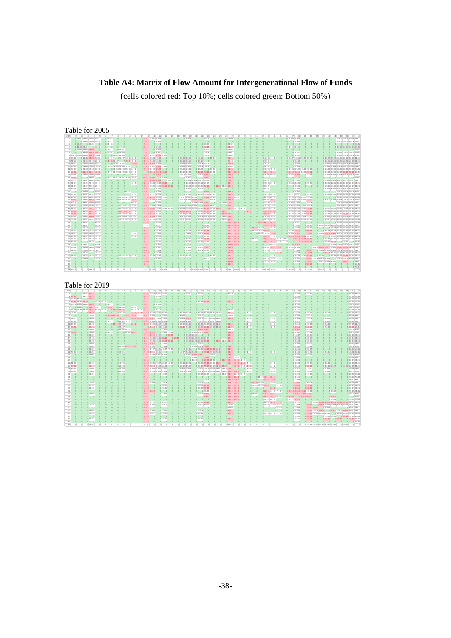## **Table A4: Matrix of Flow Amount for Intergenerational Flow of Funds**

(cells colored red: Top 10%; cells colored green: Bottom 50%)

|                                                                                                                | Table for 2005<br>1 1F-07 2F-08 4F-09 6F-07                                         | 10<br>$11\,$<br>6F+08<br>$\overline{a}$                                                                                                                      | 13<br>14<br>$12\,$<br>15<br>16<br>17<br>0 7E+11 7E+07 6E+08                                                                                    | $18\,$<br>19<br>20<br>$0.35 + 06$             | $21\,$<br>$\boldsymbol{22}$<br>$^{23}$<br>24<br>0.25+08                                                                                            | $\mathbbm{2}$<br>26<br>$27\,$<br>28<br>0.25+09                                                                                                                                                                                                                                                                                    |                               |                                                                                                                                                          | 35<br>$\overline{\mathbf{36}}$ | 37<br>38<br>0.7F+08 %+08                                     | 39<br>40                                  | 42<br>43<br>44                                    | 45<br>46<br>47<br>48<br>0.25+07.25+08.25+08.75+12                                                                                                                                                                                                                                                                                                                                                                                        |
|----------------------------------------------------------------------------------------------------------------|-------------------------------------------------------------------------------------|--------------------------------------------------------------------------------------------------------------------------------------------------------------|------------------------------------------------------------------------------------------------------------------------------------------------|-----------------------------------------------|----------------------------------------------------------------------------------------------------------------------------------------------------|-----------------------------------------------------------------------------------------------------------------------------------------------------------------------------------------------------------------------------------------------------------------------------------------------------------------------------------|-------------------------------|----------------------------------------------------------------------------------------------------------------------------------------------------------|--------------------------------|--------------------------------------------------------------|-------------------------------------------|---------------------------------------------------|------------------------------------------------------------------------------------------------------------------------------------------------------------------------------------------------------------------------------------------------------------------------------------------------------------------------------------------------------------------------------------------------------------------------------------------|
|                                                                                                                | $0$ $0.4E + 09$ $2E + 08$ $9E + 05$<br>$0.6E + 09$ $0.8E + 08$                      | $4E + 07$<br>$26 + 08$                                                                                                                                       | $01E+11$<br>$0.8E + 06$<br>$0^{2E+11}$                                                                                                         |                                               | $0$ 0<br>$3E+07$                                                                                                                                   | $01E + 0$                                                                                                                                                                                                                                                                                                                         |                               |                                                                                                                                                          |                                | $0.5E + 06$                                                  |                                           |                                                   | 0 4E+05 2E+06 3E+06 1E+12<br>$0.2E+12$                                                                                                                                                                                                                                                                                                                                                                                                   |
| $\overline{z}$                                                                                                 | $0.4E+08$ 7E+07 $0.4E+08$                                                           | $\sim$                                                                                                                                                       | $A = 20.789$<br>$0.8E + 11$                                                                                                                    |                                               | $0.55 + 10$                                                                                                                                        | $0^{2E+10}$                                                                                                                                                                                                                                                                                                                       |                               |                                                                                                                                                          |                                | $0.4E + 08.2E + 08$                                          |                                           |                                                   | 0 1E+07 8E+07 9E+07 3E+12                                                                                                                                                                                                                                                                                                                                                                                                                |
| $\overline{\phantom{a}}$                                                                                       | 0 1FAM SEAR SEAM 0<br>6 0 0 8E+06 6E+10 1E+10                                       | 1.25407<br>$0.15 + 07$<br>$0.5E + 09$<br>$0.1E+09$                                                                                                           | 0.15411<br>8.35409<br>$0$ 1E+11 $0$ 5E+07<br>$\sim$ 0                                                                                          | $\circ$<br>$\Omega$                           | 0.65407<br>$01E+08$                                                                                                                                | 0.35407<br>$0.5E + 07$                                                                                                                                                                                                                                                                                                            |                               | $\Omega$                                                                                                                                                 |                                | $0 \qquad 0 \qquad 0$<br>$0.3E + 07$                         | $\Omega$                                  |                                                   | $0 \t 0 \t 0 \t 0$ 1 F $\pm 12$<br>0 2E+06 1E+07 2E+07 1E+12                                                                                                                                                                                                                                                                                                                                                                             |
|                                                                                                                | 7 SE+07 1E+08 1E+08 2E+10 3E+08                                                     | $0.4E + 0.9$ $5E + 0.9$                                                                                                                                      | 0 2E+11 2E+07 8E+09 5E+06                                                                                                                      |                                               | $0.2E + 0.9$                                                                                                                                       | $0.2E + 0.9$                                                                                                                                                                                                                                                                                                                      |                               |                                                                                                                                                          |                                | $0.4E + 08$                                                  |                                           |                                                   | 0 3E+07 2E+08 2E+08 2E+12                                                                                                                                                                                                                                                                                                                                                                                                                |
| $8.35 + 0.08$<br>$97E + 06$                                                                                    | 0.1F+08 3F+10 9F+07<br>$0.3E + 08.9E + 08.2E + 08$                                  | $\begin{array}{ccc} 0 & 3E + 07 & 0 & 9E + 07 & 6E + 07 & 3E + 07 \\ 0 & 2E + 10 & 6E + 07 & 0 & 7E + 09 & 3E + 08 \end{array}$                              | $0.8E + 11.4E + 08.1E + 09$<br>$0.4E+11$ SE+08 2E+09                                                                                           | $0.2E + 09.1E + 08$<br>$0.4E + 08.2E + 06$    | 0.45408<br>$01E+07$<br>$01E+07$ 0 0                                                                                                                | $0.55 + 10$<br>$0.56 + 09$                                                                                                                                                                                                                                                                                                        |                               | 12F-08 1F-08<br>$01E+07$ 0                                                                                                                               |                                | 1 1F-07 SF-08 2F-07 3F-08<br>$0$ $0$ $1E + 09$               |                                           |                                                   | 8 4FA07 5FA07 4FA07 6FA08 3FA08 4FA12<br>0 1E+06 2E+06 8E+07 5E+08 5E+08 3E+12                                                                                                                                                                                                                                                                                                                                                           |
| $10.5E + 07$                                                                                                   | IE+08 IE+08 9E+07                                                                   | 0 0 2E+07 1E+07 0 7E+09                                                                                                                                      | $0 6E + 11 1E + 10 9E + 08$                                                                                                                    | $0$ 1E+09 2E+07                               | $0$ 1E+08 1E+08                                                                                                                                    | $0.7E + 10$                                                                                                                                                                                                                                                                                                                       |                               | $01E + 08$                                                                                                                                               |                                | $0.56 + 08$                                                  |                                           |                                                   | IE+07 IE+07 4E+07 3E+08 3E+08 3E+12                                                                                                                                                                                                                                                                                                                                                                                                      |
| $115E + 08$<br>12 26 ±09                                                                                       | IE+09 3E+09 7E+08<br><b>GELOR AFLOW AFLOR</b>                                       | $1E + 09$ $3E + 08$ $1E + 08$ $2E + 08$ 0<br>0.3F+08.9F+08.5F+08.2F+08                                                                                       | 0 1E+12 9E+07 7E+09 2E+05<br>$\begin{array}{ccc} 0 & 2E+12 & 4E+09 & 6E+09 & 0 \\ 0 & 0 & 5E+10 & 7E+10 & 5E+10 \end{array}$                   | $0$ 1E+09 2E+08<br>0.25+09 65+08              | 9E+08 1E+06<br>$\begin{array}{ccc} 0 & \text{IE} + 09 & 0 & 9 \text{E} + 07 \\ 0 & \text{IE} + 10 & 2 \text{E} + 11 & 3 \text{E} + 08 \end{array}$ | $0.8E + 07$<br>$04E + 10$                                                                                                                                                                                                                                                                                                         |                               | $9E + 08$<br><b>IFA09 7FA08</b>                                                                                                                          |                                | $0.4E + 09$<br>0.7F-08 4F-09 1F-08 2F-09                     |                                           |                                                   | IE+08 IE+08 SE+08 3E+09 2E+09 IE+13<br>$1E+08$ 2E+08 3E+08 3E+09 2E+09 8E+12                                                                                                                                                                                                                                                                                                                                                             |
| $136E+10$<br>$14$ $2E + 09$                                                                                    | 0 1E+10 1E+11 7E+09<br>$0.2E + 09.3E + 09.1E + 09$                                  | 0 1E+09 2E+09 3E+09 2E+09 2E+09<br>$0 \t 0 \t 0 \t 0 \t 0 \t 0.56 + 0.0$                                                                                     | $0 \, 2E + 12$<br>$01E+10$ 0                                                                                                                   | $0.4E + 09.3E + 09.$<br>$0.2E + 0.914E + 0.8$ | $0.2E + 09.3E + 10$ 0                                                                                                                              | $04E+116E+11$<br>$0.2E + 10$                                                                                                                                                                                                                                                                                                      |                               | $01E+101E+11$<br>$0.2E + 09.4E + 08$                                                                                                                     |                                | 0 5E+10 4E+10 5E+08 2E+11<br>$0.8E + 08.7E + 09$             |                                           |                                                   | 1E+09 2E+09 3E+09 3E+10 2E+10 4E+13<br>2E+08 3E+08 5E+08 6E+09 4E+09 1E+13                                                                                                                                                                                                                                                                                                                                                               |
| $15 1E+10$                                                                                                     | $0.7E + 0.8$ 0                                                                      | 9E+07 SE+07 3E+07 2E+08 2E+09                                                                                                                                | $06E+119E+09 = 02E+09$                                                                                                                         | $0 \t 0 \t 2E+07$                             | $0$ $0$ $2E+10$                                                                                                                                    | $0 \, 3E + 10$                                                                                                                                                                                                                                                                                                                    |                               | $0 \qquad 0$                                                                                                                                             |                                | $0\qquad 0\qquad 0$                                          |                                           |                                                   | $0 \t 0 \t 0 \t 0 \t 0 \t 0 \t 4E+12$                                                                                                                                                                                                                                                                                                                                                                                                    |
| 16 2Fa07<br>$17.3E + 07$                                                                                       | 12F+07 4F+07 1F+07<br>$4E + 07$ $5E + 07$ $3E + 07$                                 | $0 \quad 0$<br>0<0<br>$0.5E + 06$<br>$\Omega$                                                                                                                | 0 3E+11 1E+10 9E+09 0 4E+08<br>0 3E+11 3E+09 2E+09 3E+10 0                                                                                     |                                               | A 7FLAR RELAR AFLAT AFLAR<br>0 1E+08 1E+09 9E+06 6E+09                                                                                             | $0.35 + 10$<br>$0 0 6E + 10$                                                                                                                                                                                                                                                                                                      |                               | 0.45407<br>$0$ 1E+07 2E+07                                                                                                                               |                                | 0.085407<br>$0$ 1E+08 2E+08                                  | $0.2E + 07$                               |                                                   | 0 4FA06 SEADS SEADS 2FA02 4FA02 2FA12<br>0 9E+05 1E+06 1E+07 8E+07 8E+07 2E+12                                                                                                                                                                                                                                                                                                                                                           |
| $18$ $3E + 07$                                                                                                 | $3E+07$ $5E+07$ $2E+07$                                                             | $0$ 0                                                                                                                                                        | 0 2E+11 2E+09 2E+09 6E+10 3E+10                                                                                                                |                                               | 0 1E+08 7E+08 5E+07 2E+10                                                                                                                          | 0 1E+10 4E+08 6E+10                                                                                                                                                                                                                                                                                                               |                               | $SE + 07$                                                                                                                                                |                                | $0$ $0$ $1E + 08$                                            |                                           |                                                   | SE+06 7E+06 7E+06 9E+07 5E+07 1E+12                                                                                                                                                                                                                                                                                                                                                                                                      |
| $19.3E + 06$<br>$20 \qquad 0$                                                                                  | $SE + 07$ $6E + 06$ $3E + 07$<br>$0 1E + 08$ $0 8E + 07$                            | $\sim$<br>$0 0.66 + 09$<br>$\circ$<br>$\sim$ 0                                                                                                               | $0.2E+11$ $0.3E+08$<br>$0.2E+11$ $0.7E+08$                                                                                                     | $0.9E + 05$ $0.6E + 06$<br>$0$ 0<br>$\bullet$ | $0 0 9E + 10 0$                                                                                                                                    | $0.8E + 10$                                                                                                                                                                                                                                                                                                                       |                               | 6E+06<br>$0 \qquad 0$<br>$-6$                                                                                                                            |                                | 0.25+08<br>$0.4E + 0.8$                                      | $\Omega$<br>$\overline{0}$                |                                                   | 6F-05 8F-05 1F-07 9F-07 9F-07 1F-12<br>0 0 3E+07 2E+08 2E+08 3E+12                                                                                                                                                                                                                                                                                                                                                                       |
| 21 6F +08<br>$22   1E + 09  $                                                                                  | $0.2E + 07$ 1E+09 1E+07<br>7E+07 2E+09 SE+07                                        | $0 \t 0 \t 0$ 1E+08<br>$\Omega$<br>0 1E+08 9E+07 4E+07                                                                                                       | $0.2E + 11.3E + 07.2E + 08$<br>$\sim$ 0<br>0 1E+12 4E+10 5E+08 7E+08                                                                           |                                               | 0 0 9E+06 0 1E+08 9E+06 3E+09<br>0 7E+07 6E+07 3E+08 0 2E+10 2E+07                                                                                 | $0.5E + 10$<br>$0.8E + 10.1E + 09$                                                                                                                                                                                                                                                                                                |                               | $0$ 1E+08 6E+08<br>$0.2E + 07.2E + 09$                                                                                                                   |                                | $0.6E + 07.8E + 07$<br>0 9E+08 3E+08 3E+07 4E+09             | 0.4FA08                                   |                                                   | 0 4E+06 6E+06 6E+06 8E+07 4E+07 3E+12<br>0 0 2E+07 1E+08 1E+08 6E+12                                                                                                                                                                                                                                                                                                                                                                     |
| 23 3E+10                                                                                                       | 4E+08 5E+10 2E+08                                                                   | 0 4E+08 3E+08 7E+09                                                                                                                                          | $0$ 1E+12 2E+09 3E+09<br>$\overline{0}$                                                                                                        |                                               | 0 2E+08 3E+08 9E+09 1E+10 0 9E+08                                                                                                                  | $0.6E + 10$ 0                                                                                                                                                                                                                                                                                                                     |                               | $5E + 09$ 3E+10                                                                                                                                          |                                | $0.4E + 09.1E + 09.9E + 07.2E + 10$                          |                                           |                                                   | $9E+07$ $1E+08$ $1E+08$ $1E+09$ $7E+08$ $2E+13$                                                                                                                                                                                                                                                                                                                                                                                          |
| 24 95 108<br>$251E + 08$                                                                                       | 8FA07 5FA08 6FA07<br>2E+07 4E+08 1E+07                                              | $0 \t 0 \t 0 6E + 07$<br>$0.9E + 07.6E + 07.3E + 07$                                                                                                         | $0.4E+11$ $0.5E+08$<br>$0.2E + 115E + 081E + 08$                                                                                               |                                               | $0$ 0 $4E + 08$ $2E + 08$ $8E + 10$ 0<br>SE+07 4E+07 SE+09 0 2E+10 3E+07                                                                           | 0.3FA08.1FA11<br>$0 0 1E+11$                                                                                                                                                                                                                                                                                                      |                               | 0.4F+07 9F+08<br>$0.2E + 07.1E + 08$                                                                                                                     |                                | 0 3FA07 3FA08 0 2FA08<br>0 1E+07 6E+07 2E+07 3E+08           |                                           |                                                   | 0 0 0 2E+07 1E+08 2E+08 3E+12<br>0 $5E + 06$ $3E + 07$ $3E + 07$ $2E + 12$                                                                                                                                                                                                                                                                                                                                                               |
| $26$ $5E + 09$                                                                                                 | 2E+08 1E+10 1E+08                                                                   | $0.2E + 09.9E + 08.5E + 08$                                                                                                                                  | 0 9E+11 9E+09 1E+09 2E+09 4E+08                                                                                                                |                                               | 0 8E+08 7E+08 3E+07 5E+08 8E+09 2E+08 4E+10                                                                                                        | $0.7E + 10.4E + 09.3E + 08$                                                                                                                                                                                                                                                                                                       |                               | $0.8E + 08.5E + 09$                                                                                                                                      |                                | $0.3E + 09.6E + 08.3E + 08.1E + 10$                          |                                           |                                                   | SE+07 6E+07 4E+07 7E+08 3E+08 6E+12                                                                                                                                                                                                                                                                                                                                                                                                      |
| 27 3F+10<br>28 6E+09                                                                                           | TEACH SEAT0 SEACH<br>$3E + 08$ $1E + 10$ $2E + 08$                                  | 0 2E+10 1E+10 4E+09<br>$0.2E + 09$ $1E + 09$ $6E + 08$<br>$\overline{0}$                                                                                     | 0 1E+12 1E+11 6E+09<br>- 6<br>0 1E+12 1E+10 6E+09                                                                                              | $0$ IE+09 2E+09                               | 0 1E+10 1E+10 0 4E+09 9E+09 3E+09<br>$0.6E + 09.8E + 08.3E + 08$                                                                                   | $03E+10$ 0 0<br>$0.9E + 09.2E + 11$                                                                                                                                                                                                                                                                                               | $0.15 + 10$<br>$\overline{0}$ | $0.75 + 09.25 + 10$<br>$0.6E + 09.2E + 09$                                                                                                               |                                | 0.2FA09 4FA08 4FA09 6FA10<br>0 2E+08 1E+09 4E+08 6E+09       |                                           |                                                   | B SELOR SELOR RELOT SELOR DELOR DELTR<br>0 6E+08 8E+08 8E+07 6E+09 6E+08 1E+13                                                                                                                                                                                                                                                                                                                                                           |
| $29 2E+09 $                                                                                                    | SE+07 6E+09 3E+07                                                                   | 0.1F-09 9F-08 4F-08                                                                                                                                          | 0 4E+11 7E+09 8E+08                                                                                                                            | 0.8F+08 7F+08                                 | 0 5F-08 5F-08 2F-08                                                                                                                                | $0.2E + 09.2E + 11$                                                                                                                                                                                                                                                                                                               |                               | $07E+082E+09$                                                                                                                                            |                                | 0.2E+08.2E+08.3E+08.4E+09<br>0 5F 407 2F 408 9F 406 5F 408   |                                           |                                                   | 0 5E+07 7E+07 1E+07 6E+08 9E+07 3E+12<br>3F-07 3F-07 1F-07 3F-08 8F-07 2F-12                                                                                                                                                                                                                                                                                                                                                             |
| 30 7F +08<br>$31$ 0                                                                                            | 4E+07 1E+09 3E+07<br>$0.25 + 0.7$ $0.25 + 0.7$                                      | SE407 SE407 1F408<br>$\sim$<br>$\sim$<br>$\sim$ 0.                                                                                                           | $0.3E + 11.2E + 08.4E + 08$<br>$0.25 + 10$<br>0.1F.18                                                                                          | 0.2F+07 6F+07<br>$0 \qquad 0 \qquad 0$        | 12F-18 2F-19 6F-19<br>$\begin{array}{ccccccccccccccccc} a & & a & & a & & a & & a \end{array}$                                                     | 0.5F+09.2F+11<br>$0.035 + 10.25 + 10$                                                                                                                                                                                                                                                                                             | $\theta$                      | 0.3F+08 FF+08<br>0 7FA09 2FA10 3FA10                                                                                                                     |                                | $0 0 9E + 07 0 0$                                            |                                           |                                                   | 0 0 0 6E+06 4E+07 4E+07 7E+11                                                                                                                                                                                                                                                                                                                                                                                                            |
| 3200<br>$33 - 0$                                                                                               | $0 = 1E + 0$<br>$0.7E + 06$<br>$3E + 07$<br>$0.2E + 07$                             |                                                                                                                                                              | $0.1E + 0.9$<br>$0.6E + 0.7$<br>$0.5E+11$<br>$0.2E + 08$                                                                                       | $\theta$<br>$\sqrt{2}$                        | 0.95407<br>$0.86 + 07$                                                                                                                             | $04E+104E+10$<br>$08E+101E+10$                                                                                                                                                                                                                                                                                                    | n<br>$0.2E+10.4E+07$          | $0$ $0$ $4E+10$ $4E+10$<br>$0.2E + 0.7$                                                                                                                  |                                | $0 7E+07$<br>$0 0.2E + 0.9$                                  | $0.35 + 0.8$<br>$0.4E + 08$               |                                                   | 0 1E+07 3E+07 2E+07 3E+06 2E+07 2E+07 9E+11<br>0 0 7E+07 8E+06 5E+07 6E+07 3E+12                                                                                                                                                                                                                                                                                                                                                         |
| 34 6E+07                                                                                                       | $1E + 07$ $1E + 08$ $9E + 06$                                                       |                                                                                                                                                              | $0.7E + 11$<br>$0.2E + 08$                                                                                                                     | $0$ 0<br>$0.2E + 0.7$                         | $01E+081E+10$                                                                                                                                      | $0.3E + 10.2E + 10$                                                                                                                                                                                                                                                                                                               |                               | 0 1E+09 4E+09 8E+09 0                                                                                                                                    |                                | $01E + 089E + 10$                                            | $07E + 10$                                |                                                   | 0 1E+07 2E+07 4E+06 1E+08 2E+07 4E+12                                                                                                                                                                                                                                                                                                                                                                                                    |
| 95 7F + 07<br>$36 1E+08$                                                                                       | 2F+07 1F+08 2F+07<br>$2E + 07$ $3E + 08$ $1E + 07$                                  | 0.25+07<br>$0.4E + 07$                                                                                                                                       | $0.55 \pm 11$<br>$0.15 + 08$<br>$0.2E + 11$<br>$01E+08$                                                                                        | 8.87608                                       | 0.5F+05.3F+10<br>$0.5E + 0.8$                                                                                                                      | $0 6E + 10 2E + 10$<br>$0$ 1E+11 5E+10                                                                                                                                                                                                                                                                                            |                               | 0.8F+07 2F+09 7F+10<br>$0.3E+10.1E+0.9$                                                                                                                  |                                | $0.75 + 05.15 + 10$<br>0 3E+10 7E+10 4E+10 5E+08             | $0.15 + 11$                               |                                                   | 0 5E+09 1E+10 9E+09 6E+06 1E+08 4E+07 2E+12<br>0 0 0 7E+07 5E+06 3E+07 4E+07 1E+12                                                                                                                                                                                                                                                                                                                                                       |
| $371E+07$                                                                                                      | $3E + 07$ $3E + 07$ $2E + 07$                                                       |                                                                                                                                                              | $04E+11$<br>$0.2E + 0.8$                                                                                                                       | $0.4E + 06$                                   | $3E + 07$ $2E + 10$                                                                                                                                | $0$ 1E+11 2E+10                                                                                                                                                                                                                                                                                                                   |                               | 0 6E+10 2E+10 2E+06 40265                                                                                                                                |                                | 0 1E+11 1E+10 9E+09                                          |                                           |                                                   | $0.3E + 06.3E + 08.8E + 06.8E + 07.6E + 07.2E + 12$                                                                                                                                                                                                                                                                                                                                                                                      |
| 38 7F + 05<br>$39 - 0$                                                                                         | $0.25 + 0.7$ 0<br>0.1Fa07 0.6Fa06                                                   | $\sim$                                                                                                                                                       | 0.95+05<br>$0.25 + 11$<br>$0.15 \pm 11$<br>$0.65 + 07$                                                                                         | 0.35406<br>$0 - 0$                            | 0.2F+07 FF+09<br>0 <sub>0</sub>                                                                                                                    | $0.85 + 10.25 + 10$<br>0.95409.25410                                                                                                                                                                                                                                                                                              | $\Omega$                      | 0 $5E + 10$ $4E + 10$ $5E + 09$ $1E + 08$<br>$0.055408$ $0.055410$                                                                                       |                                | $0$ $0$ $1E+10$ $3E+10$                                      | $0$ 0                                     |                                                   | $0.2E+06.3E+10$ $0.1E+07$ $0.2E+12$                                                                                                                                                                                                                                                                                                                                                                                                      |
| 40 6E+06<br>$41 \overline{\text{SE} + 06}$                                                                     | 3E+06 IE+07 2E+06<br>2E+07 6E+06 2E+07                                              |                                                                                                                                                              | $0.9E + 11$<br>$0.2E + 07$<br>$01E + 11$<br>$0.15 + 0.8$                                                                                       | $0.2E + 0.6$                                  | $1E+07$ $1E+10$<br>EE+06 4E+08                                                                                                                     | $06E+1000$<br>$0.7E + 0.9$                                                                                                                                                                                                                                                                                                        |                               | $0.2E + 09.3E + 10.1E + 10$<br>7E+08 7E+08 3E+08                                                                                                         |                                | $0$ IE+08 IE+09<br>$0.1E + 0.8$                              | $0.85 + 10$                               |                                                   | 0 0 0 0 $7E + 08$ 3E + 06 2E + 07 2E + 07 1E + 12<br>0 6E + 09 3E + 10 2E + 10 2E + 06 1E + 10 7E + 10 5E + 06 1E + 10                                                                                                                                                                                                                                                                                                                   |
| $42 - 6$                                                                                                       | $0.25 + 0.7$ $0.15 + 0.7$                                                           |                                                                                                                                                              | $0.85 + 10$<br>0.95407                                                                                                                         | $01E + 06$<br>$\sim$ 0                        | $0$ 0                                                                                                                                              | 0 55.109<br>$\theta$                                                                                                                                                                                                                                                                                                              |                               | $0 0 0 0 6E + 09$                                                                                                                                        |                                | $0.65 + 07$                                                  | $01E+11$                                  |                                                   | 0 4E+09 2E+09 9E+05 3E+08 2E+09 5E+07 1E+12<br>0 2E+10 1E+05 4E+06 4E+07 3E+07 1E+12                                                                                                                                                                                                                                                                                                                                                     |
| $43$ $3E + 06$<br>44<br>$\overline{\phantom{0}}$                                                               | $0.2E+07$ $1E+07$ $1E+07$<br>$4E + 06$<br>$0.3E + 0.6$                              | $0.6E + 06.4E + 06.2E + 05$<br>$^{\circ}$<br>$\mathbf{0}$                                                                                                    | $0.4E + 11.3E + 07.1E + 08$<br>$0$ 1E+11<br>$0.3E + 07$                                                                                        | 0.3F+06 3F+06                                 | $\overline{0}$<br>0.75405<br>$0.3E + 0.7$                                                                                                          | $0.5E + 10$<br>$0.1E + 10$                                                                                                                                                                                                                                                                                                        |                               | $0$ 1E+06 $0$<br>$0.4E + 08$ 3E+08 3E+07                                                                                                                 |                                | $0.6E+07$ 1E+06 7E+10<br>$0.36 + 07$                         |                                           |                                                   | 0 2E+09 0 4E+09 5E+06 3E+10 3E+07 2E+12<br>0 6E+10 1E+08 3E+08 3E+09 0 2E+07 2E+08 9E+06 1E+12                                                                                                                                                                                                                                                                                                                                           |
| 45                                                                                                             |                                                                                     |                                                                                                                                                              | $0^{2E+10}$                                                                                                                                    |                                               |                                                                                                                                                    | $0.8E + 0.9$                                                                                                                                                                                                                                                                                                                      |                               | $0.7E + 06.7E + 07$                                                                                                                                      |                                | $0.4E + 06$                                                  | $0 \, 2E + 10$                            | $0.5E + 07.2E + 09.3E + 09.$                      | $0.3E+10$ $0.9E+11$                                                                                                                                                                                                                                                                                                                                                                                                                      |
| 46<br>47                                                                                                       |                                                                                     |                                                                                                                                                              | $0.3E + 11$                                                                                                                                    |                                               |                                                                                                                                                    | $0.2E + 10$                                                                                                                                                                                                                                                                                                                       |                               |                                                                                                                                                          |                                |                                                              | $0.3E + 10$<br>$\overline{\phantom{0}}$   | $0 \qquad 0$                                      | $01E+12$<br>$\bullet$<br>$0.7E+11$                                                                                                                                                                                                                                                                                                                                                                                                       |
|                                                                                                                |                                                                                     |                                                                                                                                                              |                                                                                                                                                |                                               |                                                                                                                                                    |                                                                                                                                                                                                                                                                                                                                   |                               |                                                                                                                                                          |                                |                                                              |                                           |                                                   |                                                                                                                                                                                                                                                                                                                                                                                                                                          |
| $\overline{1}$                                                                                                 | Table for 2019<br>$\sim$<br>$\overline{A}$<br>$\epsilon$<br>$0$ $0.8E + 0.72E + 10$ | $\overline{\bullet}$<br>10 <sup>1</sup><br>11<br>$\circ$                                                                                                     | 12 <sup>1</sup><br>19<br>14<br>15<br>16<br>17<br>0 2E+12 4E+08 8E+07 2E+07                                                                     | 18<br>14<br>20<br>$0.8E + 0.7$                | 21<br>$\overline{\mathcal{D}}$<br>22<br>24<br>$0.3E + 0.9$                                                                                         | 25<br>26<br>27<br>28<br>$0.2E + 0.8$                                                                                                                                                                                                                                                                                              |                               | 33<br>34                                                                                                                                                 | 35<br>$^{56}$                  | 37<br>38<br>$0.5E + 08$                                      | $^{56}$<br>$\overline{a}$<br>$0.1E + 0.8$ | 41<br>42<br>43<br>44                              | $\overline{16}$<br>zs.<br>47<br>48<br>$06E+071E+13$                                                                                                                                                                                                                                                                                                                                                                                      |
|                                                                                                                | $24E+10$ 0 $1E+103E+10$                                                             |                                                                                                                                                              | $04E+11$<br>$0.5E + 06$                                                                                                                        |                                               | $\overline{\phantom{0}}$                                                                                                                           |                                                                                                                                                                                                                                                                                                                                   |                               |                                                                                                                                                          |                                | $01E + 08$                                                   |                                           |                                                   |                                                                                                                                                                                                                                                                                                                                                                                                                                          |
|                                                                                                                | $3   1E + 09   4E + 09$ 0 6E + 10<br>4 4E+10 2E+09 2E+10 0 3E+09 1E+10 0            | $0$ 0<br>$\circ$<br>$\overline{0}$                                                                                                                           | $0.45 + 11$<br>0 0<br>$0.9E + 11$<br>$\sim$ 0<br>$\circ$                                                                                       | $\circ$<br>$\circ$                            | $0$ IE+09 9E+10                                                                                                                                    | $0.9E + 10$                                                                                                                                                                                                                                                                                                                       |                               | $\circ$<br>$\circ$                                                                                                                                       |                                | 0.3F+08<br>$0.3E + 0.8$                                      | $\circ$                                   |                                                   |                                                                                                                                                                                                                                                                                                                                                                                                                                          |
|                                                                                                                | $55E+093E+082E+092E+10$ 0 8E+07                                                     | 0 <sup>1</sup><br>0<0                                                                                                                                        | $0.3E + 11$<br>$0.2E + 0.9$                                                                                                                    | $\Omega$                                      | $0 \qquad 0 \qquad 0$                                                                                                                              | $0 \quad 0$                                                                                                                                                                                                                                                                                                                       |                               |                                                                                                                                                          |                                | $01E + 08$                                                   | $\theta$                                  |                                                   |                                                                                                                                                                                                                                                                                                                                                                                                                                          |
|                                                                                                                | 6 0 9E+08 0 3E+11 1E+10<br>7 2FA09 1FA09 1FA09 2FA11 1FA08 1FA10                    | $0.2E + 10$<br>$4E + 09$<br>$0.2E + 10.5E + 10$                                                                                                              | $04E + 11$<br>0.8F+09 1F+09 9F+11<br>0.15410                                                                                                   | $\sim$ 0                                      | 0.45309                                                                                                                                            | 0.65409                                                                                                                                                                                                                                                                                                                           |                               |                                                                                                                                                          |                                | $n$ 1F $\pm$ 09                                              |                                           |                                                   |                                                                                                                                                                                                                                                                                                                                                                                                                                          |
| 900                                                                                                            | $8 1E+08$ 0 0 $5E+10$<br>0 <sup>1</sup><br>$0.2E + 0.8$                             | $0$ $0$ $7E+08$                                                                                                                                              | 0 4E+10 6E+10 1E+12 2E+09 9E+06 2E+08                                                                                                          | $0.4E + 09.2E + 07$<br>$0.96 + 08 = 0$        | 0 1E+08 2E+08 3E+07 3E+06<br>$0.5E + 0.7$ 0 0 0                                                                                                    | $0.1E + 11$<br>$0.36 + 08$                                                                                                                                                                                                                                                                                                        | $0.2E + 0.7$                  | $0.2E + 07$                                                                                                                                              |                                | $0.2E + 0.9$<br>$2E + 09$                                    | $0.55 + 0.8$<br>$0.5E + 07$               | $0.2E + 07$                                       |                                                                                                                                                                                                                                                                                                                                                                                                                                          |
|                                                                                                                | $0.5E+07$                                                                           | $0 \qquad \qquad 0 \qquad \qquad 0 \qquad 1E+11 \qquad \qquad 0 \qquad \text{SE}+11 \qquad 6E+10 \qquad 1E+12 \qquad 2E+11 \qquad 1E+06 \qquad \qquad 7E+07$ |                                                                                                                                                | $0.2E + 09.7E + 10$                           | 0 9E+07 4E+07 5E+06 5E+05                                                                                                                          | $0.5E+10$                                                                                                                                                                                                                                                                                                                         | $0.3E + 06$                   | $4E + 06$                                                                                                                                                |                                | $1E+09$                                                      | $0.2E + 08$                               | $3E + 06$                                         |                                                                                                                                                                                                                                                                                                                                                                                                                                          |
|                                                                                                                | 0.8F+08<br>$0.2E + 0.9$                                                             | 0.2F+07<br>$0.6E + 07$ $1E + 06$<br>$\sim$ 0<br>$0$ $0$ 1E+11 5E+07 $0$ 2E+11                                                                                | 0 2E+12 2E+09 2E+07 9E+08<br>0 $3E + 12$ $4E + 09$ $9E + 07$ $1E + 09$                                                                         | 0.25+09 95+07<br>$0$ 1E+09 2E+08              | 0.2F+09 4F+08 6F+07 5F+06<br>$0$ 1E+09 2E+09 3E+08 3E+07                                                                                           | $01E+11$                                                                                                                                                                                                                                                                                                                          | 0.35+07<br>$0.2E + 0.8$       | $0.45 + 07$<br>$2E + 08$                                                                                                                                 |                                | 16.10<br>$0 1E + 10$                                         | 0.25+09<br>$0.4E + 09$                    | 0.3F+07<br>$2E + 08$                              |                                                                                                                                                                                                                                                                                                                                                                                                                                          |
|                                                                                                                | $0\sqrt{2E+10}$                                                                     | $0.96 + 0.7$<br>$0$ 0                                                                                                                                        | $0$ $0$ $8E + 10$ $1E + 09$ $1E + 10$                                                                                                          | $0\overline{2E+10}$ $2E+09$                   | 0 5E+09 3E+10 5E+09 4E+08                                                                                                                          | $0^{2E+11}$                                                                                                                                                                                                                                                                                                                       | $0.3E + 09$                   | $3E + 09$                                                                                                                                                |                                | $02E+11$                                                     | $0 5E + 10$                               | $0.2E + 0.9$                                      |                                                                                                                                                                                                                                                                                                                                                                                                                                          |
|                                                                                                                | $n$ TELMS<br>0.2FJ.09                                                               | 0.9F+07.8F+09<br>$\sim$ 0<br>0.45109<br>0.05540985410                                                                                                        | $0 \frac{3E + 12}{2} = 0$ $0 \frac{3E + 09}{2}$<br>0.1F+12.4F+10 0.5F+09.1F+08                                                                 | $0$ 0                                         | $06E+114E+10000$<br>0 0 65407 95407 45410                                                                                                          | $01E + 10$<br>$0.75 + 10$<br>$\Omega$                                                                                                                                                                                                                                                                                             | $\sim$ 0<br>$\Omega$          |                                                                                                                                                          |                                | $0.35 + 10$<br>0.25408                                       | 0.5F+09<br>$0.15 + 08$                    |                                                   |                                                                                                                                                                                                                                                                                                                                                                                                                                          |
|                                                                                                                | $0.8E + 06$<br>$0.5E + 06$                                                          | $-0.1$<br>$\sim$ 0                                                                                                                                           | 0 7E+11 2E+10 3E+09 0 3E+10                                                                                                                    | $0.6E + 10$                                   | $0.4E + 09.2E + 09$ 0 0                                                                                                                            | $\sim$ 0<br>$0.2E + 10$<br>$0.6E + 10$                                                                                                                                                                                                                                                                                            |                               | $\Omega$                                                                                                                                                 |                                | $0.5E + 07$<br>$4E + 08$                                     | $0.5E + 07$<br>$0.2E + 07$                |                                                   |                                                                                                                                                                                                                                                                                                                                                                                                                                          |
|                                                                                                                | 0.1F+07                                                                             |                                                                                                                                                              | 0 4E+11 4E+09 7E+08 3E+11<br>0 4E+11 3E+09 6E+08 5E+10 3E+10                                                                                   |                                               | $08E + 082E + 094E + 078E + 09$<br>0 6E+08 2E+09 6E+07 2E+10                                                                                       | 0.2F+10.3F+09.6F+10                                                                                                                                                                                                                                                                                                               |                               |                                                                                                                                                          |                                | a sculpt                                                     | $0.55 + 07$                               |                                                   |                                                                                                                                                                                                                                                                                                                                                                                                                                          |
| $10 \ 2E + 07$<br>$12 1E+09 $<br>$13 \overline{\smash{2E+10}}$<br>17<br>18<br>$\sqrt{2}$<br>20 <sub>1</sub>    | $01E + 07$<br>$0.3E + 0.7$                                                          | $0.9E + 06.4E + 10.1E + 11$                                                                                                                                  | $\sim$ 0                                                                                                                                       |                                               | $0 0 1E+07 0$<br>$05E+091E+081E+11$                                                                                                                | $\begin{array}{ccccccccccccccccc} 0 & 0 & 0 & 0 & 0 \end{array}$<br>$01E+11$                                                                                                                                                                                                                                                      | $\Omega$<br>$\Omega$          | $\Omega$                                                                                                                                                 |                                | $0.5E + 0.8$<br>$0 IE + 09$                                  | $0.5E + 07$<br>$01E+08$                   |                                                   | $0.2E + 07.2E + 12$<br>0 4F+07 2F+12<br>$0.3E + 07.6E + 12$<br>$0.25 + 0.7$ 2F + 12<br>$3E + 07$ $1E + 12$<br>0.2FL08 4FL12<br>0.3FL08 SFL12<br>$3E + 08$ $3E + 12$<br>$2E + 08$ $4E + 12$<br>3F±09 2F±13<br>$2E + 09$ $1E + 13$<br>$2E + 10$ $1E + 14$<br>0 4F+09 3F+13<br>0 3F+07 4F+12<br>$05E + 063E + 12$<br>$SE + 07$ 3E+12<br>4F+07 2F+12<br>$06E + 072E + 12$<br>$2E + 08$ $5E + 12$                                             |
| 21                                                                                                             | $5E + 06$                                                                           |                                                                                                                                                              | $\begin{array}{ccc} 0 & 4E + 11 & 2E + 10 & 0 & 3E + 07 \\ 0 & 1E + 12 & 7E + 08 & 0 & 1E + 08 \end{array}$<br>0 8E+11 4E+07 8E+06 1E+07 7E+07 |                                               |                                                                                                                                                    | $0^{2E+11}$                                                                                                                                                                                                                                                                                                                       |                               |                                                                                                                                                          |                                | $2E + 08$                                                    | $0.2E + 07$                               |                                                   | $3E + 075E + 12$                                                                                                                                                                                                                                                                                                                                                                                                                         |
|                                                                                                                | 85.07<br>$0.35 + 0.8$                                                               | 0.3F+05<br>$\Omega$<br>$\blacksquare$                                                                                                                        | $0.2E+12.6E+11.5E+06$ 0<br>$\sim$<br>0.1F+12.9F+09.3F+07.9F+08                                                                                 |                                               | $0.1E+07.9E+06.2E+09 \hspace{1cm} 0.2E+11.2E+07.2E+06$                                                                                             | $0.7E + 10$                                                                                                                                                                                                                                                                                                                       | $0.1E + 07$<br>0<0            | $0.15 + 0.7$<br>0<0                                                                                                                                      | $\Omega$                       | $0.95 + 08$<br>$0.45 + 09$                                   | $0.25 + 0.8$<br>0.45+09                   | 8.95106<br>0<0                                    |                                                                                                                                                                                                                                                                                                                                                                                                                                          |
| 11 26:48<br>14<br>15 AF+10<br>16<br>22 7FA07<br>$\overline{24}$<br>$\overline{\times}$                         |                                                                                     |                                                                                                                                                              | $\begin{array}{ccccccccc} 0 & 1 & E + & 12 & & 0 & & 0 & & 0 \end{array}$<br>$0.6E + 11$<br>$\Omega$<br>$\sim$ 0                               |                                               |                                                                                                                                                    |                                                                                                                                                                                                                                                                                                                                   |                               |                                                                                                                                                          |                                | $7E + 08$<br>$-25.09$                                        |                                           |                                                   | $1E + 08$ $9E + 12$<br>AFLAR 9FL19<br>$1E + 08$ $4E + 12$<br>3F+07 2F+12                                                                                                                                                                                                                                                                                                                                                                 |
| 26.9F+08                                                                                                       | 0.1E409                                                                             | 0.85405                                                                                                                                                      | 8 1FA12 2FA09 2FA02 5FA08 1FA08                                                                                                                |                                               |                                                                                                                                                    | $\begin{array}{ccccccccc} 0 & 0 & 3E+07 & 2E+10 & 2E+10 & 0 & 2E+08 & 0 & 0 & 1E+11 & 0 & 0 \\ 0 & 0 & 0 & 2E+09 & 0 & 7E+11 & 0 & 0 & 0 & 2E+11 & 1E+09 & 0 \\ 0 & 0 & 0 & 1E+10 & 0 & 1E+11 & 1E+10 & 0 & 1E+11 & 3E+11 & 7E+10 & 4E+09 \end{array}$<br>0 2E+08 1E+08    0 9E+08 2E+11 2E+08 1E+11    0 3E+11 1E+11 4E+10 1E+08 |                               | 0.2FL08                                                                                                                                                  | $\Omega$                       | 0.55109                                                      | 0.25409                                   | $0.15 + 08$                                       |                                                                                                                                                                                                                                                                                                                                                                                                                                          |
|                                                                                                                | $04E + 10$                                                                          | $0.2E + 08$<br>$\Omega$<br>$4E + 06$                                                                                                                         | 0 2E+12 7E+10 2E+09 6E+09                                                                                                                      | $0.6E + 09.4E + 09.$<br>$0.2E + 08.1E + 08$   |                                                                                                                                                    | 0 5E+09 7E+10 8E+09 8E+08 2E+10 0 3E+10 1E+08 2E+10                                                                                                                                                                                                                                                                               | $0 \t 0 \t 1E+10$             | $\overline{0}$<br>$0.6E + 09$<br>$0 1E + 08$                                                                                                             | $\Omega$                       | $0.2E + 10$<br>$01E+10$                                      | $0.6E + 10$<br>$01E+10$                   | $0.4E + 09.2E + 07$<br>$01E+08$                   | 0 5F-08 9F-12<br>$06E+081E+094E+13$<br>$0.4E+08$ 2E+13                                                                                                                                                                                                                                                                                                                                                                                   |
|                                                                                                                | $0.3E + 09$<br>26.09                                                                | 0.85406                                                                                                                                                      | 0 1E+12 5E+09 5E+07 5E+09<br>0 $6E + 11$ $4E + 09$ $1E + 08$ $3E + 08$                                                                         | 0.3F+08.2F+08                                 | $0.2E + 09.1E + 09.2E + 08.2E + 07.1E + 10.3E + 11.$                                                                                               | 0 1E+08 3E+09 4E+08 4E+07 3E+08 4E+11 5E+10                                                                                                                                                                                                                                                                                       | 0.3F+08                       | $0.35 + 0.8$                                                                                                                                             |                                | $0.15 + 0.9$                                                 | 0.3F+09                                   | 0.2F+18                                           |                                                                                                                                                                                                                                                                                                                                                                                                                                          |
|                                                                                                                | $0.3E + 0.7$<br>$\circ$ $\circ$                                                     |                                                                                                                                                              | $0.4E+11$ 0   0   9E+07<br>$0^{2E+11}$<br>$0$ 0                                                                                                | $0 \quad 0$                                   | $\begin{array}{ccccccccccccc} 0 & & 0 & & 0 & & 0 \end{array}$                                                                                     | 0 3E+07 4E+09 0 0 9E+07 5E+11 2E+09 1E+09 0<br>$0.8E + 10.1E + 11 = 0$                                                                                                                                                                                                                                                            | $\overline{0}$                | $0$ $0$<br>$\sim$<br>$0$ 1E+10 4E+10 9E+10                                                                                                               | $\Omega$                       | $0.4E + 08$<br>$01E + 08$                                    | $01E+08$<br>$0$ 0                         |                                                   |                                                                                                                                                                                                                                                                                                                                                                                                                                          |
|                                                                                                                | 0.25+07                                                                             |                                                                                                                                                              | $0.2E + 11$<br>$0.15 + 0.08$<br>$0.7E + 11.1E + 09$                                                                                            |                                               | $0 \t 0 \t 1E + 08$<br>$0.2E + 08$ 0                                                                                                               | $0.9E+10.2E+11$<br>$0.8E + 10.1E + 11$                                                                                                                                                                                                                                                                                            |                               | $0$ $0.6E+10.1E+11$<br>$0.2E+10.5E+08$ $0.4E+09$                                                                                                         |                                | $0.3E + 0.8$<br>$0.3E + 10$                                  | 0.95408                                   |                                                   |                                                                                                                                                                                                                                                                                                                                                                                                                                          |
|                                                                                                                | 0.85+07                                                                             |                                                                                                                                                              | $0$ 1E+12 $0$<br>0.65+07                                                                                                                       |                                               | 0.4F+08.4F+10                                                                                                                                      | $0.6E + 10.5E + 10$<br>$\Omega$                                                                                                                                                                                                                                                                                                   |                               |                                                                                                                                                          | $\Omega$                       | 0.35411                                                      | $0.7F + 10$                               | $\Omega$                                          |                                                                                                                                                                                                                                                                                                                                                                                                                                          |
| 28 8E+08<br>30 <sup>1</sup><br>$\overline{32}$<br>$\overline{\mathfrak{D}}$<br>$\alpha$<br>$\overline{\alpha}$ | $8E + 09$                                                                           |                                                                                                                                                              | $0.1E + 12$<br>$0.2E + 0.6$<br>$0 3E + 11 2E + 10$<br>$0 - 0$                                                                                  |                                               | $0.8E + 05 7E + 10$<br>$0$ $0.96 + 08$                                                                                                             | $0$ IE+11 3E+10<br>$0 3E + 11 1E + 11$                                                                                                                                                                                                                                                                                            |                               | $\begin{array}{ccccc} 0 & 7\mathsf{E} + 08 & 8\mathsf{E} + 09 & 4\mathsf{E} + 10 & 0 & 1\mathsf{E} + 09 \\ 0 & 0 & 0 & 2\mathsf{E} + 11 & 0 \end{array}$ |                                | $0.6E + 10$                                                  | $0.6E + 10$                               | $0.3E + 0.8$                                      | 9F+07 4F+12<br>$0.3E + 07.2E + 12$<br>$0.2E + 07.7E + 11$<br>$2E + 078E + 11$<br>1F+08 4F+12<br>13F+07 5F+12<br>$SE + 07$ 2E+12<br>$0.2E + 07.2E + 12$                                                                                                                                                                                                                                                                                   |
|                                                                                                                | 0.154.07                                                                            |                                                                                                                                                              | $0.3E + 11$<br>0.35407                                                                                                                         |                                               | 0.9F+05.2F+10                                                                                                                                      | $0.2E + 11.6E + 10$                                                                                                                                                                                                                                                                                                               | 0.95408<br>$\Omega$           | $0 \t2E+10 \t2E+09 \t7E+07$<br>$0$ 1E+11 4E+10 0                                                                                                         |                                | 0 2E+10 1E+11 3E+10 1E+09<br>$0$ $0$ $2E+11$ $2E+10$ $2E+10$ |                                           | $\sim$<br>$0 \quad 0$                             |                                                                                                                                                                                                                                                                                                                                                                                                                                          |
|                                                                                                                | $\sim$ $\sim$                                                                       |                                                                                                                                                              | $0.4E + 11$<br>$0$ $0$<br>$02E + 11$                                                                                                           |                                               | $0 0 6E + 10$                                                                                                                                      | $0.2E + 11.6E + 10$<br>$0 \frac{3E+10}{2E+10}$                                                                                                                                                                                                                                                                                    | $0$ $0$                       | 0 6E+10 1E+11 9E+09<br>$0$ 5E+09 2E+08 $0$                                                                                                               |                                | $0.6E+10$ $0.2E+10.9E+10$<br>$05E+097E+10$                   | $\sim$ 0                                  | $0.4E + 10$<br>$\Omega$<br>$\sim$<br>$0.2E + 0.8$ |                                                                                                                                                                                                                                                                                                                                                                                                                                          |
|                                                                                                                | $0.1E + 07$                                                                         |                                                                                                                                                              | 0 3E+12 5E+08<br>0.35407<br>$0.4E + 11.5E + 08$<br>$0.6E + 0.7$                                                                                |                                               | 8.2F+09.6F+10<br>$0.9E + 07.8E + 08$                                                                                                               | $0.2E + 11$<br>$0.2E + 0.9$                                                                                                                                                                                                                                                                                                       |                               | $06E+092E+117E+10$<br>$0.4E+07$ 2E+09 9E+08                                                                                                              | $\Omega$                       | $04E+08$<br>$0$ 1E+08                                        |                                           |                                                   |                                                                                                                                                                                                                                                                                                                                                                                                                                          |
|                                                                                                                | 0<0                                                                                 |                                                                                                                                                              | $0.5E + 11 = 0$<br>$0 - 0$                                                                                                                     |                                               |                                                                                                                                                    | $0.5E + 0.9$                                                                                                                                                                                                                                                                                                                      |                               | $0 0 0 5E+09$                                                                                                                                            |                                | $0.2E + 0.8$                                                 |                                           |                                                   | 0.7F+07 3F+12<br>$0$ $0$ $2E+12$<br>$0.2E+07.2E+12$<br>0 2E+09 7E+10 1E+11 2E+10 4E+10 2E+11 5E+07 4E+12<br>0 2E+11 0 2E+10 1E+09 3E+08 5E+08 2E+09 1E+07 1E+12<br>0 7E+10 2E+10     0 5E+09     0     0     0     0     1E+07    2E+12                                                                                                                                                                                                  |
|                                                                                                                | 0.45+05                                                                             |                                                                                                                                                              | $0.7E + 11.9E + 08$<br>$0.7E + 0.7$<br>$0.2E+11.1E+07$<br>$0$ 1E+07                                                                            |                                               | $0.2E + 0.8$<br>$0.6E + 0.6$                                                                                                                       | $0.96 + 10$<br>$0.6E + 10$                                                                                                                                                                                                                                                                                                        |                               | $0.6E + 07.8E + 08.2E + 08$                                                                                                                              |                                | $0.6E + 0.8$<br>$0.2E + 08$                                  |                                           |                                                   | 0 2E+11 1E+08 4E+10 0 2E+10 7E+09 3E+10 8E+07 2E+12<br>0 7E+10 7E+07 4E+08 9E+09 0 2E+09 6E+08 2E+07 2E+12                                                                                                                                                                                                                                                                                                                               |
| 39<br>zn.<br>41<br>42<br>43<br>44<br>45<br>46                                                                  | $0.8E + 06$                                                                         |                                                                                                                                                              | $0.35 + 10$<br>$0.96 + 06$<br>$0.3E + 11$                                                                                                      |                                               | $0.3E + 06$                                                                                                                                        |                                                                                                                                                                                                                                                                                                                                   |                               |                                                                                                                                                          |                                | $0.25 + 0.8$<br>$0.4E + 0.8$                                 | $0.65 + 10$                               |                                                   |                                                                                                                                                                                                                                                                                                                                                                                                                                          |
| 2019<br>19<br>22<br>$273E+10$<br>29 26 +09<br>31<br>37<br>38<br>47<br>48<br>$\overline{0}$                     | $0 5E + 07$                                                                         |                                                                                                                                                              | $06E + 10$<br>$0$ 0<br>$03E+12$ 0<br>0                                                                                                         |                                               | 0 0 0                                                                                                                                              | $0 4E+11 $ 0 0                                                                                                                                                                                                                                                                                                                    | $\overline{0}$                |                                                                                                                                                          | 0<br>0                         | $0$ 0                                                        | $01E+11$                                  |                                                   | $\begin{array}{ccc} 0 & 0 & 7E + 09 \\ 0 & 0 & 4E + 10 \\ \end{array} \hspace{1cm} \begin{array}{ccc} 0 & 0 & 3E + 11 & 2E + 07 \\ 3E + 11 & 0 & 5E + 10 \\ \end{array} \hspace{1cm} \begin{array}{ccc} 1E + 12 & 0 & 1E + 12 \\ 1E + 12 & 0 & 1E + 12 \\ \end{array}$<br>$0 \qquad 0$<br>$0$ $0$ $1E+12$<br>$0 1\mathsf{E}+11 2\mathsf{E}+08 3\mathsf{E}+10 1\mathsf{E}+11 2\mathsf{E}+10  \qquad 0 9\mathsf{E}+09  \qquad 0  \qquad 0$ |